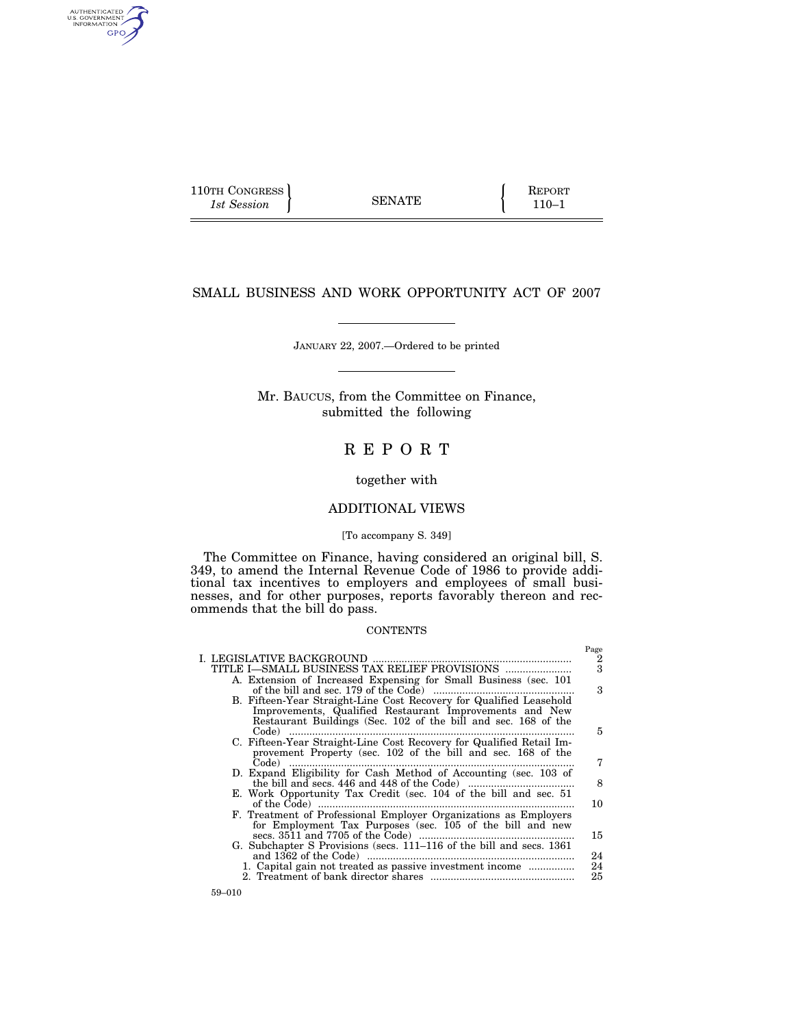$\left\{\n \begin{array}{c}\n 110TH \text{ CONGRESS} \\
 1st \text{ Session}\n \end{array}\n \right\}\n \quad \text{SENATE}\n \quad\n \left\{\n \begin{array}{c}\n \text{REPORT} \\
 \text{110-1}\n \end{array}\n \right.$ 1st Session **110–1 SENATE** 110–1

AUTHENTICATED<br>U.S. GOVERNMENT<br>INFORMATION GPO

Page

# SMALL BUSINESS AND WORK OPPORTUNITY ACT OF 2007

#### JANUARY 22, 2007.—Ordered to be printed

Mr. BAUCUS, from the Committee on Finance, submitted the following

# R E P O R T

# together with

# ADDITIONAL VIEWS

### [To accompany S. 349]

The Committee on Finance, having considered an original bill, S. 349, to amend the Internal Revenue Code of 1986 to provide additional tax incentives to employers and employees of small businesses, and for other purposes, reports favorably thereon and recommends that the bill do pass.

## **CONTENTS**

|                                                                       | $-5-$                   |
|-----------------------------------------------------------------------|-------------------------|
|                                                                       | 2                       |
|                                                                       | $\overline{\mathbf{3}}$ |
| A. Extension of Increased Expensing for Small Business (sec. 101)     |                         |
|                                                                       | 3                       |
|                                                                       |                         |
| B. Fifteen-Year Straight-Line Cost Recovery for Qualified Leasehold   |                         |
| Improvements, Qualified Restaurant Improvements and New               |                         |
| Restaurant Buildings (Sec. 102 of the bill and sec. 168 of the        |                         |
| $Code)$                                                               | 5                       |
| C. Fifteen-Year Straight-Line Cost Recovery for Qualified Retail Im-  |                         |
| provement Property (sec. 102 of the bill and sec. 168 of the          |                         |
| Code)                                                                 | 7                       |
| D. Expand Eligibility for Cash Method of Accounting (sec. 103 of      |                         |
|                                                                       | 8                       |
|                                                                       |                         |
| E. Work Opportunity Tax Credit (sec. 104 of the bill and sec. 51      |                         |
|                                                                       | 10                      |
| F. Treatment of Professional Employer Organizations as Employers      |                         |
| for Employment Tax Purposes (sec. 105 of the bill and new             |                         |
|                                                                       | 15                      |
| G. Subchapter S Provisions (secs. 111–116 of the bill and secs. 1361) |                         |
|                                                                       | 24                      |
| 1. Capital gain not treated as passive investment income              | 24                      |
|                                                                       | 25                      |
|                                                                       |                         |
|                                                                       |                         |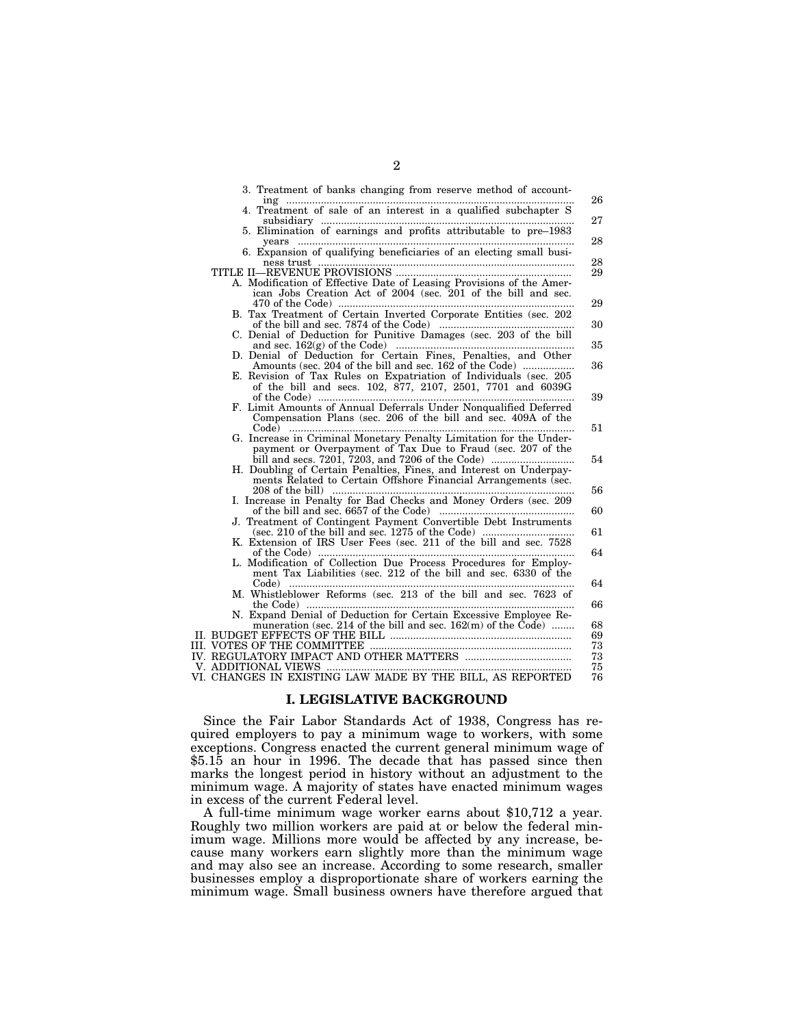| 3. Treatment of banks changing from reserve method of account-<br>$\text{ing}$                                  | 26       |
|-----------------------------------------------------------------------------------------------------------------|----------|
| <br>4. Treatment of sale of an interest in a qualified subchapter S                                             | 27       |
| 5. Elimination of earnings and profits attributable to pre-1983                                                 |          |
| vears<br>6. Expansion of qualifying beneficiaries of an electing small busi-                                    | 28       |
|                                                                                                                 | 28       |
| A. Modification of Effective Date of Leasing Provisions of the Amer-                                            | 29       |
| ican Jobs Creation Act of 2004 (sec. 201 of the bill and sec.                                                   |          |
|                                                                                                                 | 29       |
| B. Tax Treatment of Certain Inverted Corporate Entities (sec. 202                                               | 30       |
| C. Denial of Deduction for Punitive Damages (sec. 203 of the bill                                               |          |
| D. Denial of Deduction for Certain Fines, Penalties, and Other                                                  | 35       |
| Amounts (sec. 204 of the bill and sec. 162 of the Code)                                                         | 36       |
| E. Revision of Tax Rules on Expatriation of Individuals (sec. 205                                               |          |
| of the bill and secs. 102, 877, 2107, 2501, 7701 and 6039G                                                      | 39       |
| F. Limit Amounts of Annual Deferrals Under Nonqualified Deferred                                                |          |
| Compensation Plans (sec. 206 of the bill and sec. 409A of the                                                   | 51       |
| G. Increase in Criminal Monetary Penalty Limitation for the Under-                                              |          |
| payment or Overpayment of Tax Due to Fraud (sec. 207 of the<br>bill and secs. 7201, 7203, and 7206 of the Code) | 54       |
| H. Doubling of Certain Penalties, Fines, and Interest on Underpay-                                              |          |
| ments Related to Certain Offshore Financial Arrangements (sec.                                                  |          |
| I. Increase in Penalty for Bad Checks and Money Orders (sec. 209                                                | 56       |
|                                                                                                                 | 60       |
| J. Treatment of Contingent Payment Convertible Debt Instruments                                                 | 61       |
| K. Extension of IRS User Fees (sec. 211 of the bill and sec. 7528                                               |          |
| L. Modification of Collection Due Process Procedures for Employ-                                                | 64       |
| ment Tax Liabilities (sec. 212 of the bill and sec. 6330 of the                                                 |          |
|                                                                                                                 | 64       |
| M. Whistleblower Reforms (sec. 213 of the bill and sec. 7623 of<br>the Code $\ldots$                            | 66       |
| N. Expand Denial of Deduction for Certain Excessive Employee Re-                                                |          |
| muneration (sec. 214 of the bill and sec. $162(m)$ of the $\text{Code}$ )                                       | 68<br>69 |
|                                                                                                                 | 73       |
|                                                                                                                 | 73<br>75 |
|                                                                                                                 | 76       |
|                                                                                                                 |          |

# **I. LEGISLATIVE BACKGROUND**

Since the Fair Labor Standards Act of 1938, Congress has required employers to pay a minimum wage to workers, with some exceptions. Congress enacted the current general minimum wage of \$5.15 an hour in 1996. The decade that has passed since then marks the longest period in history without an adjustment to the minimum wage. A majority of states have enacted minimum wages in excess of the current Federal level.

A full-time minimum wage worker earns about \$10,712 a year. Roughly two million workers are paid at or below the federal minimum wage. Millions more would be affected by any increase, because many workers earn slightly more than the minimum wage and may also see an increase. According to some research, smaller businesses employ a disproportionate share of workers earning the minimum wage. Small business owners have therefore argued that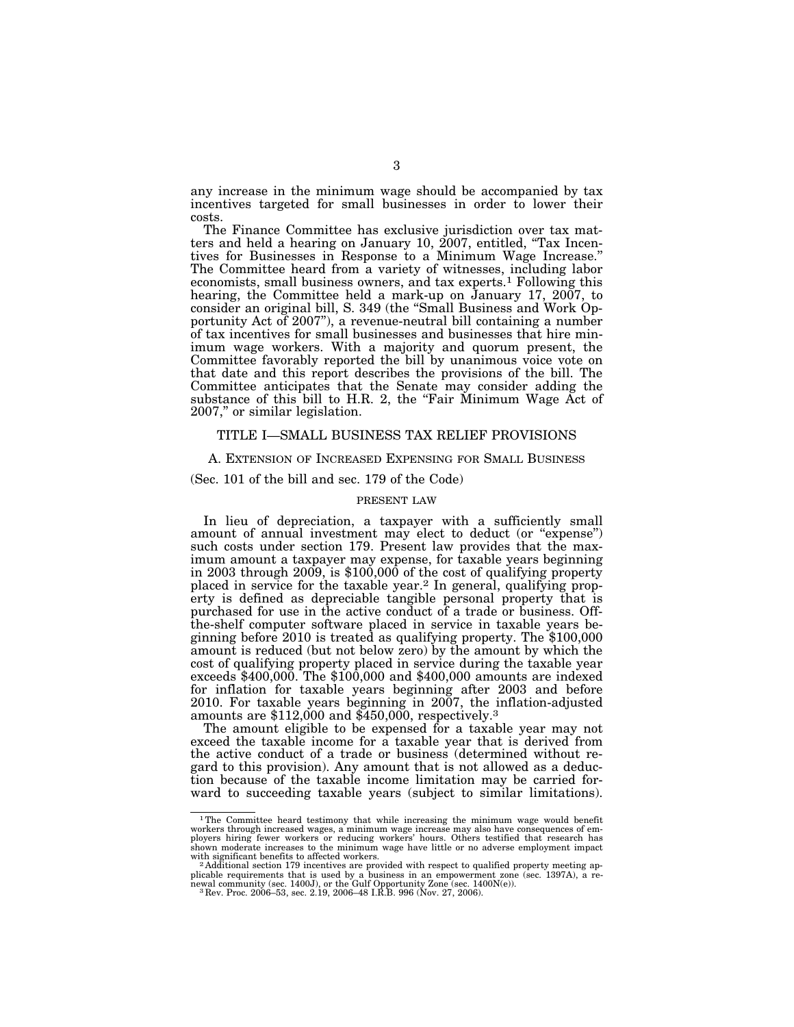any increase in the minimum wage should be accompanied by tax incentives targeted for small businesses in order to lower their costs.

The Finance Committee has exclusive jurisdiction over tax matters and held a hearing on January 10, 2007, entitled, "Tax Incentives for Businesses in Response to a Minimum Wage Increase." The Committee heard from a variety of witnesses, including labor economists, small business owners, and tax experts.1 Following this hearing, the Committee held a mark-up on January 17, 2007, to consider an original bill, S. 349 (the ''Small Business and Work Opportunity Act of 2007''), a revenue-neutral bill containing a number of tax incentives for small businesses and businesses that hire minimum wage workers. With a majority and quorum present, the Committee favorably reported the bill by unanimous voice vote on that date and this report describes the provisions of the bill. The Committee anticipates that the Senate may consider adding the substance of this bill to H.R. 2, the "Fair Minimum Wage Act of 2007,'' or similar legislation.

## TITLE I—SMALL BUSINESS TAX RELIEF PROVISIONS

#### A. EXTENSION OF INCREASED EXPENSING FOR SMALL BUSINESS

### (Sec. 101 of the bill and sec. 179 of the Code)

## PRESENT LAW

In lieu of depreciation, a taxpayer with a sufficiently small amount of annual investment may elect to deduct (or ''expense'') such costs under section 179. Present law provides that the maximum amount a taxpayer may expense, for taxable years beginning in 2003 through 2009, is \$100,000 of the cost of qualifying property placed in service for the taxable year.2 In general, qualifying property is defined as depreciable tangible personal property that is purchased for use in the active conduct of a trade or business. Offthe-shelf computer software placed in service in taxable years beginning before 2010 is treated as qualifying property. The \$100,000 amount is reduced (but not below zero) by the amount by which the cost of qualifying property placed in service during the taxable year exceeds \$400,000. The \$100,000 and \$400,000 amounts are indexed for inflation for taxable years beginning after 2003 and before 2010. For taxable years beginning in 2007, the inflation-adjusted amounts are \$112,000 and \$450,000, respectively.3

The amount eligible to be expensed for a taxable year may not exceed the taxable income for a taxable year that is derived from the active conduct of a trade or business (determined without regard to this provision). Any amount that is not allowed as a deduction because of the taxable income limitation may be carried forward to succeeding taxable years (subject to similar limitations).

<sup>&</sup>lt;sup>1</sup>The Committee heard testimony that while increasing the minimum wage would benefit workers through increased wages, a minimum wage increase may also have consequences of em-ployers hiring fewer workers or reducing workers' hours. Others testified that research has shown moderate increases to the minimum wage have little or no adverse employment impact with significant benefits to affected workers.

<sup>&</sup>lt;sup>2</sup> Additional section 179 incentives are provided with respect to qualified property meeting applicable requirements that is used by a business in an empowerment zone (sec. 1397A), a re-<br>newal community (sec. 1400J), or the Gulf Opportunity Zone (sec. 1400N(e)).<br><sup>3</sup> Rev. Proc. 2006–53, sec. 2.19, 2006–48 I.R.B. 996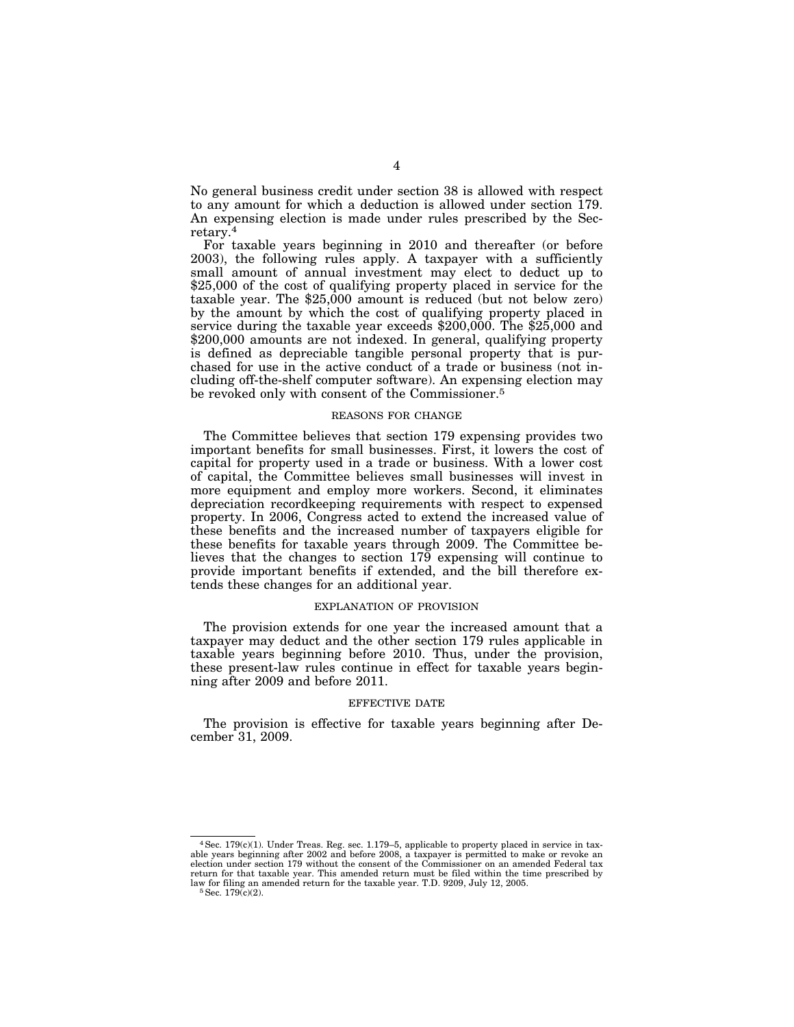No general business credit under section 38 is allowed with respect to any amount for which a deduction is allowed under section 179. An expensing election is made under rules prescribed by the Secretary.4

For taxable years beginning in 2010 and thereafter (or before 2003), the following rules apply. A taxpayer with a sufficiently small amount of annual investment may elect to deduct up to \$25,000 of the cost of qualifying property placed in service for the taxable year. The \$25,000 amount is reduced (but not below zero) by the amount by which the cost of qualifying property placed in service during the taxable year exceeds \$200,000. The \$25,000 and \$200,000 amounts are not indexed. In general, qualifying property is defined as depreciable tangible personal property that is purchased for use in the active conduct of a trade or business (not including off-the-shelf computer software). An expensing election may be revoked only with consent of the Commissioner.5

## REASONS FOR CHANGE

The Committee believes that section 179 expensing provides two important benefits for small businesses. First, it lowers the cost of capital for property used in a trade or business. With a lower cost of capital, the Committee believes small businesses will invest in more equipment and employ more workers. Second, it eliminates depreciation recordkeeping requirements with respect to expensed property. In 2006, Congress acted to extend the increased value of these benefits and the increased number of taxpayers eligible for these benefits for taxable years through 2009. The Committee believes that the changes to section 179 expensing will continue to provide important benefits if extended, and the bill therefore extends these changes for an additional year.

#### EXPLANATION OF PROVISION

The provision extends for one year the increased amount that a taxpayer may deduct and the other section 179 rules applicable in taxable years beginning before 2010. Thus, under the provision, these present-law rules continue in effect for taxable years beginning after 2009 and before 2011.

#### EFFECTIVE DATE

The provision is effective for taxable years beginning after December 31, 2009.

<sup>4</sup>Sec. 179(c)(1). Under Treas. Reg. sec. 1.179–5, applicable to property placed in service in taxable years beginning after 2002 and before 2008, a taxpayer is permitted to make or revoke an election under section 179 without the consent of the Commissioner on an amended Federal tax return for that taxable year. This amended return must be filed within the time prescribed by law for filing an amended return for the taxable year. T.D. 9209, July 12, 2005.  $5\,\text{Sec.}$  179(c)(2).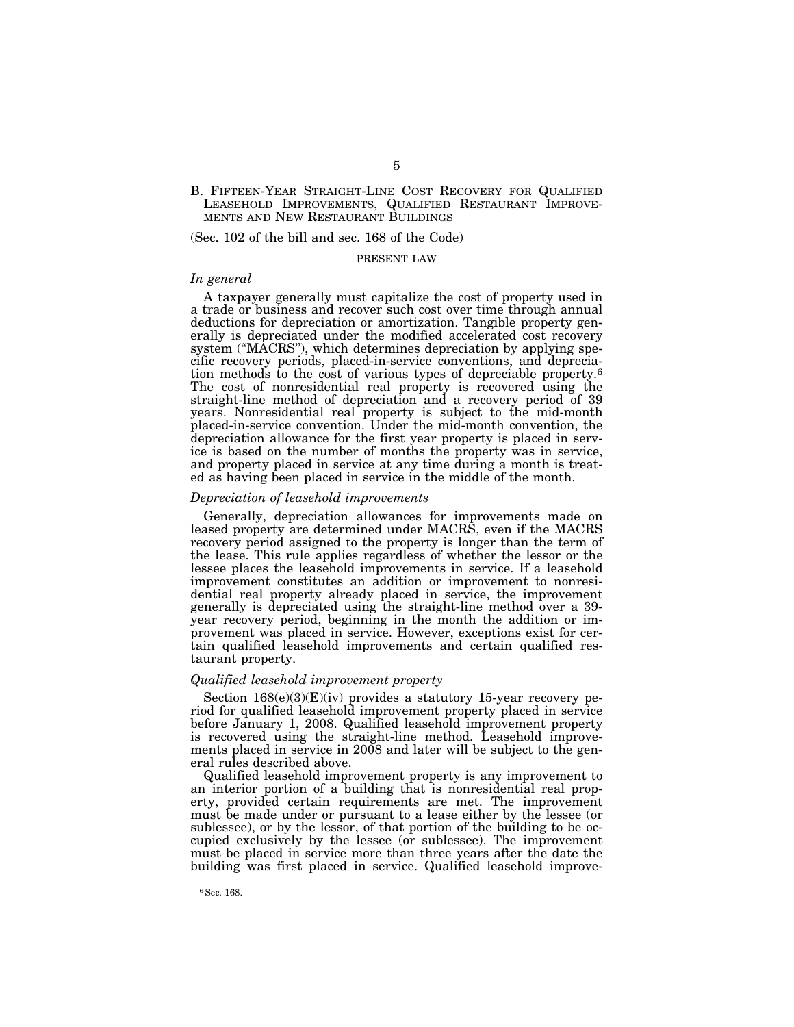## B. FIFTEEN-YEAR STRAIGHT-LINE COST RECOVERY FOR QUALIFIED LEASEHOLD IMPROVEMENTS, QUALIFIED RESTAURANT IMPROVE- MENTS AND NEW RESTAURANT BUILDINGS

(Sec. 102 of the bill and sec. 168 of the Code)

#### PRESENT LAW

### *In general*

A taxpayer generally must capitalize the cost of property used in a trade or business and recover such cost over time through annual deductions for depreciation or amortization. Tangible property generally is depreciated under the modified accelerated cost recovery system ("MACRS"), which determines depreciation by applying specific recovery periods, placed-in-service conventions, and depreciation methods to the cost of various types of depreciable property.<sup>6</sup> The cost of nonresidential real property is recovered using the straight-line method of depreciation and a recovery period of 39 years. Nonresidential real property is subject to the mid-month placed-in-service convention. Under the mid-month convention, the depreciation allowance for the first year property is placed in service is based on the number of months the property was in service, and property placed in service at any time during a month is treated as having been placed in service in the middle of the month.

### *Depreciation of leasehold improvements*

Generally, depreciation allowances for improvements made on leased property are determined under MACRS, even if the MACRS recovery period assigned to the property is longer than the term of the lease. This rule applies regardless of whether the lessor or the lessee places the leasehold improvements in service. If a leasehold improvement constitutes an addition or improvement to nonresidential real property already placed in service, the improvement generally is depreciated using the straight-line method over a 39 year recovery period, beginning in the month the addition or improvement was placed in service. However, exceptions exist for certain qualified leasehold improvements and certain qualified restaurant property.

## *Qualified leasehold improvement property*

Section  $168(e)(3)(E)(iv)$  provides a statutory 15-year recovery period for qualified leasehold improvement property placed in service before January 1, 2008. Qualified leasehold improvement property is recovered using the straight-line method. Leasehold improvements placed in service in 2008 and later will be subject to the general rules described above.

Qualified leasehold improvement property is any improvement to an interior portion of a building that is nonresidential real property, provided certain requirements are met. The improvement must be made under or pursuant to a lease either by the lessee (or sublessee), or by the lessor, of that portion of the building to be occupied exclusively by the lessee (or sublessee). The improvement must be placed in service more than three years after the date the building was first placed in service. Qualified leasehold improve-

<sup>6</sup>Sec. 168.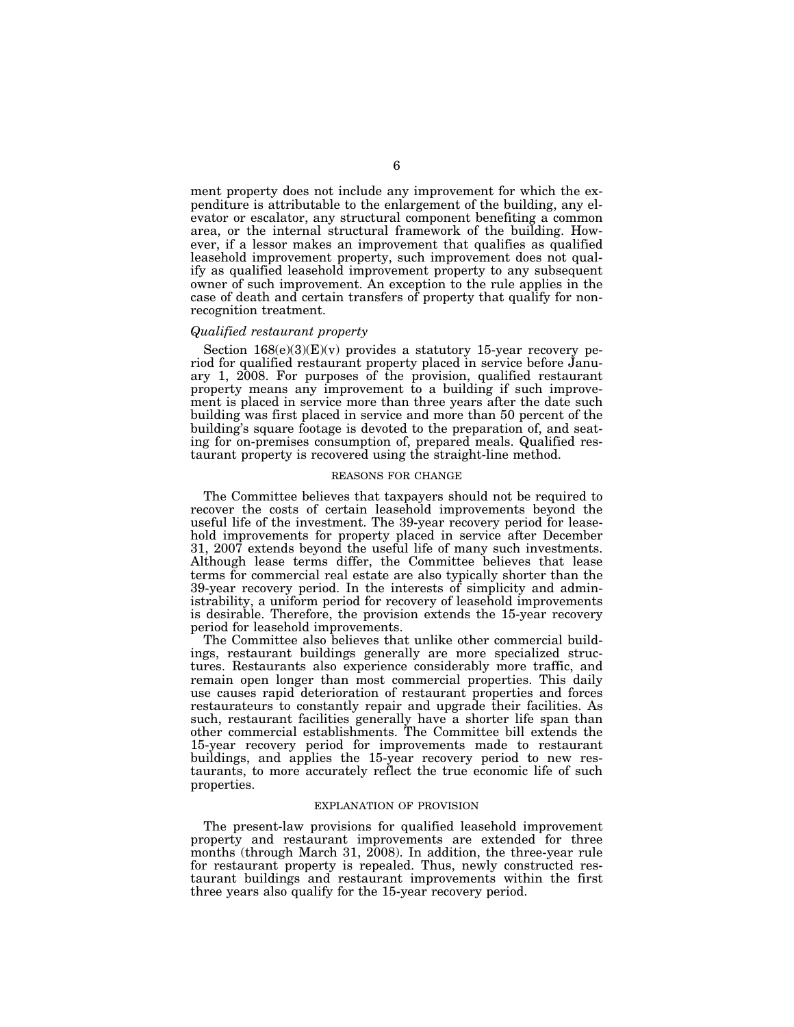ment property does not include any improvement for which the expenditure is attributable to the enlargement of the building, any elevator or escalator, any structural component benefiting a common area, or the internal structural framework of the building. However, if a lessor makes an improvement that qualifies as qualified leasehold improvement property, such improvement does not qualify as qualified leasehold improvement property to any subsequent owner of such improvement. An exception to the rule applies in the case of death and certain transfers of property that qualify for nonrecognition treatment.

#### *Qualified restaurant property*

Section  $168(e)(3)(E)(v)$  provides a statutory 15-year recovery period for qualified restaurant property placed in service before January 1, 2008. For purposes of the provision, qualified restaurant property means any improvement to a building if such improvement is placed in service more than three years after the date such building was first placed in service and more than 50 percent of the building's square footage is devoted to the preparation of, and seating for on-premises consumption of, prepared meals. Qualified restaurant property is recovered using the straight-line method.

## REASONS FOR CHANGE

The Committee believes that taxpayers should not be required to recover the costs of certain leasehold improvements beyond the useful life of the investment. The 39-year recovery period for leasehold improvements for property placed in service after December 31, 2007 extends beyond the useful life of many such investments. Although lease terms differ, the Committee believes that lease terms for commercial real estate are also typically shorter than the 39-year recovery period. In the interests of simplicity and administrability, a uniform period for recovery of leasehold improvements is desirable. Therefore, the provision extends the 15-year recovery period for leasehold improvements.

The Committee also believes that unlike other commercial buildings, restaurant buildings generally are more specialized structures. Restaurants also experience considerably more traffic, and remain open longer than most commercial properties. This daily use causes rapid deterioration of restaurant properties and forces restaurateurs to constantly repair and upgrade their facilities. As such, restaurant facilities generally have a shorter life span than other commercial establishments. The Committee bill extends the 15-year recovery period for improvements made to restaurant buildings, and applies the 15-year recovery period to new restaurants, to more accurately reflect the true economic life of such properties.

### EXPLANATION OF PROVISION

The present-law provisions for qualified leasehold improvement property and restaurant improvements are extended for three months (through March 31, 2008). In addition, the three-year rule for restaurant property is repealed. Thus, newly constructed restaurant buildings and restaurant improvements within the first three years also qualify for the 15-year recovery period.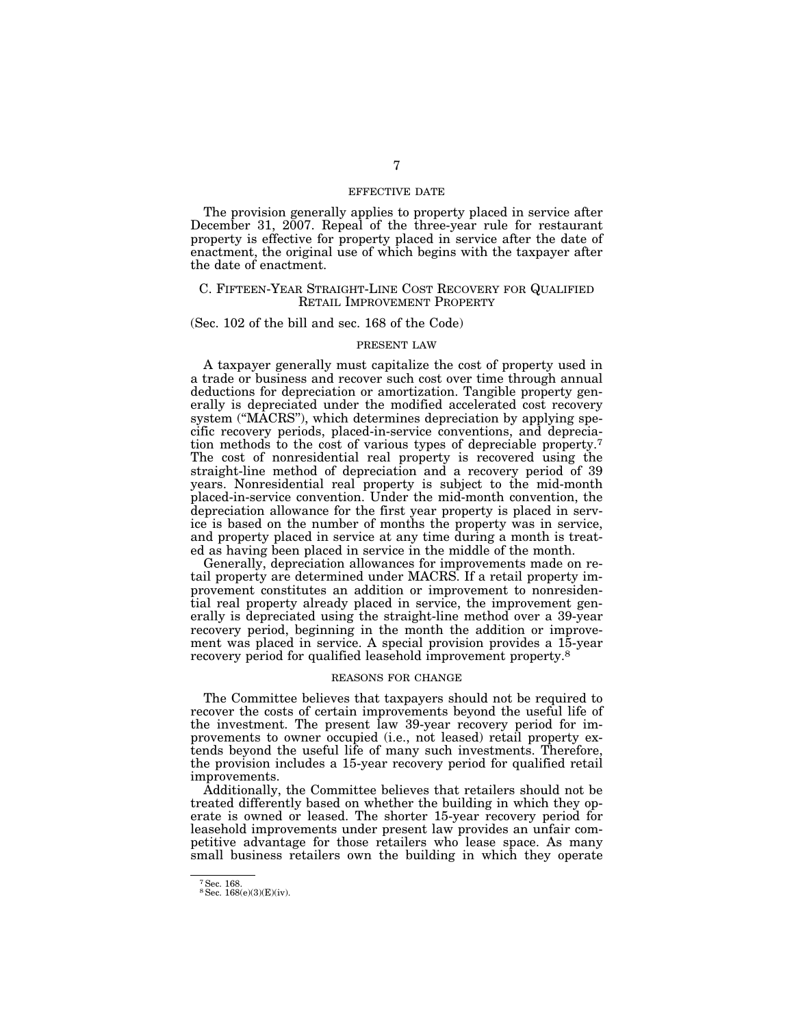## EFFECTIVE DATE

The provision generally applies to property placed in service after December 31, 2007. Repeal of the three-year rule for restaurant property is effective for property placed in service after the date of enactment, the original use of which begins with the taxpayer after the date of enactment.

#### C. FIFTEEN-YEAR STRAIGHT-LINE COST RECOVERY FOR QUALIFIED RETAIL IMPROVEMENT PROPERTY

#### (Sec. 102 of the bill and sec. 168 of the Code)

#### PRESENT LAW

A taxpayer generally must capitalize the cost of property used in a trade or business and recover such cost over time through annual deductions for depreciation or amortization. Tangible property generally is depreciated under the modified accelerated cost recovery system ("MACRS"), which determines depreciation by applying specific recovery periods, placed-in-service conventions, and depreciation methods to the cost of various types of depreciable property.7 The cost of nonresidential real property is recovered using the straight-line method of depreciation and a recovery period of 39 years. Nonresidential real property is subject to the mid-month placed-in-service convention. Under the mid-month convention, the depreciation allowance for the first year property is placed in service is based on the number of months the property was in service, and property placed in service at any time during a month is treated as having been placed in service in the middle of the month.

Generally, depreciation allowances for improvements made on retail property are determined under MACRS. If a retail property improvement constitutes an addition or improvement to nonresidential real property already placed in service, the improvement generally is depreciated using the straight-line method over a 39-year recovery period, beginning in the month the addition or improvement was placed in service. A special provision provides a 15-year recovery period for qualified leasehold improvement property.<sup>8</sup>

## REASONS FOR CHANGE

The Committee believes that taxpayers should not be required to recover the costs of certain improvements beyond the useful life of the investment. The present law 39-year recovery period for improvements to owner occupied (i.e., not leased) retail property extends beyond the useful life of many such investments. Therefore, the provision includes a 15-year recovery period for qualified retail improvements.

Additionally, the Committee believes that retailers should not be treated differently based on whether the building in which they operate is owned or leased. The shorter 15-year recovery period for leasehold improvements under present law provides an unfair competitive advantage for those retailers who lease space. As many small business retailers own the building in which they operate

<sup>&</sup>lt;sup>7</sup> Sec. 168.<br><sup>8</sup> Sec. 168(e)(3)(E)(iv).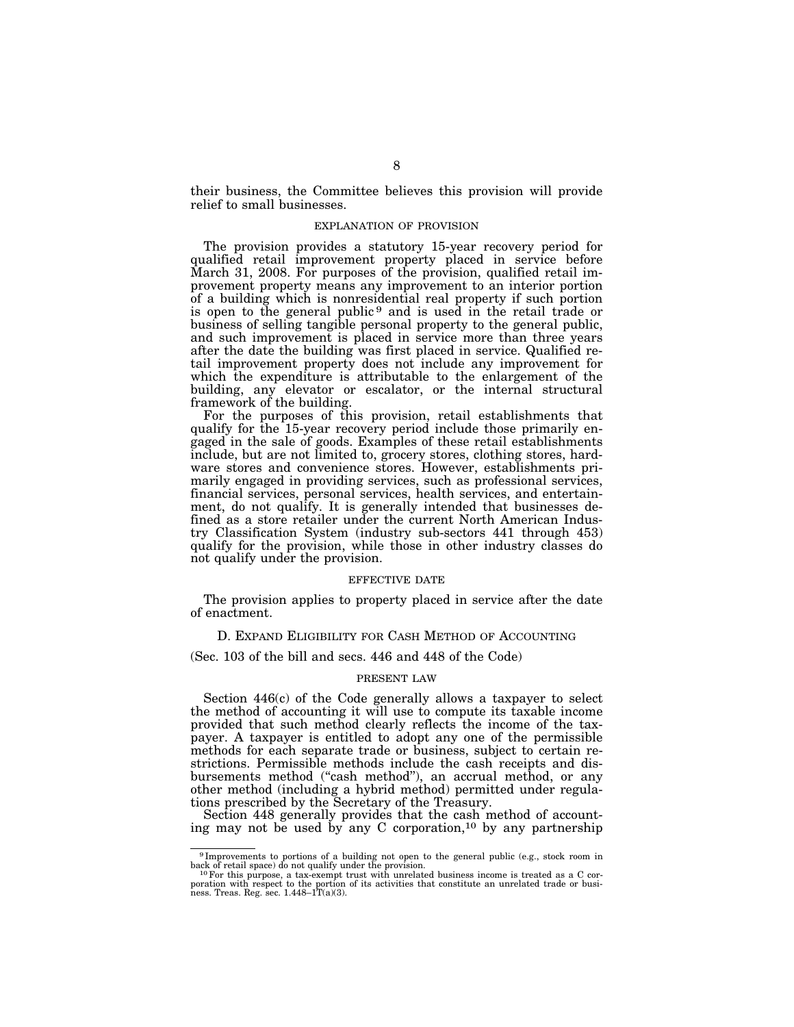their business, the Committee believes this provision will provide relief to small businesses.

#### EXPLANATION OF PROVISION

The provision provides a statutory 15-year recovery period for qualified retail improvement property placed in service before March 31, 2008. For purposes of the provision, qualified retail improvement property means any improvement to an interior portion of a building which is nonresidential real property if such portion is open to the general public<sup>9</sup> and is used in the retail trade or business of selling tangible personal property to the general public, and such improvement is placed in service more than three years after the date the building was first placed in service. Qualified retail improvement property does not include any improvement for which the expenditure is attributable to the enlargement of the building, any elevator or escalator, or the internal structural framework of the building.

For the purposes of this provision, retail establishments that qualify for the 15-year recovery period include those primarily engaged in the sale of goods. Examples of these retail establishments include, but are not limited to, grocery stores, clothing stores, hardware stores and convenience stores. However, establishments primarily engaged in providing services, such as professional services, financial services, personal services, health services, and entertainment, do not qualify. It is generally intended that businesses defined as a store retailer under the current North American Industry Classification System (industry sub-sectors 441 through 453) qualify for the provision, while those in other industry classes do not qualify under the provision.

## EFFECTIVE DATE

The provision applies to property placed in service after the date of enactment.

#### D. EXPAND ELIGIBILITY FOR CASH METHOD OF ACCOUNTING

(Sec. 103 of the bill and secs. 446 and 448 of the Code)

### PRESENT LAW

Section 446(c) of the Code generally allows a taxpayer to select the method of accounting it will use to compute its taxable income provided that such method clearly reflects the income of the taxpayer. A taxpayer is entitled to adopt any one of the permissible methods for each separate trade or business, subject to certain restrictions. Permissible methods include the cash receipts and disbursements method (''cash method''), an accrual method, or any other method (including a hybrid method) permitted under regulations prescribed by the Secretary of the Treasury.

Section 448 generally provides that the cash method of accounting may not be used by any C corporation,<sup>10</sup> by any partnership

<sup>&</sup>lt;sup>9</sup> Improvements to portions of a building not open to the general public (e.g., stock room in back of retail space) do not qualify under the provision.<br><sup>10</sup>For this purpose, a tax-exempt trust with unrelated business inc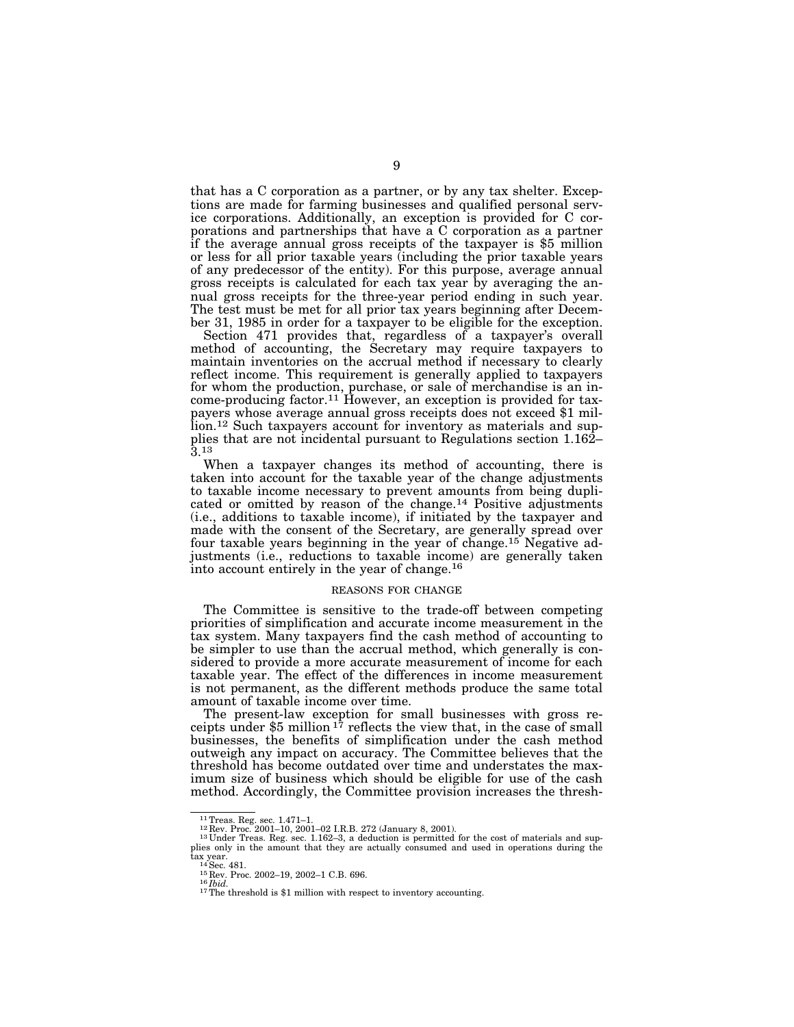that has a C corporation as a partner, or by any tax shelter. Exceptions are made for farming businesses and qualified personal service corporations. Additionally, an exception is provided for C corporations and partnerships that have a C corporation as a partner if the average annual gross receipts of the taxpayer is \$5 million or less for all prior taxable years (including the prior taxable years of any predecessor of the entity). For this purpose, average annual gross receipts is calculated for each tax year by averaging the annual gross receipts for the three-year period ending in such year. The test must be met for all prior tax years beginning after December 31, 1985 in order for a taxpayer to be eligible for the exception.

Section 471 provides that, regardless of a taxpayer's overall method of accounting, the Secretary may require taxpayers to maintain inventories on the accrual method if necessary to clearly reflect income. This requirement is generally applied to taxpayers for whom the production, purchase, or sale of merchandise is an income-producing factor.11 However, an exception is provided for taxpayers whose average annual gross receipts does not exceed \$1 million.<sup>12</sup> Such taxpayers account for inventory as materials and supplies that are not incidental pursuant to Regulations section 1.162–  $\mathfrak{z}$ .13

When a taxpayer changes its method of accounting, there is taken into account for the taxable year of the change adjustments to taxable income necessary to prevent amounts from being duplicated or omitted by reason of the change.14 Positive adjustments (i.e., additions to taxable income), if initiated by the taxpayer and made with the consent of the Secretary, are generally spread over four taxable years beginning in the year of change.15 Negative adjustments (i.e., reductions to taxable income) are generally taken into account entirely in the year of change.16

#### REASONS FOR CHANGE

The Committee is sensitive to the trade-off between competing priorities of simplification and accurate income measurement in the tax system. Many taxpayers find the cash method of accounting to be simpler to use than the accrual method, which generally is considered to provide a more accurate measurement of income for each taxable year. The effect of the differences in income measurement is not permanent, as the different methods produce the same total amount of taxable income over time.

The present-law exception for small businesses with gross receipts under \$5 million  $17$  reflects the view that, in the case of small businesses, the benefits of simplification under the cash method outweigh any impact on accuracy. The Committee believes that the threshold has become outdated over time and understates the maximum size of business which should be eligible for use of the cash method. Accordingly, the Committee provision increases the thresh-

<sup>&</sup>lt;sup>11</sup> Treas. Reg. sec. 1.471–1.<br><sup>12</sup> Rev. Proc. 2001–10, 2001–02 I.R.B. 272 (January 8, 2001).<br><sup>13</sup> Under Treas. Reg. sec. 1.162–3, a deduction is permitted for the cost of materials and sup-<br><sup>13</sup> Under Treas. Reg. sec. 1. plies only in the amount that they are actually consumed and used in operations during the  $\frac{\text{tax}}{14}\text{Sec. }481$ .

<sup>&</sup>lt;sup>15</sup> Rev. Proc. 2002–19, 2002–1 C.B. 696.<br><sup>16</sup>*Ibid.* <sup>17</sup>The threshold is \$1 million with respect to inventory accounting.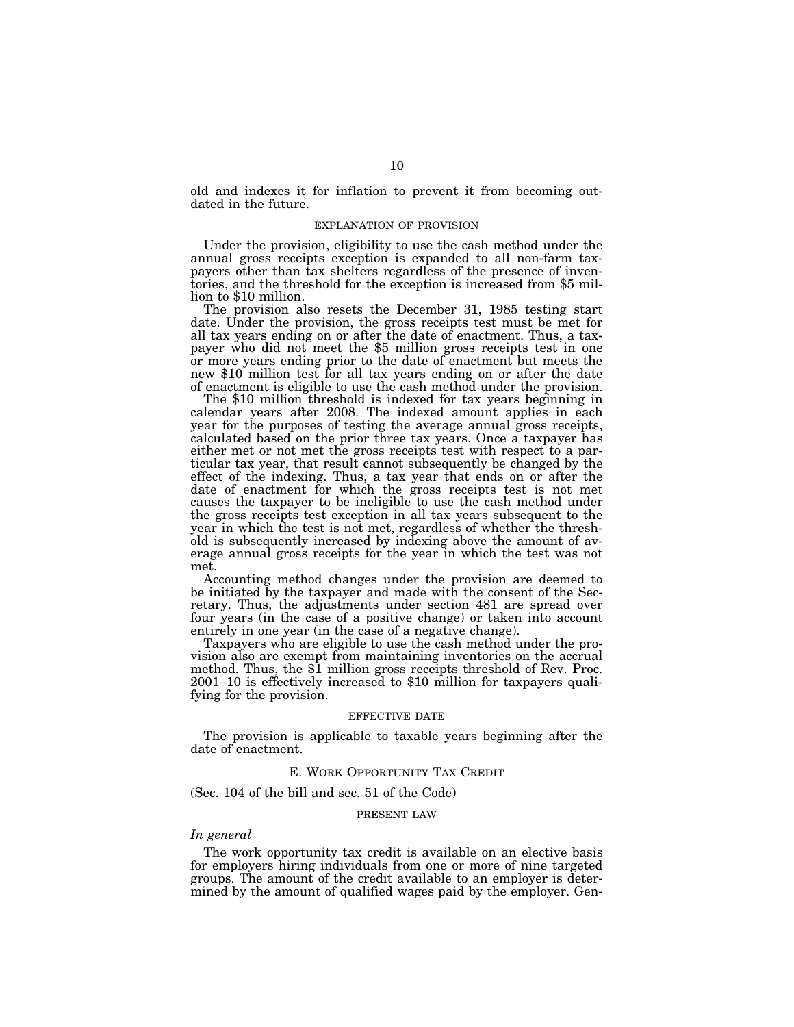old and indexes it for inflation to prevent it from becoming outdated in the future.

#### EXPLANATION OF PROVISION

Under the provision, eligibility to use the cash method under the annual gross receipts exception is expanded to all non-farm taxpayers other than tax shelters regardless of the presence of inventories, and the threshold for the exception is increased from \$5 million to \$10 million.

The provision also resets the December 31, 1985 testing start date. Under the provision, the gross receipts test must be met for all tax years ending on or after the date of enactment. Thus, a taxpayer who did not meet the \$5 million gross receipts test in one or more years ending prior to the date of enactment but meets the new \$10 million test for all tax years ending on or after the date of enactment is eligible to use the cash method under the provision. The \$10 million threshold is indexed for tax years beginning in

calendar years after 2008. The indexed amount applies in each year for the purposes of testing the average annual gross receipts, calculated based on the prior three tax years. Once a taxpayer has either met or not met the gross receipts test with respect to a particular tax year, that result cannot subsequently be changed by the effect of the indexing. Thus, a tax year that ends on or after the date of enactment for which the gross receipts test is not met causes the taxpayer to be ineligible to use the cash method under the gross receipts test exception in all tax years subsequent to the year in which the test is not met, regardless of whether the threshold is subsequently increased by indexing above the amount of average annual gross receipts for the year in which the test was not met.

Accounting method changes under the provision are deemed to be initiated by the taxpayer and made with the consent of the Secretary. Thus, the adjustments under section 481 are spread over four years (in the case of a positive change) or taken into account entirely in one year (in the case of a negative change).

Taxpayers who are eligible to use the cash method under the provision also are exempt from maintaining inventories on the accrual method. Thus, the \$1 million gross receipts threshold of Rev. Proc. 2001–10 is effectively increased to \$10 million for taxpayers qualifying for the provision.

#### EFFECTIVE DATE

The provision is applicable to taxable years beginning after the date of enactment.

### E. WORK OPPORTUNITY TAX CREDIT

(Sec. 104 of the bill and sec. 51 of the Code)

#### PRESENT LAW

## *In general*

The work opportunity tax credit is available on an elective basis for employers hiring individuals from one or more of nine targeted groups. The amount of the credit available to an employer is determined by the amount of qualified wages paid by the employer. Gen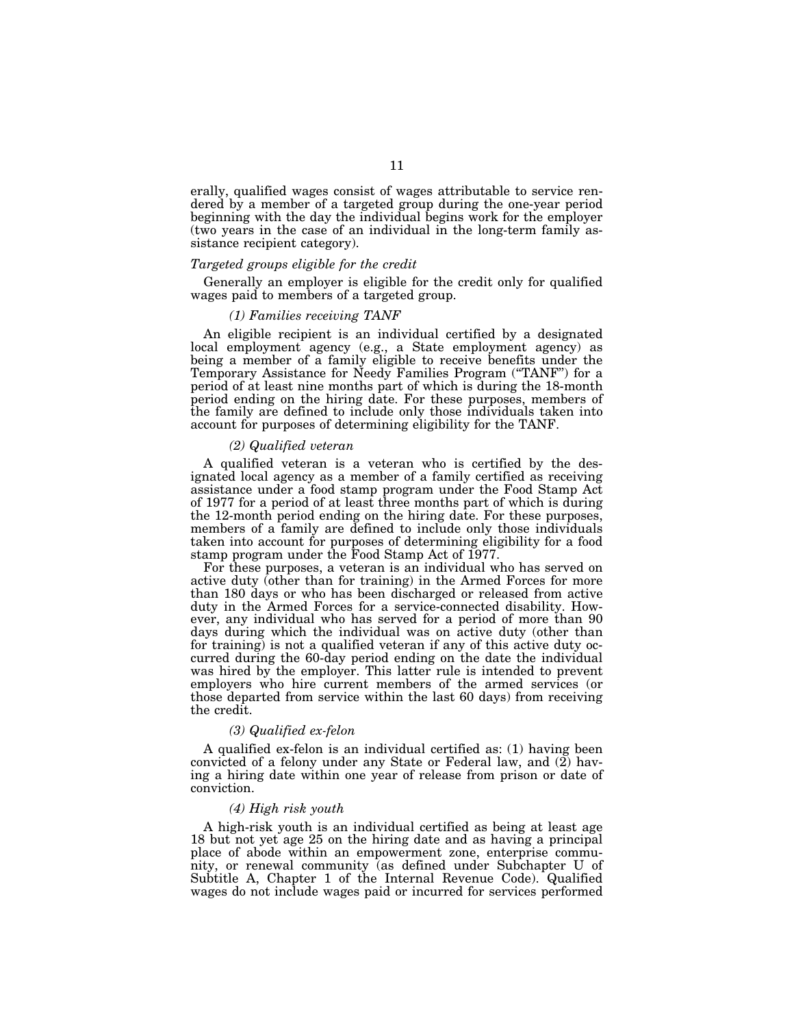erally, qualified wages consist of wages attributable to service rendered by a member of a targeted group during the one-year period beginning with the day the individual begins work for the employer (two years in the case of an individual in the long-term family assistance recipient category).

### *Targeted groups eligible for the credit*

Generally an employer is eligible for the credit only for qualified wages paid to members of a targeted group.

#### *(1) Families receiving TANF*

An eligible recipient is an individual certified by a designated local employment agency (e.g., a State employment agency) as being a member of a family eligible to receive benefits under the Temporary Assistance for Needy Families Program (''TANF'') for a period of at least nine months part of which is during the 18-month period ending on the hiring date. For these purposes, members of the family are defined to include only those individuals taken into account for purposes of determining eligibility for the TANF.

# *(2) Qualified veteran*

A qualified veteran is a veteran who is certified by the designated local agency as a member of a family certified as receiving assistance under a food stamp program under the Food Stamp Act of 1977 for a period of at least three months part of which is during the 12-month period ending on the hiring date. For these purposes, members of a family are defined to include only those individuals taken into account for purposes of determining eligibility for a food stamp program under the Food Stamp Act of 1977.

For these purposes, a veteran is an individual who has served on active duty (other than for training) in the Armed Forces for more than 180 days or who has been discharged or released from active duty in the Armed Forces for a service-connected disability. However, any individual who has served for a period of more than 90 days during which the individual was on active duty (other than for training) is not a qualified veteran if any of this active duty occurred during the 60-day period ending on the date the individual was hired by the employer. This latter rule is intended to prevent employers who hire current members of the armed services (or those departed from service within the last 60 days) from receiving the credit.

#### *(3) Qualified ex-felon*

A qualified ex-felon is an individual certified as: (1) having been convicted of a felony under any State or Federal law, and (2) having a hiring date within one year of release from prison or date of conviction.

### *(4) High risk youth*

A high-risk youth is an individual certified as being at least age 18 but not yet age 25 on the hiring date and as having a principal place of abode within an empowerment zone, enterprise community, or renewal community (as defined under Subchapter U of Subtitle A, Chapter 1 of the Internal Revenue Code). Qualified wages do not include wages paid or incurred for services performed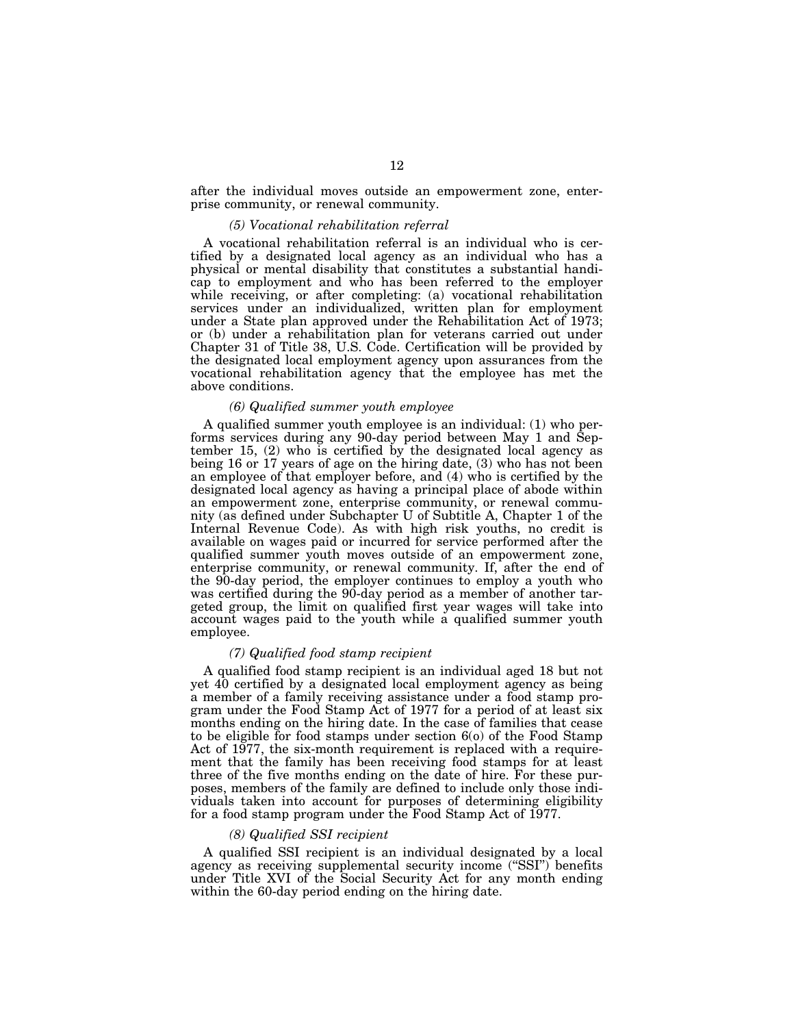after the individual moves outside an empowerment zone, enterprise community, or renewal community.

#### *(5) Vocational rehabilitation referral*

A vocational rehabilitation referral is an individual who is certified by a designated local agency as an individual who has a physical or mental disability that constitutes a substantial handicap to employment and who has been referred to the employer while receiving, or after completing: (a) vocational rehabilitation services under an individualized, written plan for employment under a State plan approved under the Rehabilitation Act of 1973; or (b) under a rehabilitation plan for veterans carried out under Chapter 31 of Title 38, U.S. Code. Certification will be provided by the designated local employment agency upon assurances from the vocational rehabilitation agency that the employee has met the above conditions.

## *(6) Qualified summer youth employee*

A qualified summer youth employee is an individual: (1) who performs services during any 90-day period between May 1 and September 15, (2) who is certified by the designated local agency as being 16 or 17 years of age on the hiring date, (3) who has not been an employee of that employer before, and (4) who is certified by the designated local agency as having a principal place of abode within an empowerment zone, enterprise community, or renewal community (as defined under Subchapter U of Subtitle A, Chapter 1 of the Internal Revenue Code). As with high risk youths, no credit is available on wages paid or incurred for service performed after the qualified summer youth moves outside of an empowerment zone, enterprise community, or renewal community. If, after the end of the 90-day period, the employer continues to employ a youth who was certified during the 90-day period as a member of another targeted group, the limit on qualified first year wages will take into account wages paid to the youth while a qualified summer youth employee.

#### *(7) Qualified food stamp recipient*

A qualified food stamp recipient is an individual aged 18 but not yet 40 certified by a designated local employment agency as being a member of a family receiving assistance under a food stamp program under the Food Stamp Act of 1977 for a period of at least six months ending on the hiring date. In the case of families that cease to be eligible for food stamps under section 6(o) of the Food Stamp Act of 1977, the six-month requirement is replaced with a requirement that the family has been receiving food stamps for at least three of the five months ending on the date of hire. For these purposes, members of the family are defined to include only those individuals taken into account for purposes of determining eligibility for a food stamp program under the Food Stamp Act of 1977.

## *(8) Qualified SSI recipient*

A qualified SSI recipient is an individual designated by a local agency as receiving supplemental security income ("SSI") benefits under Title XVI of the Social Security Act for any month ending within the 60-day period ending on the hiring date.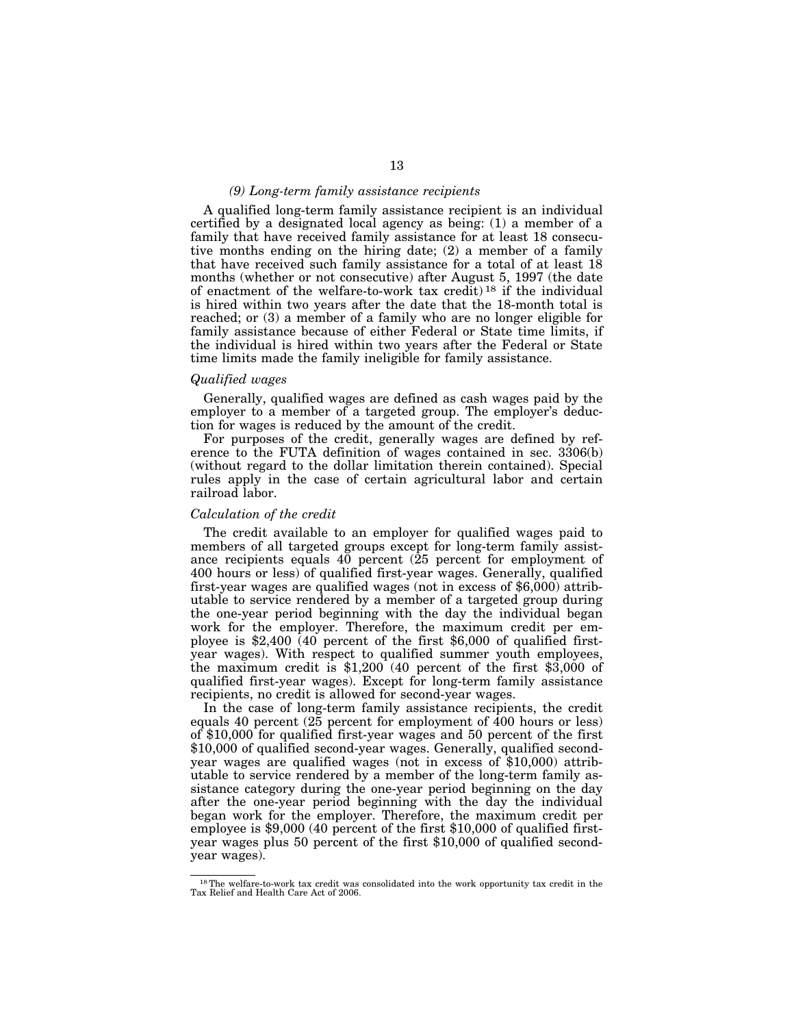### *(9) Long-term family assistance recipients*

A qualified long-term family assistance recipient is an individual certified by a designated local agency as being: (1) a member of a family that have received family assistance for at least 18 consecutive months ending on the hiring date; (2) a member of a family that have received such family assistance for a total of at least 18 months (whether or not consecutive) after August 5, 1997 (the date of enactment of the welfare-to-work tax credit)<sup>18</sup> if the individual is hired within two years after the date that the 18-month total is reached; or (3) a member of a family who are no longer eligible for family assistance because of either Federal or State time limits, if the individual is hired within two years after the Federal or State time limits made the family ineligible for family assistance.

### *Qualified wages*

Generally, qualified wages are defined as cash wages paid by the employer to a member of a targeted group. The employer's deduction for wages is reduced by the amount of the credit.

For purposes of the credit, generally wages are defined by reference to the FUTA definition of wages contained in sec. 3306(b) (without regard to the dollar limitation therein contained). Special rules apply in the case of certain agricultural labor and certain railroad labor.

### *Calculation of the credit*

The credit available to an employer for qualified wages paid to members of all targeted groups except for long-term family assistance recipients equals 40 percent (25 percent for employment of 400 hours or less) of qualified first-year wages. Generally, qualified first-year wages are qualified wages (not in excess of \$6,000) attributable to service rendered by a member of a targeted group during the one-year period beginning with the day the individual began work for the employer. Therefore, the maximum credit per employee is  $$2,400$  (40 percent of the first  $$6,000$  of qualified firstyear wages). With respect to qualified summer youth employees, the maximum credit is \$1,200 (40 percent of the first \$3,000 of qualified first-year wages). Except for long-term family assistance recipients, no credit is allowed for second-year wages.

In the case of long-term family assistance recipients, the credit equals 40 percent ( $25$  percent for employment of  $400$  hours or less) of \$10,000 for qualified first-year wages and 50 percent of the first \$10,000 of qualified second-year wages. Generally, qualified secondyear wages are qualified wages (not in excess of \$10,000) attributable to service rendered by a member of the long-term family assistance category during the one-year period beginning on the day after the one-year period beginning with the day the individual began work for the employer. Therefore, the maximum credit per employee is \$9,000 (40 percent of the first \$10,000 of qualified firstyear wages plus 50 percent of the first \$10,000 of qualified secondyear wages).

<sup>18</sup>The welfare-to-work tax credit was consolidated into the work opportunity tax credit in the Tax Relief and Health Care Act of 2006.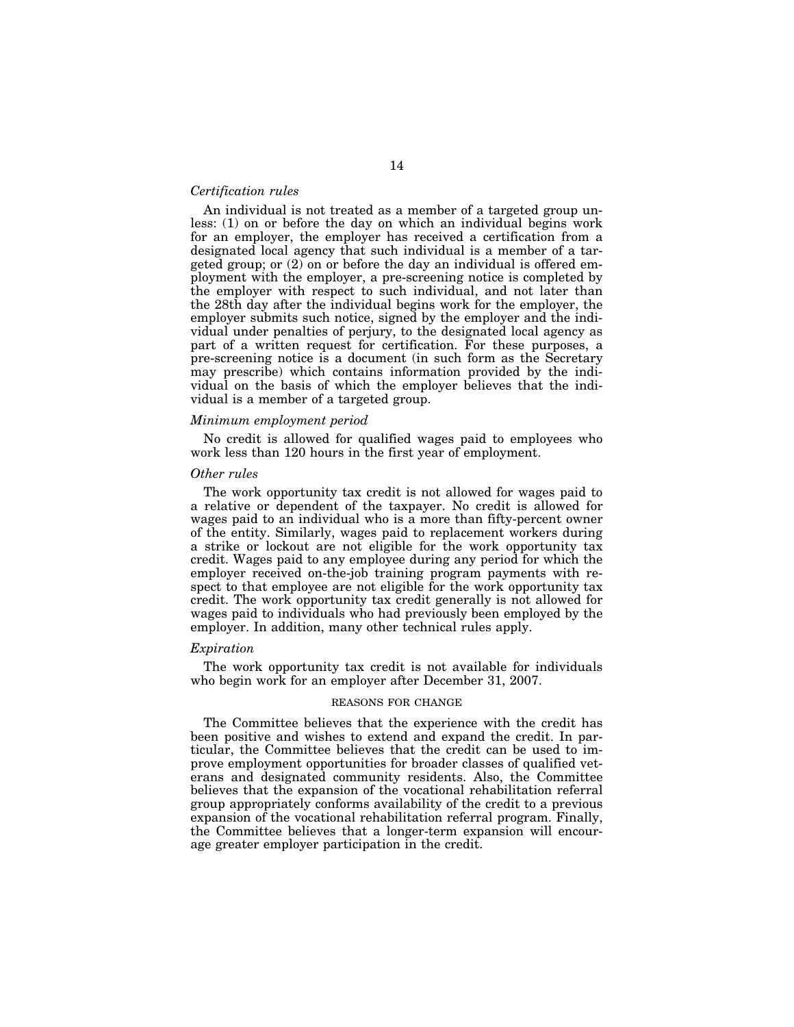### *Certification rules*

An individual is not treated as a member of a targeted group unless: (1) on or before the day on which an individual begins work for an employer, the employer has received a certification from a designated local agency that such individual is a member of a targeted group; or (2) on or before the day an individual is offered employment with the employer, a pre-screening notice is completed by the employer with respect to such individual, and not later than the 28th day after the individual begins work for the employer, the employer submits such notice, signed by the employer and the individual under penalties of perjury, to the designated local agency as part of a written request for certification. For these purposes, a pre-screening notice is a document (in such form as the Secretary may prescribe) which contains information provided by the individual on the basis of which the employer believes that the individual is a member of a targeted group.

### *Minimum employment period*

No credit is allowed for qualified wages paid to employees who work less than 120 hours in the first year of employment.

## *Other rules*

The work opportunity tax credit is not allowed for wages paid to a relative or dependent of the taxpayer. No credit is allowed for wages paid to an individual who is a more than fifty-percent owner of the entity. Similarly, wages paid to replacement workers during a strike or lockout are not eligible for the work opportunity tax credit. Wages paid to any employee during any period for which the employer received on-the-job training program payments with respect to that employee are not eligible for the work opportunity tax credit. The work opportunity tax credit generally is not allowed for wages paid to individuals who had previously been employed by the employer. In addition, many other technical rules apply.

## *Expiration*

The work opportunity tax credit is not available for individuals who begin work for an employer after December 31, 2007.

### REASONS FOR CHANGE

The Committee believes that the experience with the credit has been positive and wishes to extend and expand the credit. In particular, the Committee believes that the credit can be used to improve employment opportunities for broader classes of qualified veterans and designated community residents. Also, the Committee believes that the expansion of the vocational rehabilitation referral group appropriately conforms availability of the credit to a previous expansion of the vocational rehabilitation referral program. Finally, the Committee believes that a longer-term expansion will encourage greater employer participation in the credit.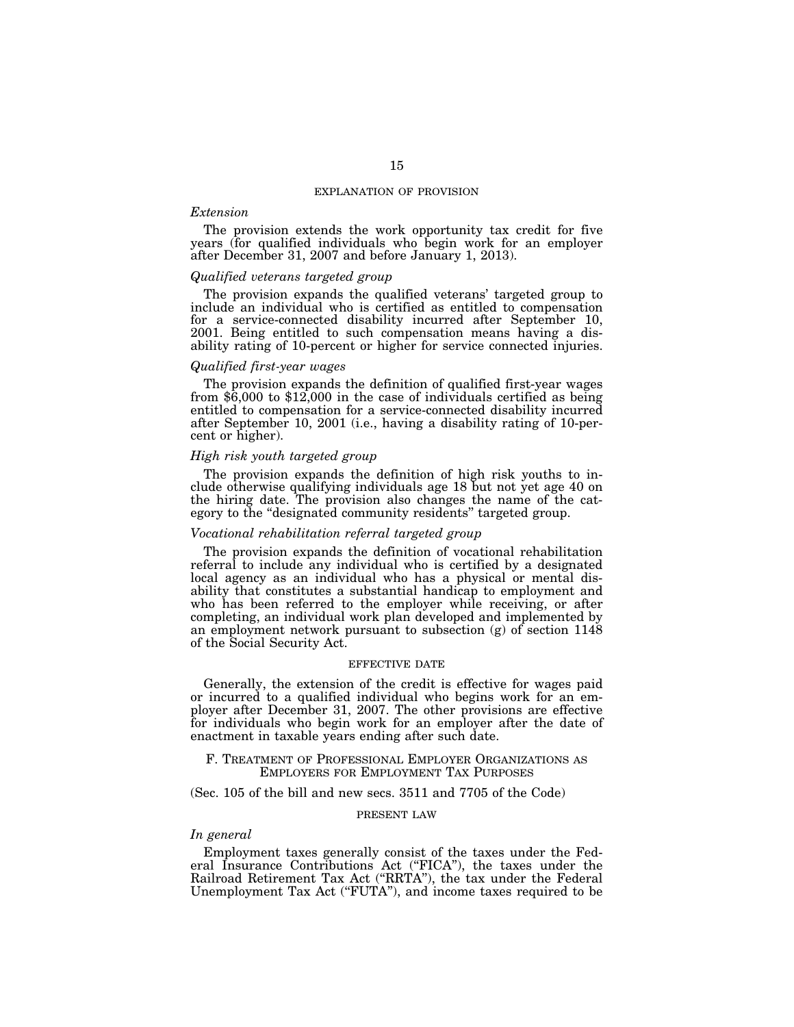#### EXPLANATION OF PROVISION

## *Extension*

The provision extends the work opportunity tax credit for five years (for qualified individuals who begin work for an employer after December 31, 2007 and before January 1, 2013).

### *Qualified veterans targeted group*

The provision expands the qualified veterans' targeted group to include an individual who is certified as entitled to compensation for a service-connected disability incurred after September 10, 2001. Being entitled to such compensation means having a disability rating of 10-percent or higher for service connected injuries.

## *Qualified first-year wages*

The provision expands the definition of qualified first-year wages from \$6,000 to \$12,000 in the case of individuals certified as being entitled to compensation for a service-connected disability incurred after September 10, 2001 (i.e., having a disability rating of 10-percent or higher).

## *High risk youth targeted group*

The provision expands the definition of high risk youths to include otherwise qualifying individuals age 18 but not yet age 40 on the hiring date. The provision also changes the name of the category to the "designated community residents" targeted group.

### *Vocational rehabilitation referral targeted group*

The provision expands the definition of vocational rehabilitation referral to include any individual who is certified by a designated local agency as an individual who has a physical or mental disability that constitutes a substantial handicap to employment and who has been referred to the employer while receiving, or after completing, an individual work plan developed and implemented by an employment network pursuant to subsection (g) of section 1148 of the Social Security Act.

## EFFECTIVE DATE

Generally, the extension of the credit is effective for wages paid or incurred to a qualified individual who begins work for an employer after December 31, 2007. The other provisions are effective for individuals who begin work for an employer after the date of enactment in taxable years ending after such date.

# F. TREATMENT OF PROFESSIONAL EMPLOYER ORGANIZATIONS AS EMPLOYERS FOR EMPLOYMENT TAX PURPOSES

## (Sec. 105 of the bill and new secs. 3511 and 7705 of the Code)

## PRESENT LAW

# *In general*

Employment taxes generally consist of the taxes under the Federal Insurance Contributions Act (''FICA''), the taxes under the Railroad Retirement Tax Act ("RRTA"), the tax under the Federal Unemployment Tax Act (''FUTA''), and income taxes required to be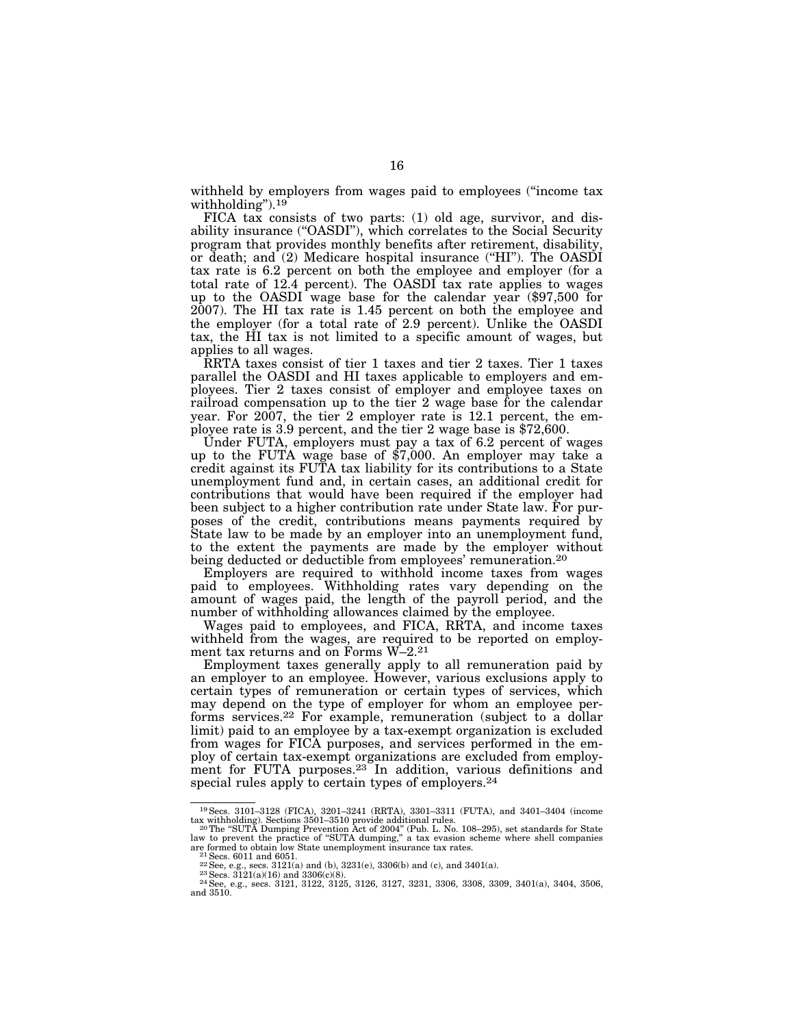withheld by employers from wages paid to employees ("income tax") withholding").<sup>19</sup>

FICA tax consists of two parts: (1) old age, survivor, and disability insurance ("OASDI"), which correlates to the Social Security program that provides monthly benefits after retirement, disability, or death; and (2) Medicare hospital insurance (''HI''). The OASDI tax rate is 6.2 percent on both the employee and employer (for a total rate of 12.4 percent). The OASDI tax rate applies to wages up to the OASDI wage base for the calendar year (\$97,500 for 2007). The HI tax rate is 1.45 percent on both the employee and the employer (for a total rate of 2.9 percent). Unlike the OASDI tax, the HI tax is not limited to a specific amount of wages, but applies to all wages.

RRTA taxes consist of tier 1 taxes and tier 2 taxes. Tier 1 taxes parallel the OASDI and HI taxes applicable to employers and employees. Tier 2 taxes consist of employer and employee taxes on railroad compensation up to the tier 2 wage base for the calendar year. For  $2007$ , the tier 2 employer rate is 12.1 percent, the employee rate is 3.9 percent, and the tier 2 wage base is \$72,600.

Under FUTA, employers must pay a tax of 6.2 percent of wages up to the FUTA wage base of \$7,000. An employer may take a credit against its FUTA tax liability for its contributions to a State unemployment fund and, in certain cases, an additional credit for contributions that would have been required if the employer had been subject to a higher contribution rate under State law. For purposes of the credit, contributions means payments required by State law to be made by an employer into an unemployment fund, to the extent the payments are made by the employer without being deducted or deductible from employees' remuneration.<sup>20</sup>

Employers are required to withhold income taxes from wages paid to employees. Withholding rates vary depending on the amount of wages paid, the length of the payroll period, and the number of withholding allowances claimed by the employee.

Wages paid to employees, and FICA, RRTA, and income taxes withheld from the wages, are required to be reported on employment tax returns and on Forms W–2.21

Employment taxes generally apply to all remuneration paid by an employer to an employee. However, various exclusions apply to certain types of remuneration or certain types of services, which may depend on the type of employer for whom an employee performs services.<sup>22</sup> For example, remuneration (subject to a dollar limit) paid to an employee by a tax-exempt organization is excluded from wages for FICA purposes, and services performed in the employ of certain tax-exempt organizations are excluded from employment for FUTA purposes.<sup>23</sup> In addition, various definitions and special rules apply to certain types of employers.<sup>24</sup>

<sup>19</sup>Secs. 3101–3128 (FICA), 3201–3241 (RRTA), 3301–3311 (FUTA), and 3401–3404 (income

tax withholding). Sections 3501–3510 provide additional rules.<br>20The "SUTA Dumping Prevention Act of 2004" (Pub. L. No. 108–295), set standards for State<br>law to prevent the practice of "SUTA dumping," a tax evasion scheme

are formed to obtain low State unemployment insurance tax rates.<br>
<sup>21</sup> Secs. 6011 and 6051.<br>
<sup>22</sup> See, e.g., secs. 3121(a) and (b), 3231(e), 3306(b) and (c), and 3401(a).<br>
<sup>23</sup> See, e.g., secs. 3121(a)(16) and 3306(c)(8).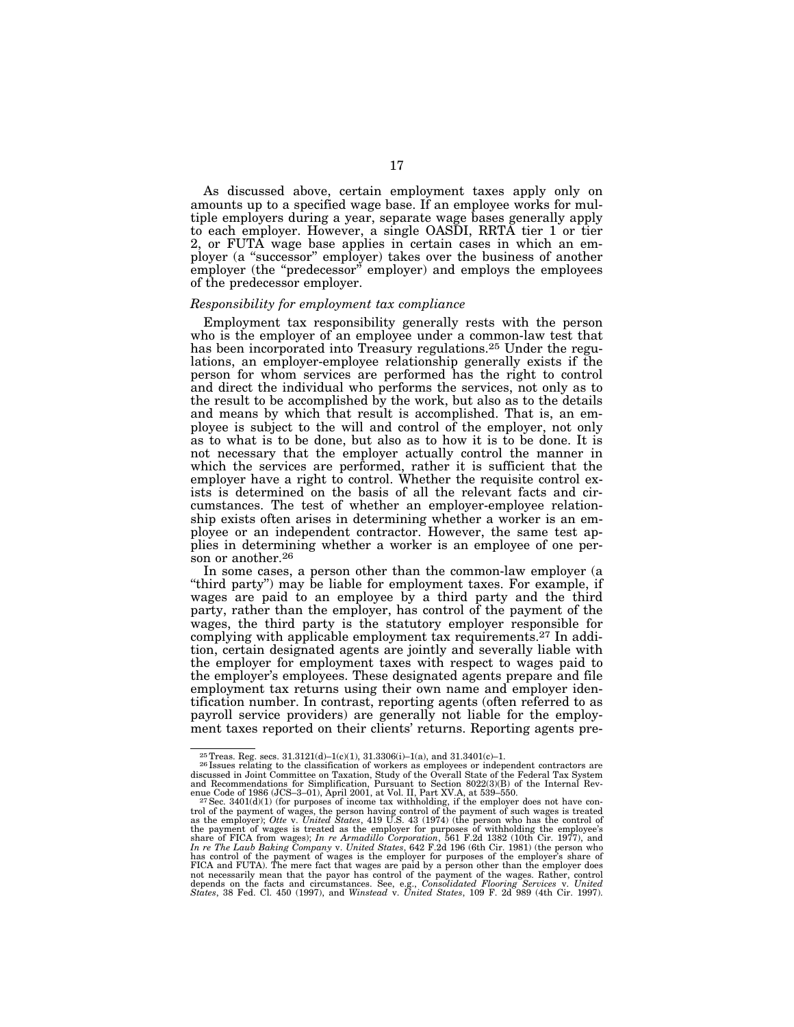As discussed above, certain employment taxes apply only on amounts up to a specified wage base. If an employee works for multiple employers during a year, separate wage bases generally apply to each employer. However, a single OASDI, RRTA tier 1 or tier 2, or FUTA wage base applies in certain cases in which an employer (a ''successor'' employer) takes over the business of another employer (the "predecessor" employer) and employs the employees of the predecessor employer.

#### *Responsibility for employment tax compliance*

Employment tax responsibility generally rests with the person who is the employer of an employee under a common-law test that has been incorporated into Treasury regulations.<sup>25</sup> Under the regulations, an employer-employee relationship generally exists if the person for whom services are performed has the right to control and direct the individual who performs the services, not only as to the result to be accomplished by the work, but also as to the details and means by which that result is accomplished. That is, an employee is subject to the will and control of the employer, not only as to what is to be done, but also as to how it is to be done. It is not necessary that the employer actually control the manner in which the services are performed, rather it is sufficient that the employer have a right to control. Whether the requisite control exists is determined on the basis of all the relevant facts and circumstances. The test of whether an employer-employee relationship exists often arises in determining whether a worker is an employee or an independent contractor. However, the same test applies in determining whether a worker is an employee of one person or another.<sup>26</sup>

In some cases, a person other than the common-law employer (a "third party") may be liable for employment taxes. For example, if wages are paid to an employee by a third party and the third party, rather than the employer, has control of the payment of the wages, the third party is the statutory employer responsible for complying with applicable employment tax requirements.27 In addition, certain designated agents are jointly and severally liable with the employer for employment taxes with respect to wages paid to the employer's employees. These designated agents prepare and file employment tax returns using their own name and employer identification number. In contrast, reporting agents (often referred to as payroll service providers) are generally not liable for the employment taxes reported on their clients' returns. Reporting agents pre-

<sup>&</sup>lt;sup>25</sup> Treas. Reg. secs. 31.3121(d)–1(c)(1), 31.3306(i)–1(a), and 31.3401(c)–1.<br><sup>26</sup> Issues relating to the classification of workers as employees or independent contractors are<br>discussed in Joint Committee on Taxation, Stu

enue Code of 1986 (JCS-3-01), April 2001, at Vol. II, Part XV.A, at 539-550.<br><sup>27</sup>Sec. 3401(d)(1) (for purposes of income tax withholding, if the employer does not have con-<br>trol of the payment of wages, the person having not necessarily mean that the payor has control of the payment of the wages. Rather, control<br>depends on the facts and circumstances. See, e.g., Consolidated Flooring Services v. United<br>States, 38 Fed. Cl. 450 (1997), and W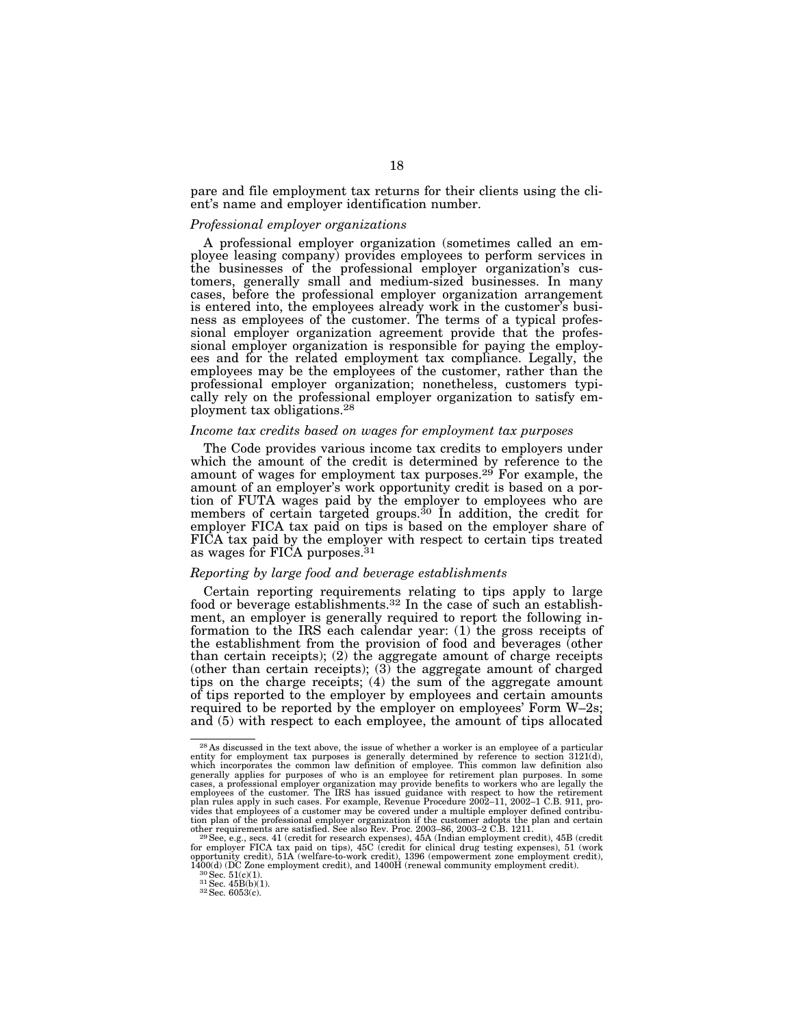pare and file employment tax returns for their clients using the client's name and employer identification number.

#### *Professional employer organizations*

A professional employer organization (sometimes called an employee leasing company) provides employees to perform services in the businesses of the professional employer organization's customers, generally small and medium-sized businesses. In many cases, before the professional employer organization arrangement is entered into, the employees already work in the customer's business as employees of the customer. The terms of a typical professional employer organization agreement provide that the professional employer organization is responsible for paying the employees and for the related employment tax compliance. Legally, the employees may be the employees of the customer, rather than the professional employer organization; nonetheless, customers typically rely on the professional employer organization to satisfy employment tax obligations.28

## *Income tax credits based on wages for employment tax purposes*

The Code provides various income tax credits to employers under which the amount of the credit is determined by reference to the amount of wages for employment tax purposes.<sup>29</sup> For example, the amount of an employer's work opportunity credit is based on a portion of FUTA wages paid by the employer to employees who are members of certain targeted groups.<sup>30</sup> In addition, the credit for employer FICA tax paid on tips is based on the employer share of FICA tax paid by the employer with respect to certain tips treated as wages for FICA purposes.<sup>31</sup>

#### *Reporting by large food and beverage establishments*

Certain reporting requirements relating to tips apply to large food or beverage establishments.<sup>32</sup> In the case of such an establishment, an employer is generally required to report the following information to the IRS each calendar year: (1) the gross receipts of the establishment from the provision of food and beverages (other than certain receipts); (2) the aggregate amount of charge receipts (other than certain receipts);  $(3)$  the aggregate amount of charged tips on the charge receipts; (4) the sum of the aggregate amount of tips reported to the employer by employees and certain amounts required to be reported by the employer on employees' Form W–2s; and (5) with respect to each employee, the amount of tips allocated

<sup>&</sup>lt;sup>28</sup> As discussed in the text above, the issue of whether a worker is an employee of a particular entity for employment tax purposes is generally determined by reference to section 3121(d), which incorporates the common law definition of employee. This common law definition also generally applies for purposes of who is an employee for retirement plan purposes. In some cases, a professional employer organization may provide benefits to workers who are legally the employees of the customer. The IRS has issued guidance with respect to how the retirement<br>plan rules apply in such cases. For example, Revenue Procedure 2002–11, 2002–1 C.B. 911, pro-<br>vides that employees of a customer may tion plan of the professional employer organization if the customer adopts the plan and certain<br>other requirements are satisfied. See also Rev. Proc. 2003–86, 2003–2 C.B. 1211.<br><sup>29</sup> See, e.g., secs. 41 (credit for researc

for employer FICA tax paid on tips), 45C (credit for clinical drug testing expenses), 51 (work opportunity credit), 51A (welfare-to-work credit), 1396 (empowerment zone employment credit), 1400(d) (DC Zone employment cred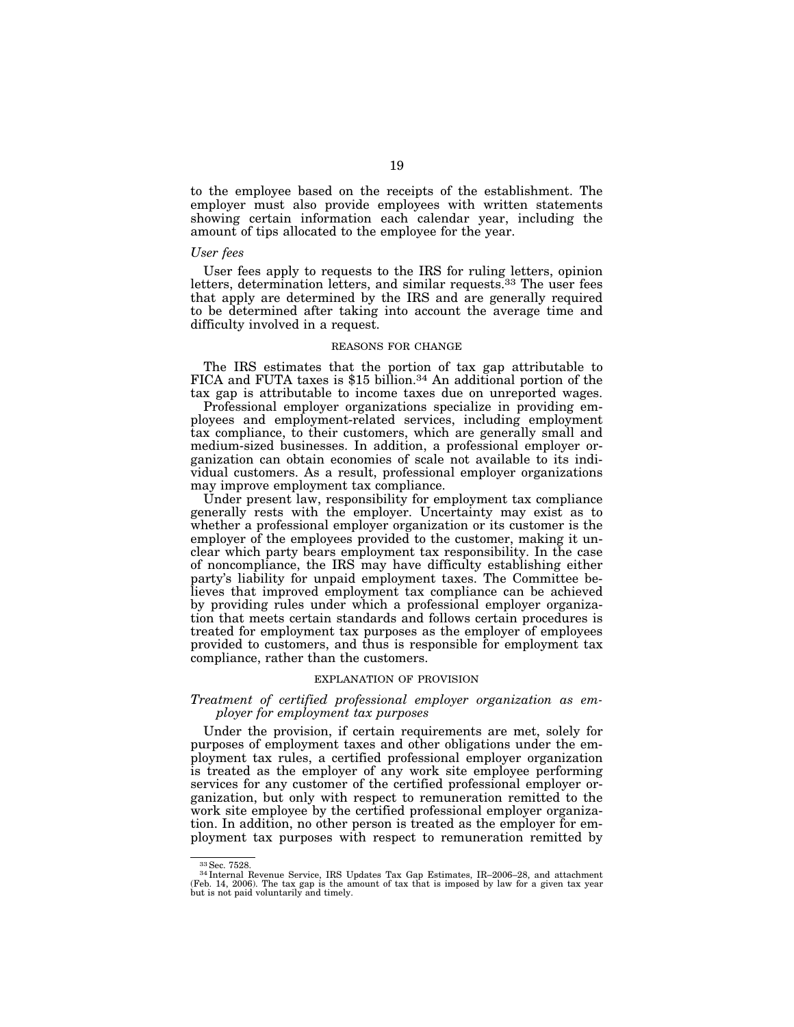to the employee based on the receipts of the establishment. The employer must also provide employees with written statements showing certain information each calendar year, including the amount of tips allocated to the employee for the year.

#### *User fees*

User fees apply to requests to the IRS for ruling letters, opinion letters, determination letters, and similar requests.<sup>33</sup> The user fees that apply are determined by the IRS and are generally required to be determined after taking into account the average time and difficulty involved in a request.

### REASONS FOR CHANGE

The IRS estimates that the portion of tax gap attributable to FICA and FUTA taxes is \$15 billion.<sup>34</sup> An additional portion of the tax gap is attributable to income taxes due on unreported wages.

Professional employer organizations specialize in providing employees and employment-related services, including employment tax compliance, to their customers, which are generally small and medium-sized businesses. In addition, a professional employer organization can obtain economies of scale not available to its individual customers. As a result, professional employer organizations may improve employment tax compliance.

Under present law, responsibility for employment tax compliance generally rests with the employer. Uncertainty may exist as to whether a professional employer organization or its customer is the employer of the employees provided to the customer, making it unclear which party bears employment tax responsibility. In the case of noncompliance, the IRS may have difficulty establishing either party's liability for unpaid employment taxes. The Committee believes that improved employment tax compliance can be achieved by providing rules under which a professional employer organization that meets certain standards and follows certain procedures is treated for employment tax purposes as the employer of employees provided to customers, and thus is responsible for employment tax compliance, rather than the customers.

## EXPLANATION OF PROVISION

## *Treatment of certified professional employer organization as employer for employment tax purposes*

Under the provision, if certain requirements are met, solely for purposes of employment taxes and other obligations under the employment tax rules, a certified professional employer organization is treated as the employer of any work site employee performing services for any customer of the certified professional employer organization, but only with respect to remuneration remitted to the work site employee by the certified professional employer organization. In addition, no other person is treated as the employer for employment tax purposes with respect to remuneration remitted by

<sup>&</sup>lt;sup>33</sup> Sec. 7528.<br><sup>34</sup> Internal Revenue Service, IRS Updates Tax Gap Estimates, IR–2006–28, and attachment (Feb. 14, 2006). The tax gap is the amount of tax that is imposed by law for a given tax year but is not paid volunt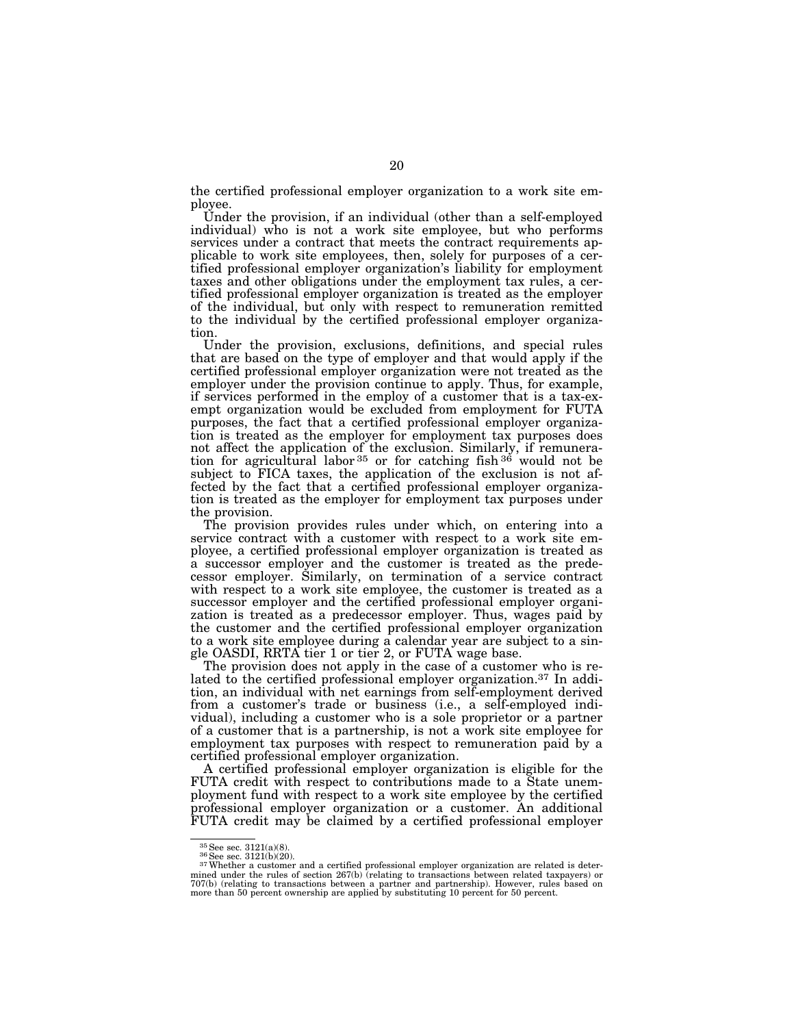the certified professional employer organization to a work site employee.

Under the provision, if an individual (other than a self-employed individual) who is not a work site employee, but who performs services under a contract that meets the contract requirements applicable to work site employees, then, solely for purposes of a certified professional employer organization's liability for employment taxes and other obligations under the employment tax rules, a certified professional employer organization is treated as the employer of the individual, but only with respect to remuneration remitted to the individual by the certified professional employer organization.

Under the provision, exclusions, definitions, and special rules that are based on the type of employer and that would apply if the certified professional employer organization were not treated as the employer under the provision continue to apply. Thus, for example, if services performed in the employ of a customer that is a tax-exempt organization would be excluded from employment for FUTA purposes, the fact that a certified professional employer organization is treated as the employer for employment tax purposes does not affect the application of the exclusion. Similarly, if remuneration for agricultural labor  $35$  or for catching fish  $36$  would not be subject to FICA taxes, the application of the exclusion is not affected by the fact that a certified professional employer organization is treated as the employer for employment tax purposes under the provision.

The provision provides rules under which, on entering into a service contract with a customer with respect to a work site employee, a certified professional employer organization is treated as a successor employer and the customer is treated as the predecessor employer. Similarly, on termination of a service contract with respect to a work site employee, the customer is treated as a successor employer and the certified professional employer organization is treated as a predecessor employer. Thus, wages paid by the customer and the certified professional employer organization to a work site employee during a calendar year are subject to a single OASDI, RRTA tier 1 or tier 2, or FUTA wage base.

The provision does not apply in the case of a customer who is related to the certified professional employer organization.37 In addition, an individual with net earnings from self-employment derived from a customer's trade or business (i.e., a self-employed individual), including a customer who is a sole proprietor or a partner of a customer that is a partnership, is not a work site employee for employment tax purposes with respect to remuneration paid by a certified professional employer organization.

A certified professional employer organization is eligible for the FUTA credit with respect to contributions made to a State unemployment fund with respect to a work site employee by the certified professional employer organization or a customer. An additional FUTA credit may be claimed by a certified professional employer

 $\frac{35}{36}$ See sec. 3121(a)(8).<br><sup>36</sup>See sec. 3121(b)(20).<br><sup>37</sup>Whether a customer and a certified professional employer organization are related is determined under the rules of section 267(b) (relating to transactions between related taxpayers) or<br>707(b) (relating to transactions between a partner and partnership). However, rules based on<br>more than 50 percent ownership ar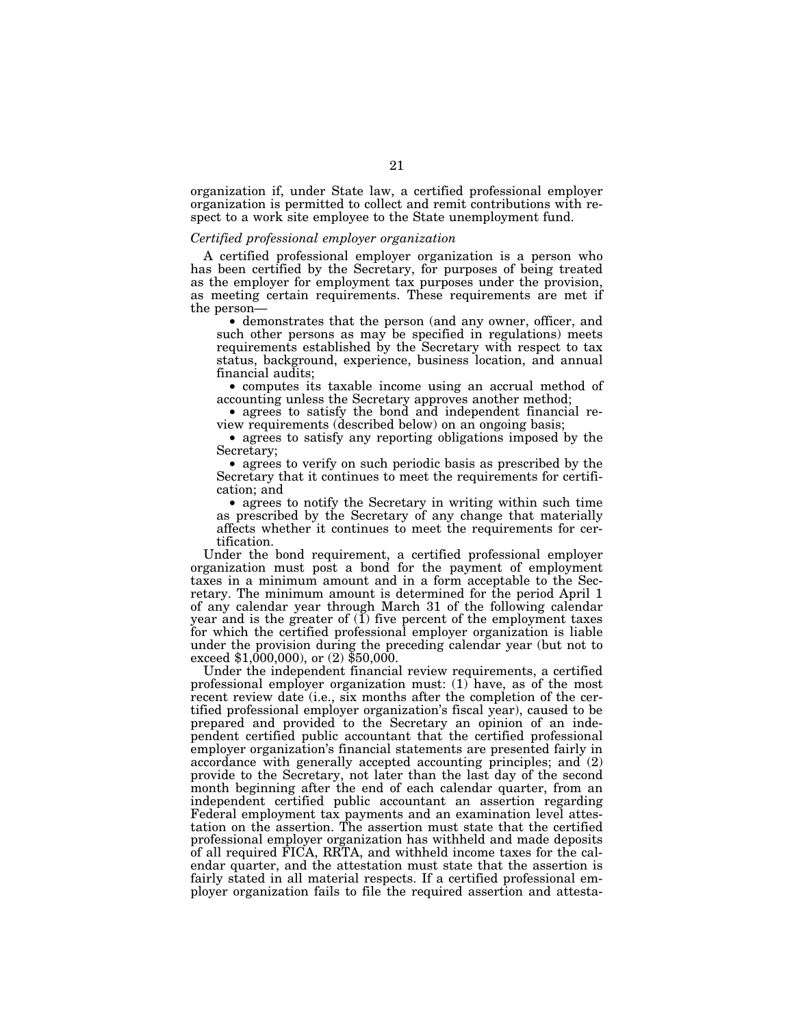organization if, under State law, a certified professional employer organization is permitted to collect and remit contributions with respect to a work site employee to the State unemployment fund.

#### *Certified professional employer organization*

A certified professional employer organization is a person who has been certified by the Secretary, for purposes of being treated as the employer for employment tax purposes under the provision, as meeting certain requirements. These requirements are met if the person—

• demonstrates that the person (and any owner, officer, and such other persons as may be specified in regulations) meets requirements established by the Secretary with respect to tax status, background, experience, business location, and annual financial audits;

• computes its taxable income using an accrual method of accounting unless the Secretary approves another method;

• agrees to satisfy the bond and independent financial review requirements (described below) on an ongoing basis;

• agrees to satisfy any reporting obligations imposed by the Secretary;

• agrees to verify on such periodic basis as prescribed by the Secretary that it continues to meet the requirements for certification; and

• agrees to notify the Secretary in writing within such time as prescribed by the Secretary of any change that materially affects whether it continues to meet the requirements for certification.

Under the bond requirement, a certified professional employer organization must post a bond for the payment of employment taxes in a minimum amount and in a form acceptable to the Secretary. The minimum amount is determined for the period April 1 of any calendar year through March 31 of the following calendar year and is the greater of  $(I)$  five percent of the employment taxes for which the certified professional employer organization is liable under the provision during the preceding calendar year (but not to exceed  $$1,000,000$ , or  $(2)$   $$50,000$ .

Under the independent financial review requirements, a certified professional employer organization must: (1) have, as of the most recent review date (i.e., six months after the completion of the certified professional employer organization's fiscal year), caused to be prepared and provided to the Secretary an opinion of an independent certified public accountant that the certified professional employer organization's financial statements are presented fairly in accordance with generally accepted accounting principles; and (2) provide to the Secretary, not later than the last day of the second month beginning after the end of each calendar quarter, from an independent certified public accountant an assertion regarding Federal employment tax payments and an examination level attestation on the assertion. The assertion must state that the certified professional employer organization has withheld and made deposits of all required FICA, RRTA, and withheld income taxes for the calendar quarter, and the attestation must state that the assertion is fairly stated in all material respects. If a certified professional employer organization fails to file the required assertion and attesta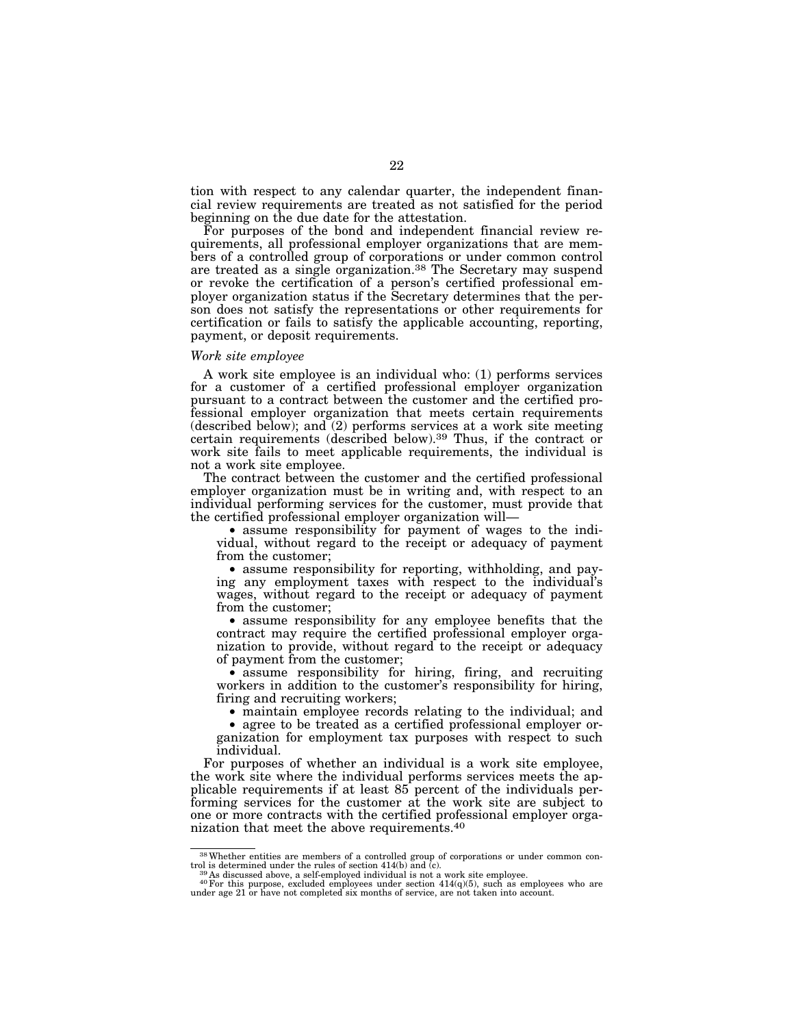tion with respect to any calendar quarter, the independent financial review requirements are treated as not satisfied for the period beginning on the due date for the attestation.

For purposes of the bond and independent financial review requirements, all professional employer organizations that are members of a controlled group of corporations or under common control are treated as a single organization.38 The Secretary may suspend or revoke the certification of a person's certified professional employer organization status if the Secretary determines that the person does not satisfy the representations or other requirements for certification or fails to satisfy the applicable accounting, reporting, payment, or deposit requirements.

### *Work site employee*

A work site employee is an individual who: (1) performs services for a customer of a certified professional employer organization pursuant to a contract between the customer and the certified professional employer organization that meets certain requirements (described below); and (2) performs services at a work site meeting certain requirements (described below).39 Thus, if the contract or work site fails to meet applicable requirements, the individual is not a work site employee.

The contract between the customer and the certified professional employer organization must be in writing and, with respect to an individual performing services for the customer, must provide that the certified professional employer organization will—

• assume responsibility for payment of wages to the individual, without regard to the receipt or adequacy of payment from the customer;

• assume responsibility for reporting, withholding, and paying any employment taxes with respect to the individual's wages, without regard to the receipt or adequacy of payment from the customer;

• assume responsibility for any employee benefits that the contract may require the certified professional employer organization to provide, without regard to the receipt or adequacy of payment from the customer;

• assume responsibility for hiring, firing, and recruiting workers in addition to the customer's responsibility for hiring, firing and recruiting workers;

• maintain employee records relating to the individual; and

• agree to be treated as a certified professional employer organization for employment tax purposes with respect to such individual.

For purposes of whether an individual is a work site employee, the work site where the individual performs services meets the applicable requirements if at least 85 percent of the individuals performing services for the customer at the work site are subject to one or more contracts with the certified professional employer organization that meet the above requirements.40

 $38$ Whether entities are members of a controlled group of corporations or under common control is determined under the rules of section 414(b) and (c).

trol is determined under the rules of section 414(b) and  $\overline{(c)}$ .<br><sup>39</sup> As discussed above, a self-employed individual is not a work site employee.<br><sup>40</sup>For this purpose, excluded employees under section 414(q)(5), such as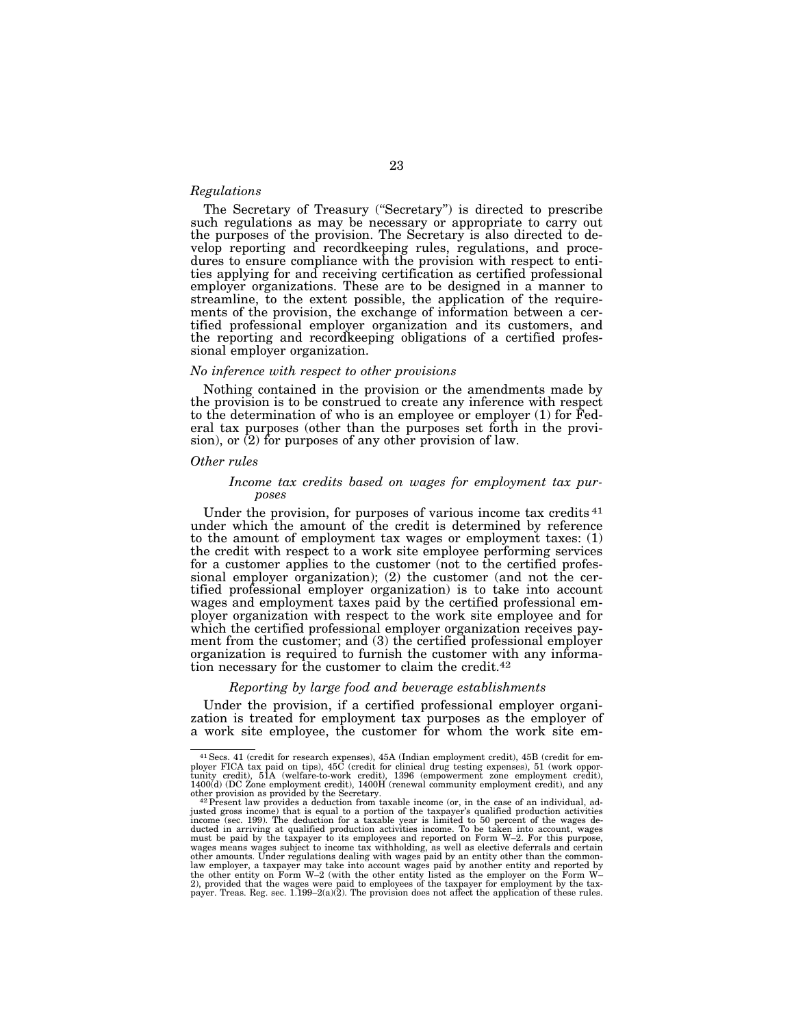### *Regulations*

The Secretary of Treasury (''Secretary'') is directed to prescribe such regulations as may be necessary or appropriate to carry out the purposes of the provision. The Secretary is also directed to develop reporting and recordkeeping rules, regulations, and procedures to ensure compliance with the provision with respect to entities applying for and receiving certification as certified professional employer organizations. These are to be designed in a manner to streamline, to the extent possible, the application of the requirements of the provision, the exchange of information between a certified professional employer organization and its customers, and the reporting and recordkeeping obligations of a certified professional employer organization.

#### *No inference with respect to other provisions*

Nothing contained in the provision or the amendments made by the provision is to be construed to create any inference with respect to the determination of who is an employee or employer (1) for Federal tax purposes (other than the purposes set forth in the provision), or (2) for purposes of any other provision of law.

#### *Other rules*

### *Income tax credits based on wages for employment tax purposes*

Under the provision, for purposes of various income tax credits 41 under which the amount of the credit is determined by reference to the amount of employment tax wages or employment taxes: (1) the credit with respect to a work site employee performing services for a customer applies to the customer (not to the certified professional employer organization); (2) the customer (and not the certified professional employer organization) is to take into account wages and employment taxes paid by the certified professional employer organization with respect to the work site employee and for which the certified professional employer organization receives payment from the customer; and (3) the certified professional employer organization is required to furnish the customer with any information necessary for the customer to claim the credit.42

#### *Reporting by large food and beverage establishments*

Under the provision, if a certified professional employer organization is treated for employment tax purposes as the employer of a work site employee, the customer for whom the work site em-

<sup>41</sup>Secs. 41 (credit for research expenses), 45A (Indian employment credit), 45B (credit for em-ployer FICA tax paid on tips), 45C (credit for clinical drug testing expenses), 51 (work opportunity credit), 51A (welfare-to-work credit), 1396 (empowerment zone employment credit), 1400(d) (DC Zone employment credit), 1400H (renewal community employment credit), and any

other provision as provided by the Secretary.<br>"<sup>42</sup> Present law provides a deduction from taxable income (or, in the case of an individual, ad-<br>justed gross income) that is equal to a portion of the taxpayer's qualified pr income (sec. 199). The deduction for a taxable year is limited to 50 percent of the wages de-<br>ducted in arriving at qualified production activities income. To be taken into account, wages<br>must be paid by the taxpayer to it wages means wages subject to income tax withholding, as well as elective deferrals and certain<br>other amounts. Under regulations dealing with wages paid by an entity other than the common-<br>law employer, a taxpayer may take the other entity on Form W–2 (with the other entity listed as the employer on the Form W–<br>2), provided that the wages were paid to employees of the taxpayer for employment by the tax-<br>payer. Treas. Reg. sec. 1.199–2(a)(2).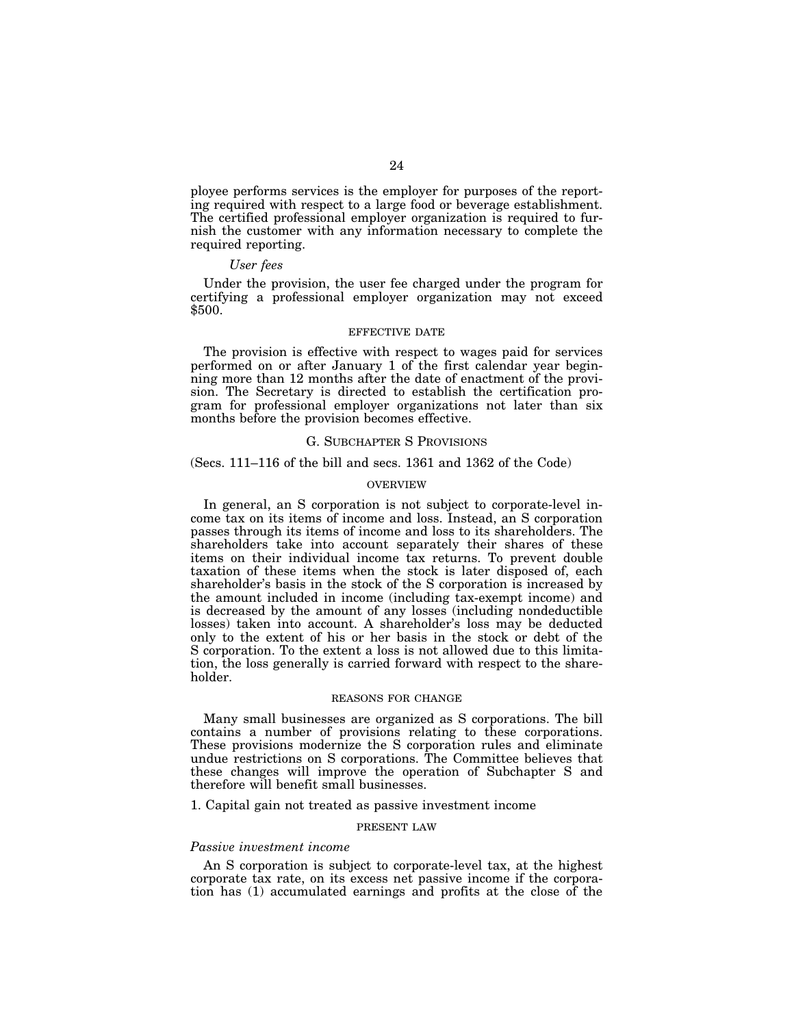ployee performs services is the employer for purposes of the reporting required with respect to a large food or beverage establishment. The certified professional employer organization is required to furnish the customer with any information necessary to complete the required reporting.

### *User fees*

Under the provision, the user fee charged under the program for certifying a professional employer organization may not exceed \$500.

#### EFFECTIVE DATE

The provision is effective with respect to wages paid for services performed on or after January 1 of the first calendar year beginning more than 12 months after the date of enactment of the provision. The Secretary is directed to establish the certification program for professional employer organizations not later than six months before the provision becomes effective.

## G. SUBCHAPTER S PROVISIONS

### (Secs. 111–116 of the bill and secs. 1361 and 1362 of the Code)

#### OVERVIEW

In general, an S corporation is not subject to corporate-level income tax on its items of income and loss. Instead, an S corporation passes through its items of income and loss to its shareholders. The shareholders take into account separately their shares of these items on their individual income tax returns. To prevent double taxation of these items when the stock is later disposed of, each shareholder's basis in the stock of the S corporation is increased by the amount included in income (including tax-exempt income) and is decreased by the amount of any losses (including nondeductible losses) taken into account. A shareholder's loss may be deducted only to the extent of his or her basis in the stock or debt of the S corporation. To the extent a loss is not allowed due to this limitation, the loss generally is carried forward with respect to the shareholder.

#### REASONS FOR CHANGE

Many small businesses are organized as S corporations. The bill contains a number of provisions relating to these corporations. These provisions modernize the S corporation rules and eliminate undue restrictions on S corporations. The Committee believes that these changes will improve the operation of Subchapter S and therefore will benefit small businesses.

1. Capital gain not treated as passive investment income

#### PRESENT LAW

#### *Passive investment income*

An S corporation is subject to corporate-level tax, at the highest corporate tax rate, on its excess net passive income if the corporation has (1) accumulated earnings and profits at the close of the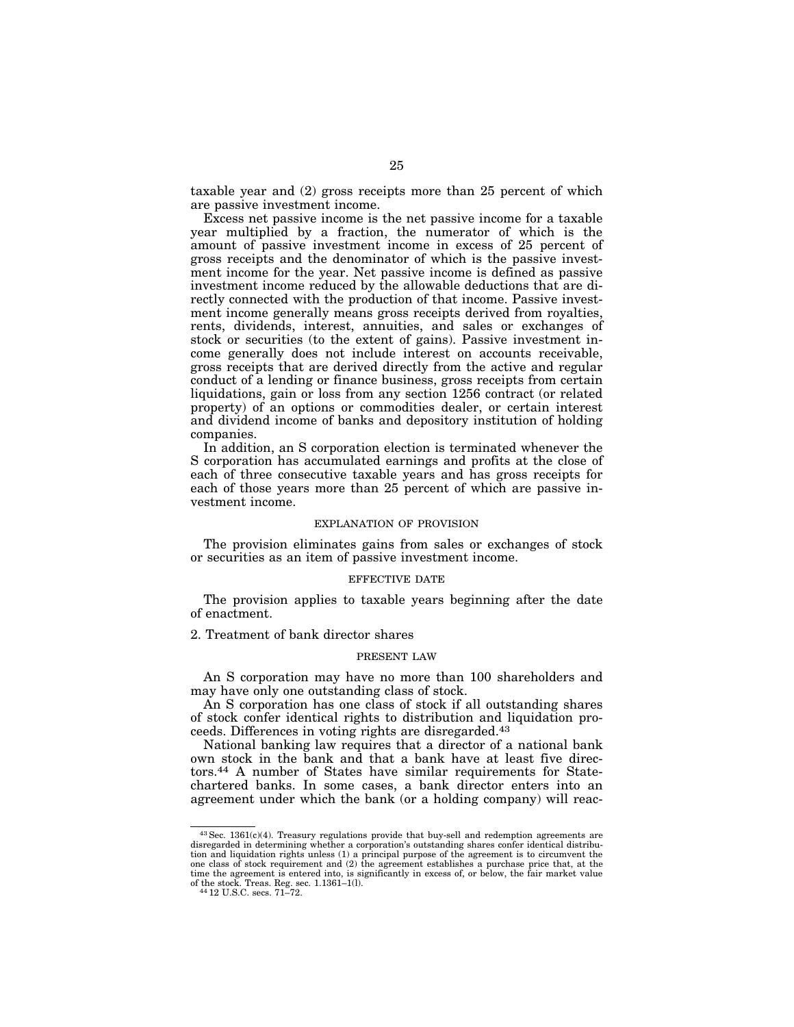taxable year and (2) gross receipts more than 25 percent of which are passive investment income.

Excess net passive income is the net passive income for a taxable year multiplied by a fraction, the numerator of which is the amount of passive investment income in excess of 25 percent of gross receipts and the denominator of which is the passive investment income for the year. Net passive income is defined as passive investment income reduced by the allowable deductions that are directly connected with the production of that income. Passive investment income generally means gross receipts derived from royalties, rents, dividends, interest, annuities, and sales or exchanges of stock or securities (to the extent of gains). Passive investment income generally does not include interest on accounts receivable, gross receipts that are derived directly from the active and regular conduct of a lending or finance business, gross receipts from certain liquidations, gain or loss from any section 1256 contract (or related property) of an options or commodities dealer, or certain interest and dividend income of banks and depository institution of holding companies.

In addition, an S corporation election is terminated whenever the S corporation has accumulated earnings and profits at the close of each of three consecutive taxable years and has gross receipts for each of those years more than 25 percent of which are passive investment income.

#### EXPLANATION OF PROVISION

The provision eliminates gains from sales or exchanges of stock or securities as an item of passive investment income.

## EFFECTIVE DATE

The provision applies to taxable years beginning after the date of enactment.

2. Treatment of bank director shares

#### PRESENT LAW

An S corporation may have no more than 100 shareholders and may have only one outstanding class of stock.

An S corporation has one class of stock if all outstanding shares of stock confer identical rights to distribution and liquidation proceeds. Differences in voting rights are disregarded.43

National banking law requires that a director of a national bank own stock in the bank and that a bank have at least five directors.44 A number of States have similar requirements for Statechartered banks. In some cases, a bank director enters into an agreement under which the bank (or a holding company) will reac-

<sup>43</sup>Sec. 1361(c)(4). Treasury regulations provide that buy-sell and redemption agreements are disregarded in determining whether a corporation's outstanding shares confer identical distribution and liquidation rights unless (1) a principal purpose of the agreement is to circumvent the one class of stock requirement and (2) the agreement establishes a purchase price that, at the time the agreement is entered into, is significantly in excess of, or below, the fair market value of the stock. Treas. Reg. sec. 1.1361–1(l). 44 12 U.S.C. secs. 71–72.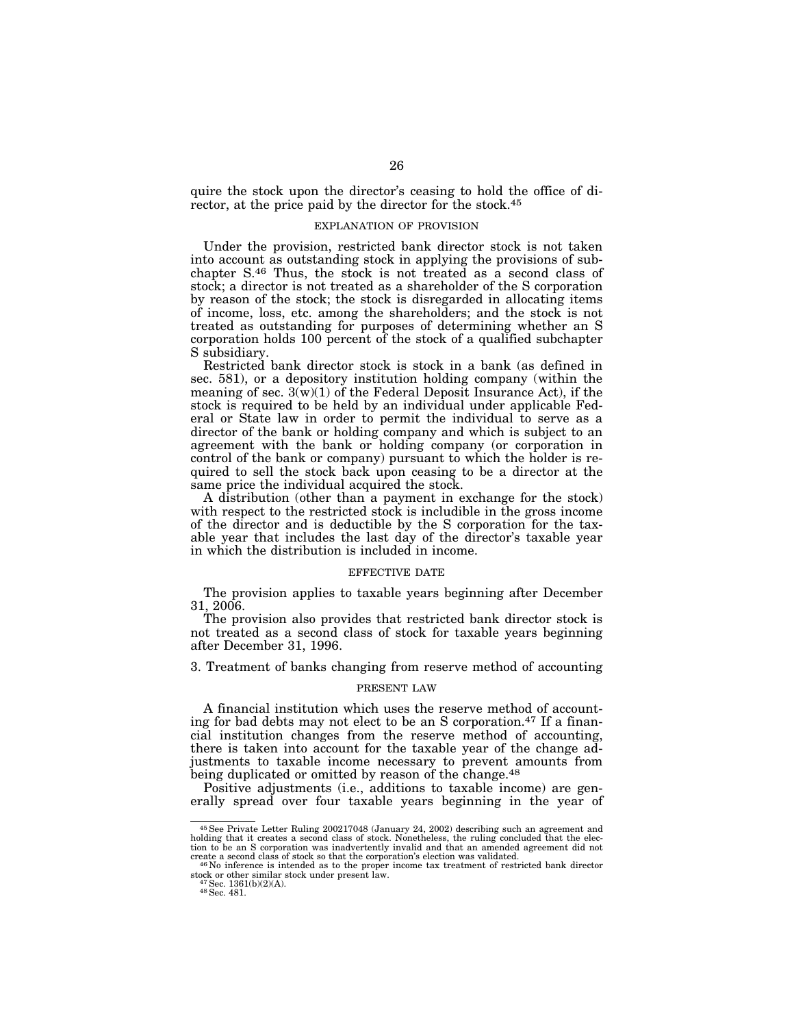quire the stock upon the director's ceasing to hold the office of director, at the price paid by the director for the stock.45

## EXPLANATION OF PROVISION

Under the provision, restricted bank director stock is not taken into account as outstanding stock in applying the provisions of subchapter S.46 Thus, the stock is not treated as a second class of stock; a director is not treated as a shareholder of the S corporation by reason of the stock; the stock is disregarded in allocating items of income, loss, etc. among the shareholders; and the stock is not treated as outstanding for purposes of determining whether an S corporation holds 100 percent of the stock of a qualified subchapter S subsidiary.

Restricted bank director stock is stock in a bank (as defined in sec. 581), or a depository institution holding company (within the meaning of sec.  $3(w)(1)$  of the Federal Deposit Insurance Act), if the stock is required to be held by an individual under applicable Federal or State law in order to permit the individual to serve as a director of the bank or holding company and which is subject to an agreement with the bank or holding company (or corporation in control of the bank or company) pursuant to which the holder is required to sell the stock back upon ceasing to be a director at the same price the individual acquired the stock.

A distribution (other than a payment in exchange for the stock) with respect to the restricted stock is includible in the gross income of the director and is deductible by the S corporation for the taxable year that includes the last day of the director's taxable year in which the distribution is included in income.

#### EFFECTIVE DATE

The provision applies to taxable years beginning after December 31, 2006.

The provision also provides that restricted bank director stock is not treated as a second class of stock for taxable years beginning after December 31, 1996.

3. Treatment of banks changing from reserve method of accounting

#### PRESENT LAW

A financial institution which uses the reserve method of accounting for bad debts may not elect to be an S corporation.47 If a financial institution changes from the reserve method of accounting, there is taken into account for the taxable year of the change adjustments to taxable income necessary to prevent amounts from being duplicated or omitted by reason of the change.<sup>48</sup>

Positive adjustments (i.e., additions to taxable income) are generally spread over four taxable years beginning in the year of

<sup>45</sup>See Private Letter Ruling 200217048 (January 24, 2002) describing such an agreement and holding that it creates a second class of stock. Nonetheless, the ruling concluded that the election to be an S corporation was inadvertently invalid and that an amended agreement did not

<sup>&</sup>lt;sup>46</sup>No inference is intended as to the proper income tax treatment of restricted bank director stock or other similar stock under present law. 47Sec. 1361(b)(2)(A). 48Sec. 481.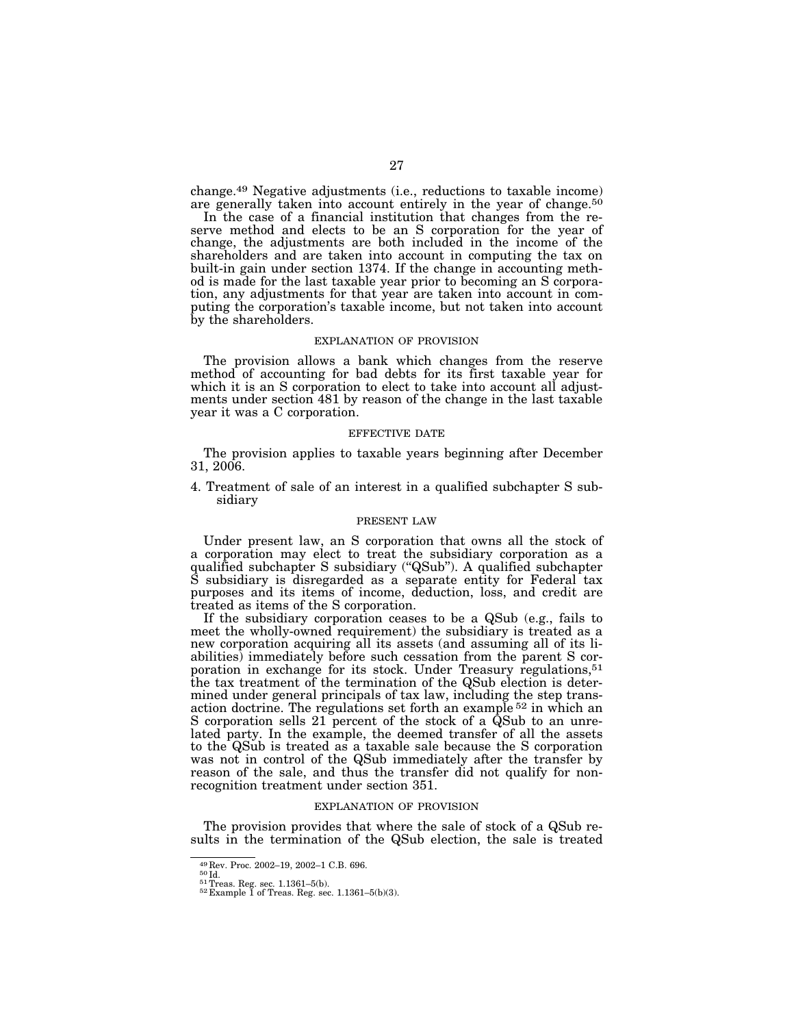change.49 Negative adjustments (i.e., reductions to taxable income) are generally taken into account entirely in the year of change.50

In the case of a financial institution that changes from the reserve method and elects to be an S corporation for the year of change, the adjustments are both included in the income of the shareholders and are taken into account in computing the tax on built-in gain under section 1374. If the change in accounting method is made for the last taxable year prior to becoming an S corporation, any adjustments for that year are taken into account in computing the corporation's taxable income, but not taken into account by the shareholders.

#### EXPLANATION OF PROVISION

The provision allows a bank which changes from the reserve method of accounting for bad debts for its first taxable year for which it is an S corporation to elect to take into account all adjustments under section 481 by reason of the change in the last taxable year it was a C corporation.

#### EFFECTIVE DATE

The provision applies to taxable years beginning after December 31, 2006.

4. Treatment of sale of an interest in a qualified subchapter S subsidiary

### PRESENT LAW

Under present law, an S corporation that owns all the stock of a corporation may elect to treat the subsidiary corporation as a qualified subchapter S subsidiary (''QSub''). A qualified subchapter S subsidiary is disregarded as a separate entity for Federal tax purposes and its items of income, deduction, loss, and credit are treated as items of the S corporation.

If the subsidiary corporation ceases to be a QSub (e.g., fails to meet the wholly-owned requirement) the subsidiary is treated as a new corporation acquiring all its assets (and assuming all of its liabilities) immediately before such cessation from the parent S corporation in exchange for its stock. Under Treasury regulations,<sup>51</sup> the tax treatment of the termination of the QSub election is determined under general principals of tax law, including the step transaction doctrine. The regulations set forth an example 52 in which an S corporation sells 21 percent of the stock of a QSub to an unrelated party. In the example, the deemed transfer of all the assets to the QSub is treated as a taxable sale because the S corporation was not in control of the QSub immediately after the transfer by reason of the sale, and thus the transfer did not qualify for nonrecognition treatment under section 351.

#### EXPLANATION OF PROVISION

The provision provides that where the sale of stock of a QSub results in the termination of the QSub election, the sale is treated

<sup>49</sup> Rev. Proc. 2002–19, 2002–1 C.B. 696.<br> $^{50}$ Id.<br> $^{51}$ Treas. Reg. sec. 1.1361–5(b).<br> $^{52}$ Example 1 of Treas. Reg. sec. 1.1361–5(b)(3).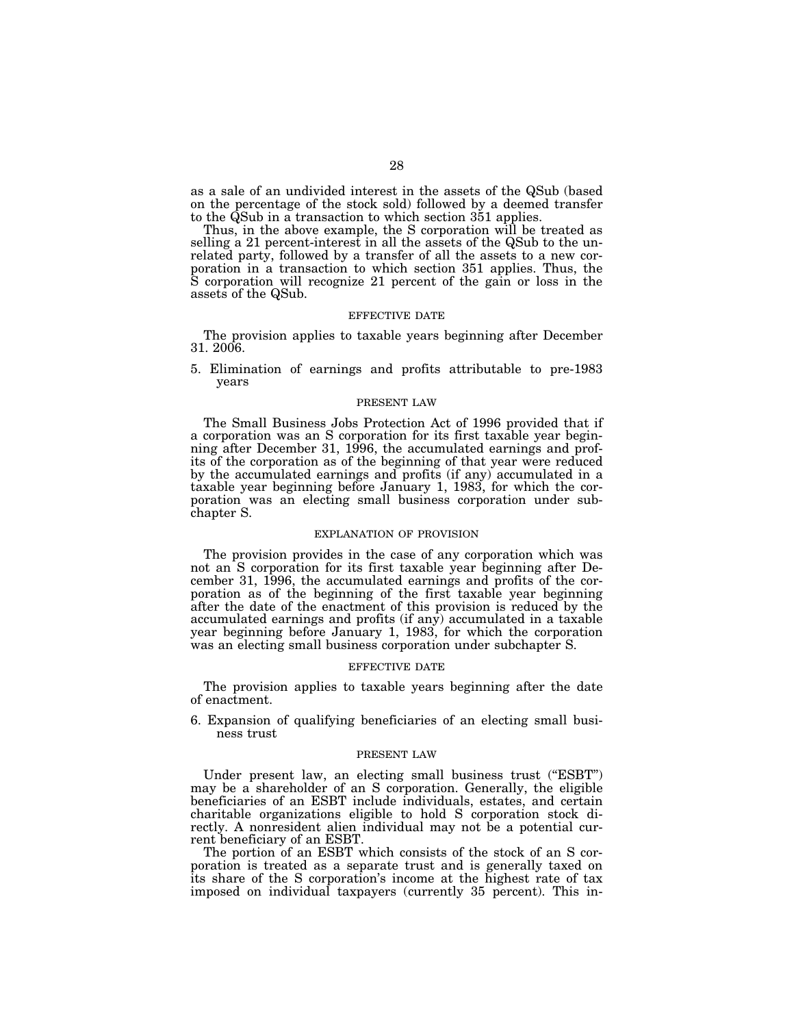as a sale of an undivided interest in the assets of the QSub (based on the percentage of the stock sold) followed by a deemed transfer to the QSub in a transaction to which section 351 applies.

Thus, in the above example, the S corporation will be treated as selling a 21 percent-interest in all the assets of the QSub to the unrelated party, followed by a transfer of all the assets to a new corporation in a transaction to which section 351 applies. Thus, the S corporation will recognize 21 percent of the gain or loss in the assets of the QSub.

## EFFECTIVE DATE

The provision applies to taxable years beginning after December 31. 2006.

5. Elimination of earnings and profits attributable to pre-1983 years

#### PRESENT LAW

The Small Business Jobs Protection Act of 1996 provided that if a corporation was an S corporation for its first taxable year beginning after December 31, 1996, the accumulated earnings and profits of the corporation as of the beginning of that year were reduced by the accumulated earnings and profits (if any) accumulated in a taxable year beginning before January 1, 1983, for which the corporation was an electing small business corporation under subchapter S.

### EXPLANATION OF PROVISION

The provision provides in the case of any corporation which was not an S corporation for its first taxable year beginning after December 31, 1996, the accumulated earnings and profits of the corporation as of the beginning of the first taxable year beginning after the date of the enactment of this provision is reduced by the accumulated earnings and profits (if any) accumulated in a taxable year beginning before January 1, 1983, for which the corporation was an electing small business corporation under subchapter S.

#### EFFECTIVE DATE

The provision applies to taxable years beginning after the date of enactment.

6. Expansion of qualifying beneficiaries of an electing small business trust

#### PRESENT LAW

Under present law, an electing small business trust ("ESBT") may be a shareholder of an S corporation. Generally, the eligible beneficiaries of an ESBT include individuals, estates, and certain charitable organizations eligible to hold S corporation stock directly. A nonresident alien individual may not be a potential current beneficiary of an ESBT.

The portion of an ESBT which consists of the stock of an S corporation is treated as a separate trust and is generally taxed on its share of the S corporation's income at the highest rate of tax imposed on individual taxpayers (currently 35 percent). This in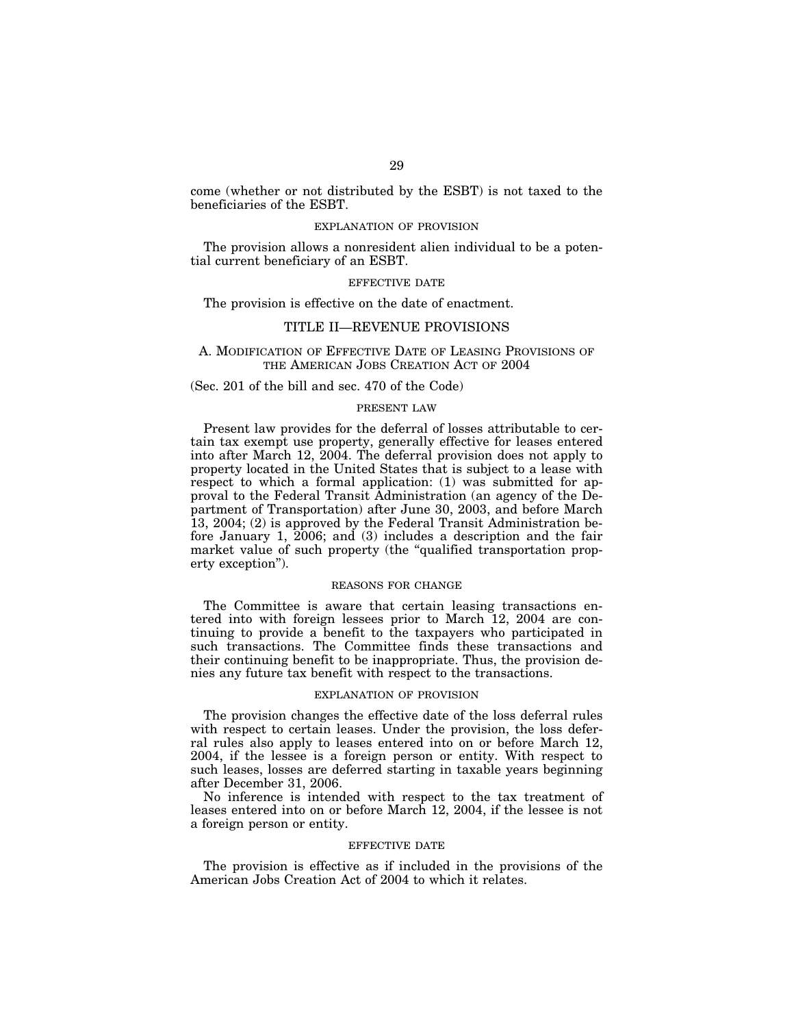come (whether or not distributed by the ESBT) is not taxed to the beneficiaries of the ESBT.

## EXPLANATION OF PROVISION

The provision allows a nonresident alien individual to be a potential current beneficiary of an ESBT.

#### EFFECTIVE DATE

The provision is effective on the date of enactment.

## TITLE II—REVENUE PROVISIONS

### A. MODIFICATION OF EFFECTIVE DATE OF LEASING PROVISIONS OF THE AMERICAN JOBS CREATION ACT OF 2004

### (Sec. 201 of the bill and sec. 470 of the Code)

## PRESENT LAW

Present law provides for the deferral of losses attributable to certain tax exempt use property, generally effective for leases entered into after March 12, 2004. The deferral provision does not apply to property located in the United States that is subject to a lease with respect to which a formal application: (1) was submitted for approval to the Federal Transit Administration (an agency of the Department of Transportation) after June 30, 2003, and before March 13, 2004; (2) is approved by the Federal Transit Administration before January 1, 2006; and (3) includes a description and the fair market value of such property (the "qualified transportation property exception'').

### REASONS FOR CHANGE

The Committee is aware that certain leasing transactions entered into with foreign lessees prior to March 12, 2004 are continuing to provide a benefit to the taxpayers who participated in such transactions. The Committee finds these transactions and their continuing benefit to be inappropriate. Thus, the provision denies any future tax benefit with respect to the transactions.

#### EXPLANATION OF PROVISION

The provision changes the effective date of the loss deferral rules with respect to certain leases. Under the provision, the loss deferral rules also apply to leases entered into on or before March 12, 2004, if the lessee is a foreign person or entity. With respect to such leases, losses are deferred starting in taxable years beginning after December 31, 2006.

No inference is intended with respect to the tax treatment of leases entered into on or before March 12, 2004, if the lessee is not a foreign person or entity.

#### EFFECTIVE DATE

The provision is effective as if included in the provisions of the American Jobs Creation Act of 2004 to which it relates.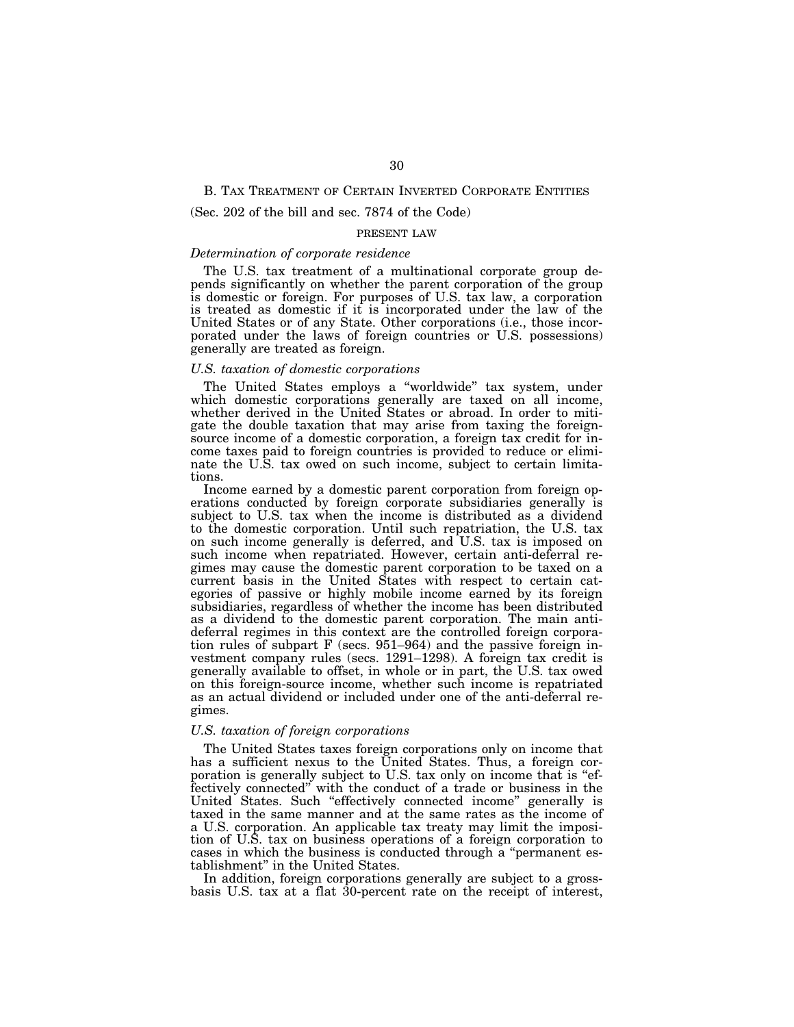## B. TAX TREATMENT OF CERTAIN INVERTED CORPORATE ENTITIES

## (Sec. 202 of the bill and sec. 7874 of the Code)

### PRESENT LAW

## *Determination of corporate residence*

The U.S. tax treatment of a multinational corporate group depends significantly on whether the parent corporation of the group is domestic or foreign. For purposes of U.S. tax law, a corporation is treated as domestic if it is incorporated under the law of the United States or of any State. Other corporations (i.e., those incorporated under the laws of foreign countries or U.S. possessions) generally are treated as foreign.

### *U.S. taxation of domestic corporations*

The United States employs a ''worldwide'' tax system, under which domestic corporations generally are taxed on all income, whether derived in the United States or abroad. In order to mitigate the double taxation that may arise from taxing the foreignsource income of a domestic corporation, a foreign tax credit for income taxes paid to foreign countries is provided to reduce or eliminate the U.S. tax owed on such income, subject to certain limitations.

Income earned by a domestic parent corporation from foreign operations conducted by foreign corporate subsidiaries generally is subject to U.S. tax when the income is distributed as a dividend to the domestic corporation. Until such repatriation, the U.S. tax on such income generally is deferred, and U.S. tax is imposed on such income when repatriated. However, certain anti-deferral regimes may cause the domestic parent corporation to be taxed on a current basis in the United States with respect to certain categories of passive or highly mobile income earned by its foreign subsidiaries, regardless of whether the income has been distributed as a dividend to the domestic parent corporation. The main antideferral regimes in this context are the controlled foreign corporation rules of subpart F (secs. 951–964) and the passive foreign investment company rules (secs. 1291–1298). A foreign tax credit is generally available to offset, in whole or in part, the U.S. tax owed on this foreign-source income, whether such income is repatriated as an actual dividend or included under one of the anti-deferral regimes.

#### *U.S. taxation of foreign corporations*

The United States taxes foreign corporations only on income that has a sufficient nexus to the United States. Thus, a foreign corporation is generally subject to U.S. tax only on income that is ''effectively connected'' with the conduct of a trade or business in the United States. Such ''effectively connected income'' generally is taxed in the same manner and at the same rates as the income of a U.S. corporation. An applicable tax treaty may limit the imposition of U.S. tax on business operations of a foreign corporation to cases in which the business is conducted through a ''permanent establishment'' in the United States.

In addition, foreign corporations generally are subject to a grossbasis U.S. tax at a flat 30-percent rate on the receipt of interest,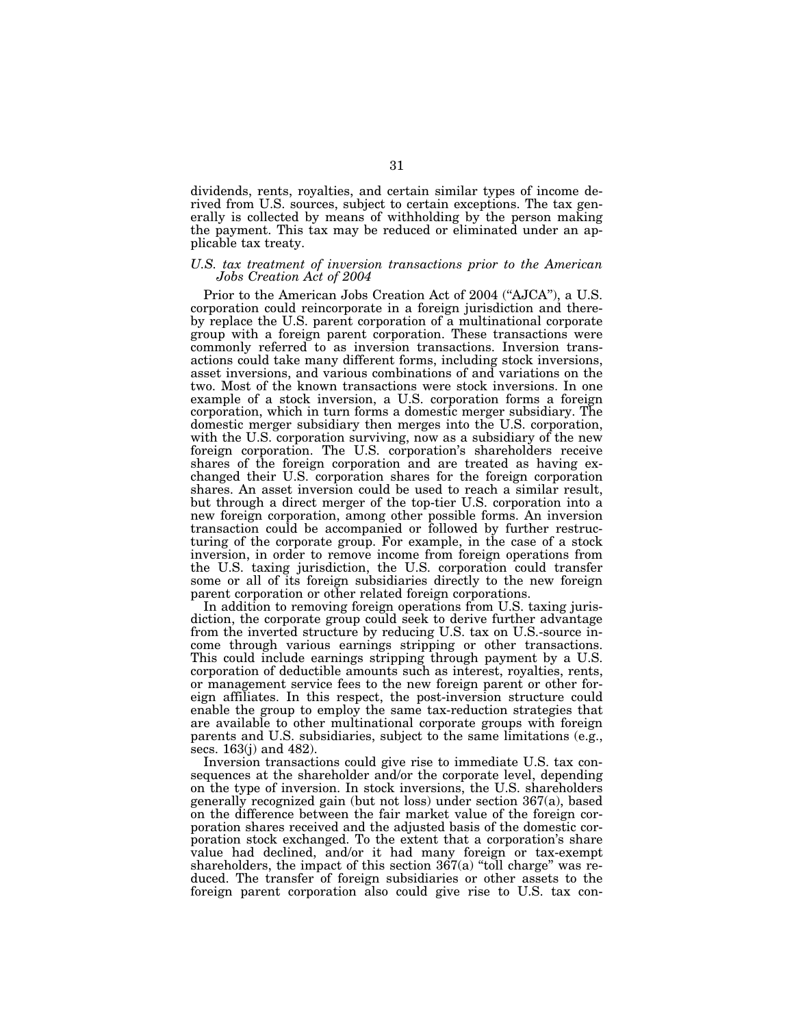dividends, rents, royalties, and certain similar types of income derived from U.S. sources, subject to certain exceptions. The tax generally is collected by means of withholding by the person making the payment. This tax may be reduced or eliminated under an applicable tax treaty.

### *U.S. tax treatment of inversion transactions prior to the American Jobs Creation Act of 2004*

Prior to the American Jobs Creation Act of 2004 (''AJCA''), a U.S. corporation could reincorporate in a foreign jurisdiction and thereby replace the U.S. parent corporation of a multinational corporate group with a foreign parent corporation. These transactions were commonly referred to as inversion transactions. Inversion transactions could take many different forms, including stock inversions, asset inversions, and various combinations of and variations on the two. Most of the known transactions were stock inversions. In one example of a stock inversion, a U.S. corporation forms a foreign corporation, which in turn forms a domestic merger subsidiary. The domestic merger subsidiary then merges into the U.S. corporation, with the U.S. corporation surviving, now as a subsidiary of the new foreign corporation. The U.S. corporation's shareholders receive shares of the foreign corporation and are treated as having exchanged their U.S. corporation shares for the foreign corporation shares. An asset inversion could be used to reach a similar result, but through a direct merger of the top-tier U.S. corporation into a new foreign corporation, among other possible forms. An inversion transaction could be accompanied or followed by further restructuring of the corporate group. For example, in the case of a stock inversion, in order to remove income from foreign operations from the U.S. taxing jurisdiction, the U.S. corporation could transfer some or all of its foreign subsidiaries directly to the new foreign parent corporation or other related foreign corporations.

In addition to removing foreign operations from U.S. taxing jurisdiction, the corporate group could seek to derive further advantage from the inverted structure by reducing U.S. tax on U.S.-source income through various earnings stripping or other transactions. This could include earnings stripping through payment by a U.S. corporation of deductible amounts such as interest, royalties, rents, or management service fees to the new foreign parent or other foreign affiliates. In this respect, the post-inversion structure could enable the group to employ the same tax-reduction strategies that are available to other multinational corporate groups with foreign parents and U.S. subsidiaries, subject to the same limitations (e.g., secs. 163(j) and 482).

Inversion transactions could give rise to immediate U.S. tax consequences at the shareholder and/or the corporate level, depending on the type of inversion. In stock inversions, the U.S. shareholders generally recognized gain (but not loss) under section 367(a), based on the difference between the fair market value of the foreign corporation shares received and the adjusted basis of the domestic corporation stock exchanged. To the extent that a corporation's share value had declined, and/or it had many foreign or tax-exempt shareholders, the impact of this section  $367(a)$  "toll charge" was reduced. The transfer of foreign subsidiaries or other assets to the foreign parent corporation also could give rise to U.S. tax con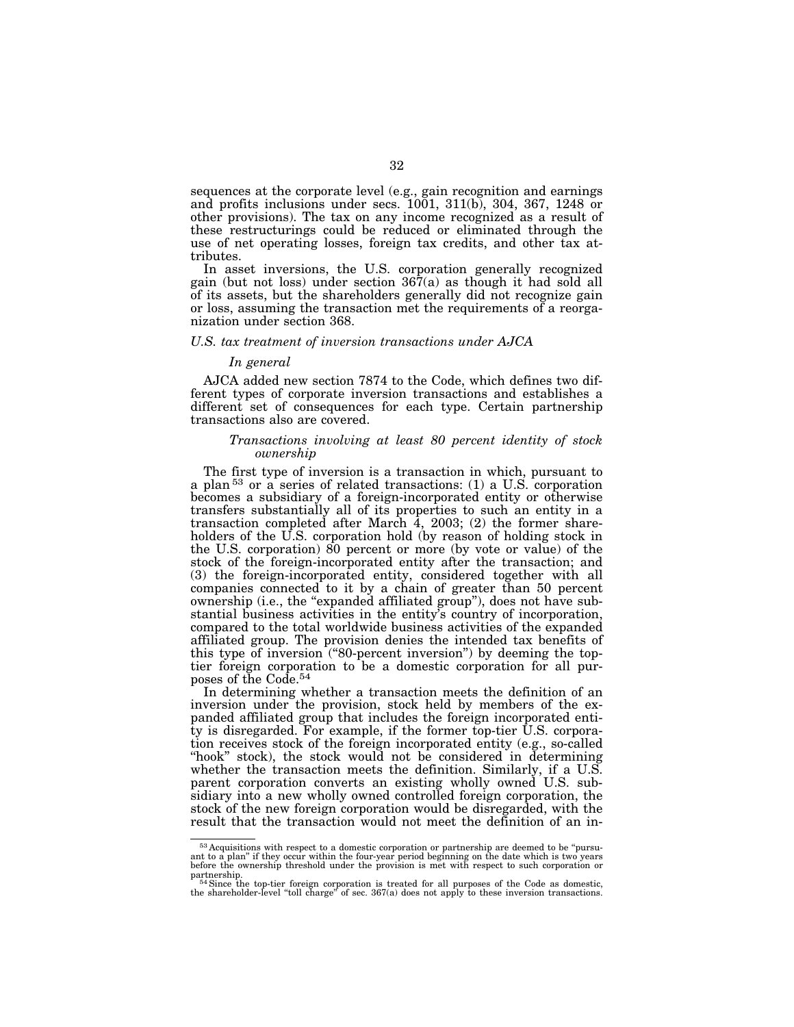sequences at the corporate level (e.g., gain recognition and earnings and profits inclusions under secs. 1001, 311(b), 304, 367, 1248 or other provisions). The tax on any income recognized as a result of these restructurings could be reduced or eliminated through the use of net operating losses, foreign tax credits, and other tax attributes.

In asset inversions, the U.S. corporation generally recognized gain (but not loss) under section 367(a) as though it had sold all of its assets, but the shareholders generally did not recognize gain or loss, assuming the transaction met the requirements of a reorganization under section 368.

### *U.S. tax treatment of inversion transactions under AJCA*

### *In general*

AJCA added new section 7874 to the Code, which defines two different types of corporate inversion transactions and establishes a different set of consequences for each type. Certain partnership transactions also are covered.

## *Transactions involving at least 80 percent identity of stock ownership*

The first type of inversion is a transaction in which, pursuant to a plan 53 or a series of related transactions: (1) a U.S. corporation becomes a subsidiary of a foreign-incorporated entity or otherwise transfers substantially all of its properties to such an entity in a transaction completed after March  $\overline{4}$ , 2003; (2) the former shareholders of the U.S. corporation hold (by reason of holding stock in the U.S. corporation) 80 percent or more (by vote or value) of the stock of the foreign-incorporated entity after the transaction; and (3) the foreign-incorporated entity, considered together with all companies connected to it by a chain of greater than 50 percent ownership (i.e., the ''expanded affiliated group''), does not have substantial business activities in the entity's country of incorporation, compared to the total worldwide business activities of the expanded affiliated group. The provision denies the intended tax benefits of this type of inversion (''80-percent inversion'') by deeming the toptier foreign corporation to be a domestic corporation for all purposes of the Code.54

In determining whether a transaction meets the definition of an inversion under the provision, stock held by members of the expanded affiliated group that includes the foreign incorporated entity is disregarded. For example, if the former top-tier U.S. corporation receives stock of the foreign incorporated entity (e.g., so-called "hook" stock), the stock would not be considered in determining whether the transaction meets the definition. Similarly, if a U.S. parent corporation converts an existing wholly owned U.S. subsidiary into a new wholly owned controlled foreign corporation, the stock of the new foreign corporation would be disregarded, with the result that the transaction would not meet the definition of an in-

 $53$  Acquisitions with respect to a domestic corporation or partnership are deemed to be "pursuant to a plan" if they occur within the four-year period beginning on the date which is two years before the ownership thresho

partnership.<br><sup>54</sup>Since the top-tier foreign corporation is treated for all purposes of the Code as domestic,<br>the shareholder-level "toll charge" of sec. 367(a) does not apply to these inversion transactions.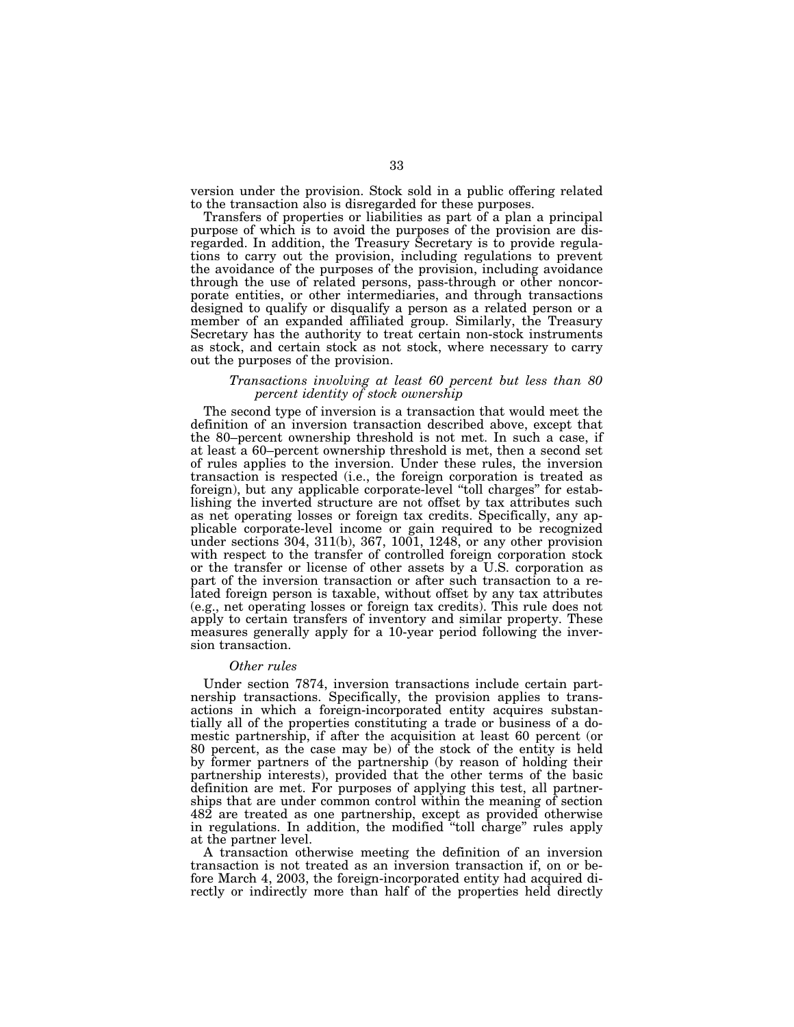version under the provision. Stock sold in a public offering related to the transaction also is disregarded for these purposes.

Transfers of properties or liabilities as part of a plan a principal purpose of which is to avoid the purposes of the provision are disregarded. In addition, the Treasury Secretary is to provide regulations to carry out the provision, including regulations to prevent the avoidance of the purposes of the provision, including avoidance through the use of related persons, pass-through or other noncorporate entities, or other intermediaries, and through transactions designed to qualify or disqualify a person as a related person or a member of an expanded affiliated group. Similarly, the Treasury Secretary has the authority to treat certain non-stock instruments as stock, and certain stock as not stock, where necessary to carry out the purposes of the provision.

### *Transactions involving at least 60 percent but less than 80 percent identity of stock ownership*

The second type of inversion is a transaction that would meet the definition of an inversion transaction described above, except that the 80–percent ownership threshold is not met. In such a case, if at least a 60–percent ownership threshold is met, then a second set of rules applies to the inversion. Under these rules, the inversion transaction is respected (i.e., the foreign corporation is treated as foreign), but any applicable corporate-level ''toll charges'' for establishing the inverted structure are not offset by tax attributes such as net operating losses or foreign tax credits. Specifically, any applicable corporate-level income or gain required to be recognized under sections 304, 311(b), 367, 1001, 1248, or any other provision with respect to the transfer of controlled foreign corporation stock or the transfer or license of other assets by a U.S. corporation as part of the inversion transaction or after such transaction to a related foreign person is taxable, without offset by any tax attributes (e.g., net operating losses or foreign tax credits). This rule does not apply to certain transfers of inventory and similar property. These measures generally apply for a 10-year period following the inversion transaction.

### *Other rules*

Under section 7874, inversion transactions include certain partnership transactions. Specifically, the provision applies to transactions in which a foreign-incorporated entity acquires substantially all of the properties constituting a trade or business of a domestic partnership, if after the acquisition at least 60 percent (or 80 percent, as the case may be) of the stock of the entity is held by former partners of the partnership (by reason of holding their partnership interests), provided that the other terms of the basic definition are met. For purposes of applying this test, all partnerships that are under common control within the meaning of section 482 are treated as one partnership, except as provided otherwise in regulations. In addition, the modified "toll charge" rules apply at the partner level.

A transaction otherwise meeting the definition of an inversion transaction is not treated as an inversion transaction if, on or before March 4, 2003, the foreign-incorporated entity had acquired directly or indirectly more than half of the properties held directly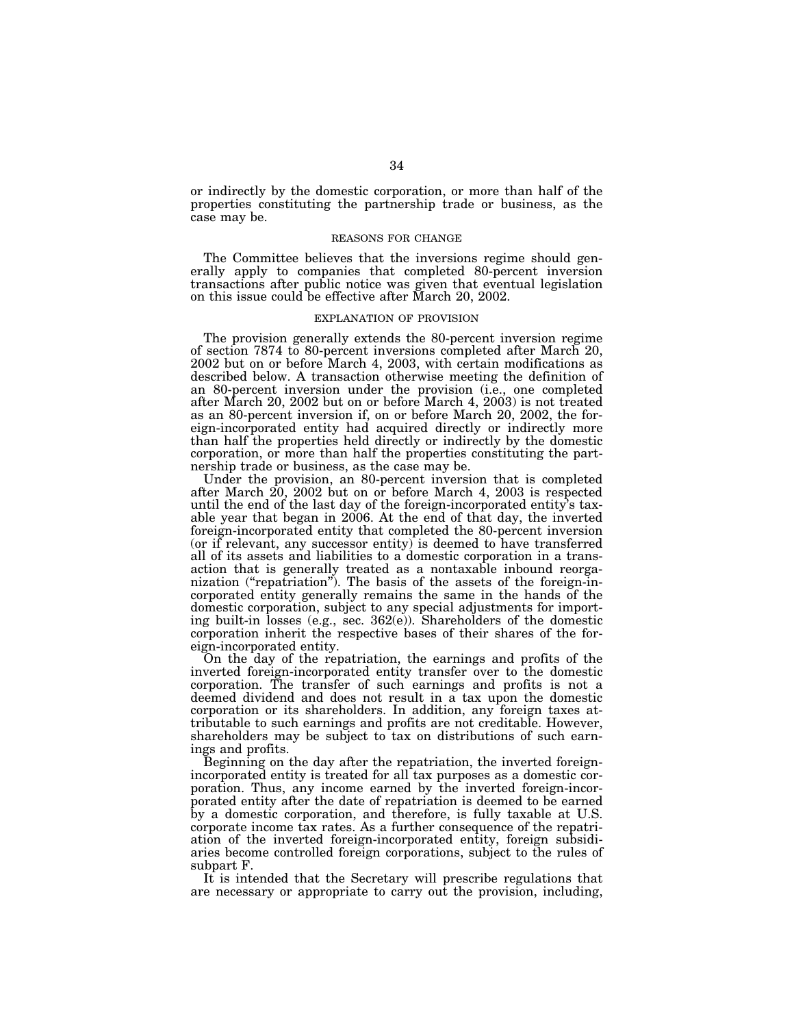or indirectly by the domestic corporation, or more than half of the properties constituting the partnership trade or business, as the case may be.

#### REASONS FOR CHANGE

The Committee believes that the inversions regime should generally apply to companies that completed 80-percent inversion transactions after public notice was given that eventual legislation on this issue could be effective after March 20, 2002.

#### EXPLANATION OF PROVISION

The provision generally extends the 80-percent inversion regime of section 7874 to 80-percent inversions completed after March 20, 2002 but on or before March 4, 2003, with certain modifications as described below. A transaction otherwise meeting the definition of an 80-percent inversion under the provision (i.e., one completed after March 20, 2002 but on or before March 4, 2003) is not treated as an 80-percent inversion if, on or before March 20, 2002, the foreign-incorporated entity had acquired directly or indirectly more than half the properties held directly or indirectly by the domestic corporation, or more than half the properties constituting the partnership trade or business, as the case may be.

Under the provision, an 80-percent inversion that is completed after March 20, 2002 but on or before March 4, 2003 is respected until the end of the last day of the foreign-incorporated entity's taxable year that began in 2006. At the end of that day, the inverted foreign-incorporated entity that completed the 80-percent inversion (or if relevant, any successor entity) is deemed to have transferred all of its assets and liabilities to a domestic corporation in a transaction that is generally treated as a nontaxable inbound reorganization (''repatriation''). The basis of the assets of the foreign-incorporated entity generally remains the same in the hands of the domestic corporation, subject to any special adjustments for importing built-in losses (e.g., sec. 362(e)). Shareholders of the domestic corporation inherit the respective bases of their shares of the foreign-incorporated entity.

On the day of the repatriation, the earnings and profits of the inverted foreign-incorporated entity transfer over to the domestic corporation. The transfer of such earnings and profits is not a deemed dividend and does not result in a tax upon the domestic corporation or its shareholders. In addition, any foreign taxes attributable to such earnings and profits are not creditable. However, shareholders may be subject to tax on distributions of such earnings and profits.

Beginning on the day after the repatriation, the inverted foreignincorporated entity is treated for all tax purposes as a domestic corporation. Thus, any income earned by the inverted foreign-incorporated entity after the date of repatriation is deemed to be earned by a domestic corporation, and therefore, is fully taxable at U.S. corporate income tax rates. As a further consequence of the repatriation of the inverted foreign-incorporated entity, foreign subsidiaries become controlled foreign corporations, subject to the rules of subpart F.

It is intended that the Secretary will prescribe regulations that are necessary or appropriate to carry out the provision, including,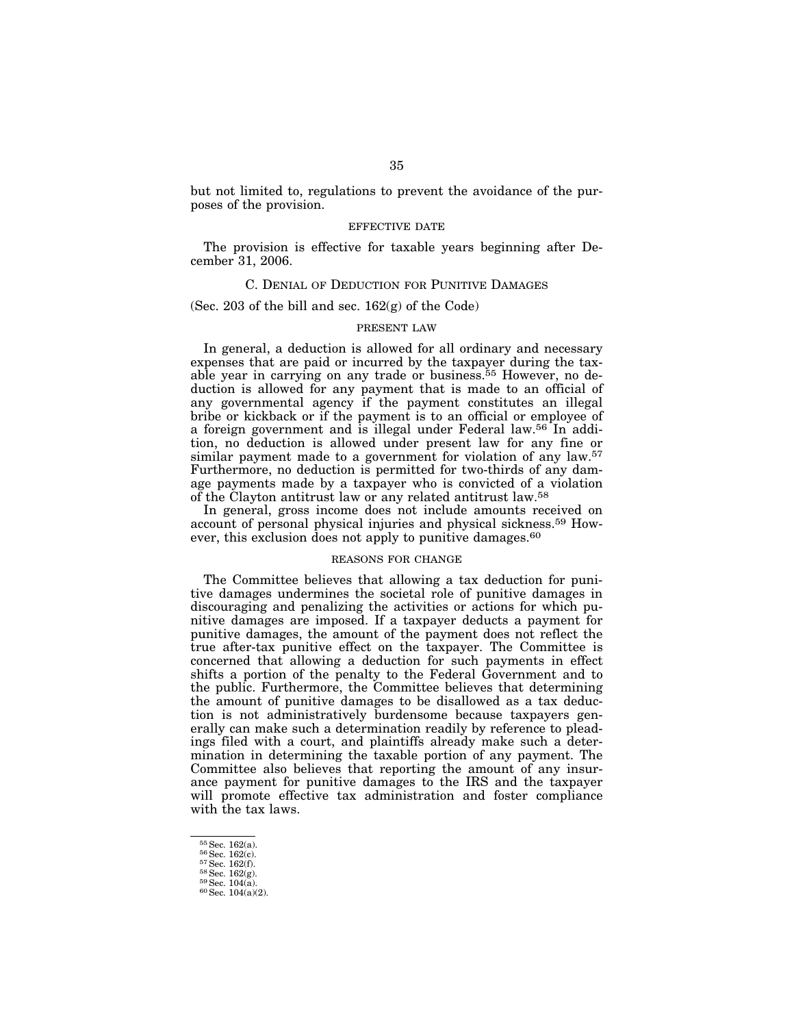but not limited to, regulations to prevent the avoidance of the purposes of the provision.

## EFFECTIVE DATE

The provision is effective for taxable years beginning after December 31, 2006.

# C. DENIAL OF DEDUCTION FOR PUNITIVE DAMAGES

(Sec.  $203$  of the bill and sec.  $162(g)$  of the Code)

### PRESENT LAW

In general, a deduction is allowed for all ordinary and necessary expenses that are paid or incurred by the taxpayer during the taxable year in carrying on any trade or business.55 However, no deduction is allowed for any payment that is made to an official of any governmental agency if the payment constitutes an illegal bribe or kickback or if the payment is to an official or employee of a foreign government and is illegal under Federal law.56 In addition, no deduction is allowed under present law for any fine or similar payment made to a government for violation of any law.<sup>57</sup> Furthermore, no deduction is permitted for two-thirds of any damage payments made by a taxpayer who is convicted of a violation of the Clayton antitrust law or any related antitrust law.58

In general, gross income does not include amounts received on account of personal physical injuries and physical sickness.59 However, this exclusion does not apply to punitive damages.<sup>60</sup>

### REASONS FOR CHANGE

The Committee believes that allowing a tax deduction for punitive damages undermines the societal role of punitive damages in discouraging and penalizing the activities or actions for which punitive damages are imposed. If a taxpayer deducts a payment for punitive damages, the amount of the payment does not reflect the true after-tax punitive effect on the taxpayer. The Committee is concerned that allowing a deduction for such payments in effect shifts a portion of the penalty to the Federal Government and to the public. Furthermore, the Committee believes that determining the amount of punitive damages to be disallowed as a tax deduction is not administratively burdensome because taxpayers generally can make such a determination readily by reference to pleadings filed with a court, and plaintiffs already make such a determination in determining the taxable portion of any payment. The Committee also believes that reporting the amount of any insurance payment for punitive damages to the IRS and the taxpayer will promote effective tax administration and foster compliance with the tax laws.

<sup>55</sup> Sec. 162(a).<br>
56 Sec. 162(c).<br>
57 Sec. 162(f).<br>
58 Sec. 162(g).<br>
59 Sec. 104(a).<br>
60 Sec. 104(a)(2).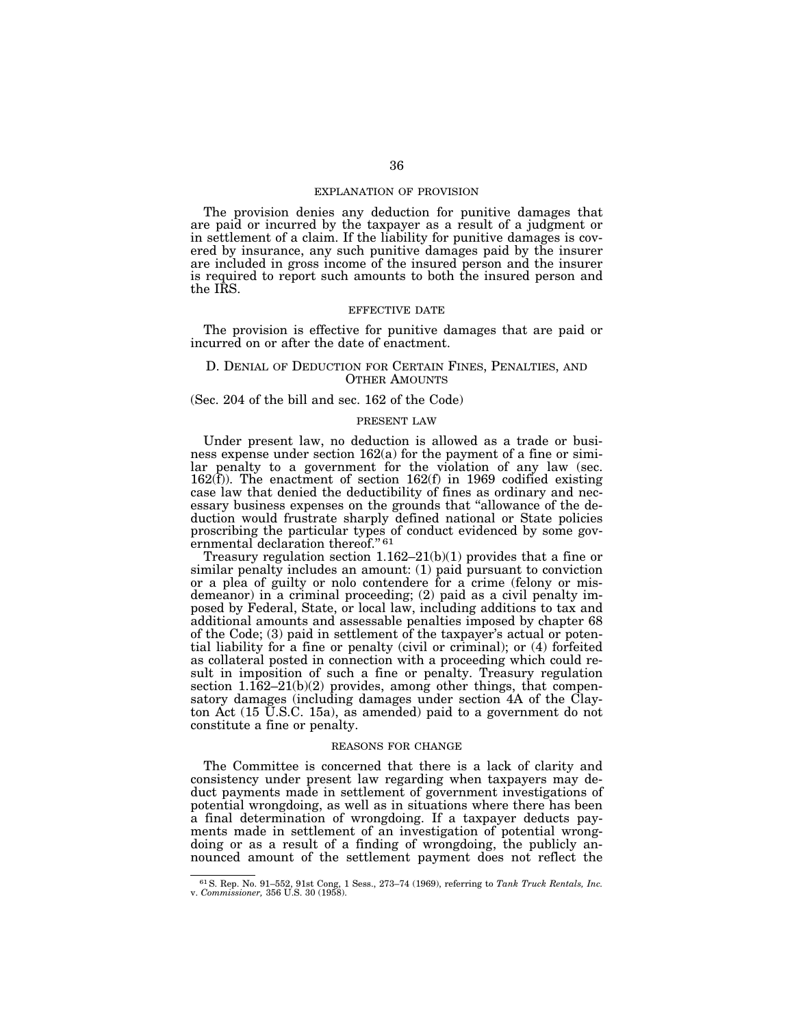### EXPLANATION OF PROVISION

The provision denies any deduction for punitive damages that are paid or incurred by the taxpayer as a result of a judgment or in settlement of a claim. If the liability for punitive damages is covered by insurance, any such punitive damages paid by the insurer are included in gross income of the insured person and the insurer is required to report such amounts to both the insured person and the IRS.

#### EFFECTIVE DATE

The provision is effective for punitive damages that are paid or incurred on or after the date of enactment.

### D. DENIAL OF DEDUCTION FOR CERTAIN FINES, PENALTIES, AND OTHER AMOUNTS

(Sec. 204 of the bill and sec. 162 of the Code)

## PRESENT LAW

Under present law, no deduction is allowed as a trade or business expense under section 162(a) for the payment of a fine or similar penalty to a government for the violation of any law (sec. 162(f)). The enactment of section 162(f) in 1969 codified existing case law that denied the deductibility of fines as ordinary and necessary business expenses on the grounds that ''allowance of the deduction would frustrate sharply defined national or State policies proscribing the particular types of conduct evidenced by some governmental declaration thereof."<sup>61</sup>

Treasury regulation section  $1.162-21(b)(1)$  provides that a fine or similar penalty includes an amount: (1) paid pursuant to conviction or a plea of guilty or nolo contendere for a crime (felony or misdemeanor) in a criminal proceeding; (2) paid as a civil penalty imposed by Federal, State, or local law, including additions to tax and additional amounts and assessable penalties imposed by chapter 68 of the Code; (3) paid in settlement of the taxpayer's actual or potential liability for a fine or penalty (civil or criminal); or (4) forfeited as collateral posted in connection with a proceeding which could result in imposition of such a fine or penalty. Treasury regulation section  $1.162-21(b)(2)$  provides, among other things, that compensatory damages (including damages under section 4A of the Clayton Act (15 U.S.C. 15a), as amended) paid to a government do not constitute a fine or penalty.

#### REASONS FOR CHANGE

The Committee is concerned that there is a lack of clarity and consistency under present law regarding when taxpayers may deduct payments made in settlement of government investigations of potential wrongdoing, as well as in situations where there has been a final determination of wrongdoing. If a taxpayer deducts payments made in settlement of an investigation of potential wrongdoing or as a result of a finding of wrongdoing, the publicly announced amount of the settlement payment does not reflect the

<sup>61</sup>S. Rep. No. 91–552, 91st Cong, 1 Sess., 273–74 (1969), referring to *Tank Truck Rentals, Inc.*  v. *Commissioner,* 356 U.S. 30 (1958).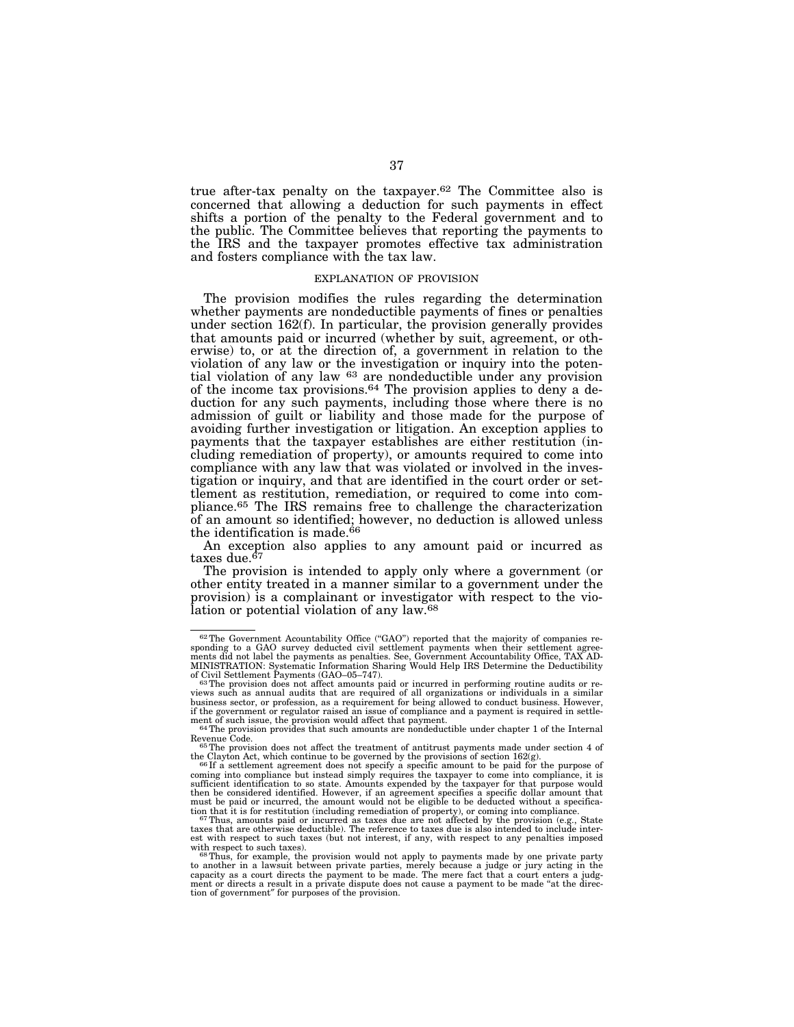true after-tax penalty on the taxpayer.62 The Committee also is concerned that allowing a deduction for such payments in effect shifts a portion of the penalty to the Federal government and to the public. The Committee believes that reporting the payments to the IRS and the taxpayer promotes effective tax administration and fosters compliance with the tax law.

# EXPLANATION OF PROVISION

The provision modifies the rules regarding the determination whether payments are nondeductible payments of fines or penalties under section 162(f). In particular, the provision generally provides that amounts paid or incurred (whether by suit, agreement, or otherwise) to, or at the direction of, a government in relation to the violation of any law or the investigation or inquiry into the potential violation of any law 63 are nondeductible under any provision of the income tax provisions.64 The provision applies to deny a deduction for any such payments, including those where there is no admission of guilt or liability and those made for the purpose of avoiding further investigation or litigation. An exception applies to payments that the taxpayer establishes are either restitution (including remediation of property), or amounts required to come into compliance with any law that was violated or involved in the investigation or inquiry, and that are identified in the court order or settlement as restitution, remediation, or required to come into compliance.65 The IRS remains free to challenge the characterization of an amount so identified; however, no deduction is allowed unless the identification is made.<sup>66</sup>

An exception also applies to any amount paid or incurred as taxes due.<sup>67</sup>

The provision is intended to apply only where a government (or other entity treated in a manner similar to a government under the provision) is a complainant or investigator with respect to the violation or potential violation of any law.68

 $62$ The Government Acountability Office ("GAO") reported that the majority of companies responding to a GAO survey deducted civil settlement payments when their settlement agreements did not label the payments as penalties. See, Government Accountability Office, TAX AD-MINISTRATION: Systematic Information Sharing Would Help IRS Determine the Deductibility

<sup>&</sup>lt;sup>63</sup>The provision does not affect amounts paid or incurred in performing routine audits or reviews such as annual audits that are required of all organizations or individuals in a similar business sector, or profession, as a requirement for being allowed to conduct business. However, if the government or regulator raised an issue of compliance and a payment is required in settlement of such issue, the provision would affect that payment.<br><sup>64</sup>The provision provides that such amounts are nondeductible under chapter 1 of the Internal

Revenue Code.<br><sup>65</sup>The provision does not affect the treatment of antitrust payments made under section 4 of the Clayton Act, which continue to be governed by the provisions of section 162(g).

the Clayton Act, which continue to be governed by the provisions of section  $162(g)$ .<br><sup>66</sup>If a settlement agreement does not specify a specific amount to be paid for the purpose of<br>coming into compliance but instead simply then be considered identified. However, if an agreement specifies a specific dollar amount that must be paid or incurred, the amount would not be eligible to be deducted without a specifica-

tion that it is for restitution (including remediation of property), or coming into compliance.<br><sup>67</sup>Thus, amounts paid or incurred as taxes due are not affected by the provision (e.g., State<br>taxes that are otherwise deduct est with respect to such taxes (but not interest, if any, with respect to any penalties imposed<br>with respect to such taxes).<br>68Thus for any penalties imposed and conduct a permutation of the second theory of the second the

with respect to such taxes).<br><sup>68</sup>Thus, for example, the provision would not apply to payments made by one private party<br>to another in a lawsuit between private parties, merely because a judge or jury acting in the capacity as a court directs the payment to be made. The mere fact that a court enters a judg-ment or directs a result in a private dispute does not cause a payment to be made ''at the direction of government″ for purposes of the provision.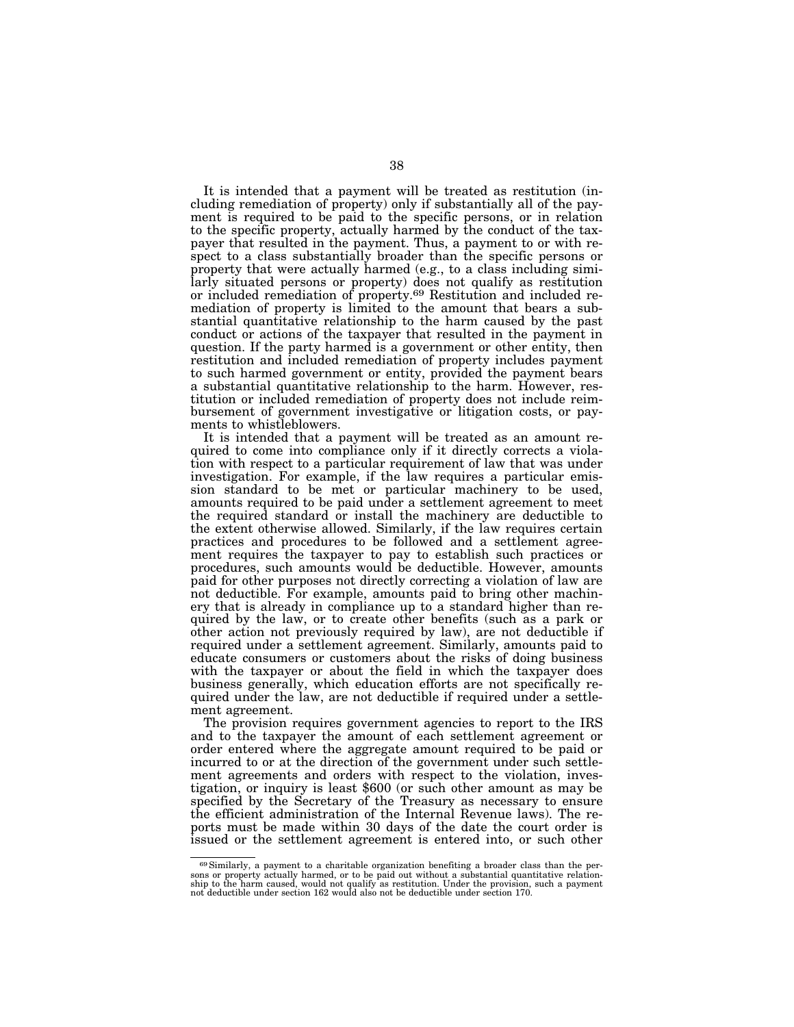It is intended that a payment will be treated as restitution (including remediation of property) only if substantially all of the payment is required to be paid to the specific persons, or in relation to the specific property, actually harmed by the conduct of the taxpayer that resulted in the payment. Thus, a payment to or with respect to a class substantially broader than the specific persons or property that were actually harmed (e.g., to a class including similarly situated persons or property) does not qualify as restitution or included remediation of property.69 Restitution and included remediation of property is limited to the amount that bears a substantial quantitative relationship to the harm caused by the past conduct or actions of the taxpayer that resulted in the payment in question. If the party harmed is a government or other entity, then restitution and included remediation of property includes payment to such harmed government or entity, provided the payment bears a substantial quantitative relationship to the harm. However, restitution or included remediation of property does not include reimbursement of government investigative or litigation costs, or payments to whistleblowers.

It is intended that a payment will be treated as an amount required to come into compliance only if it directly corrects a violation with respect to a particular requirement of law that was under investigation. For example, if the law requires a particular emission standard to be met or particular machinery to be used, amounts required to be paid under a settlement agreement to meet the required standard or install the machinery are deductible to the extent otherwise allowed. Similarly, if the law requires certain practices and procedures to be followed and a settlement agreement requires the taxpayer to pay to establish such practices or procedures, such amounts would be deductible. However, amounts paid for other purposes not directly correcting a violation of law are not deductible. For example, amounts paid to bring other machinery that is already in compliance up to a standard higher than required by the law, or to create other benefits (such as a park or other action not previously required by law), are not deductible if required under a settlement agreement. Similarly, amounts paid to educate consumers or customers about the risks of doing business with the taxpayer or about the field in which the taxpayer does business generally, which education efforts are not specifically required under the law, are not deductible if required under a settlement agreement.

The provision requires government agencies to report to the IRS and to the taxpayer the amount of each settlement agreement or order entered where the aggregate amount required to be paid or incurred to or at the direction of the government under such settlement agreements and orders with respect to the violation, investigation, or inquiry is least \$600 (or such other amount as may be specified by the Secretary of the Treasury as necessary to ensure the efficient administration of the Internal Revenue laws). The reports must be made within 30 days of the date the court order is issued or the settlement agreement is entered into, or such other

<sup>69</sup>Similarly, a payment to a charitable organization benefiting a broader class than the persons or property actually harmed, or to be paid out without a substantial quantitative relation-<br>ship to the harm caused, would not qualify as restitution. Under the provision, such a payment<br>not deductible under section 1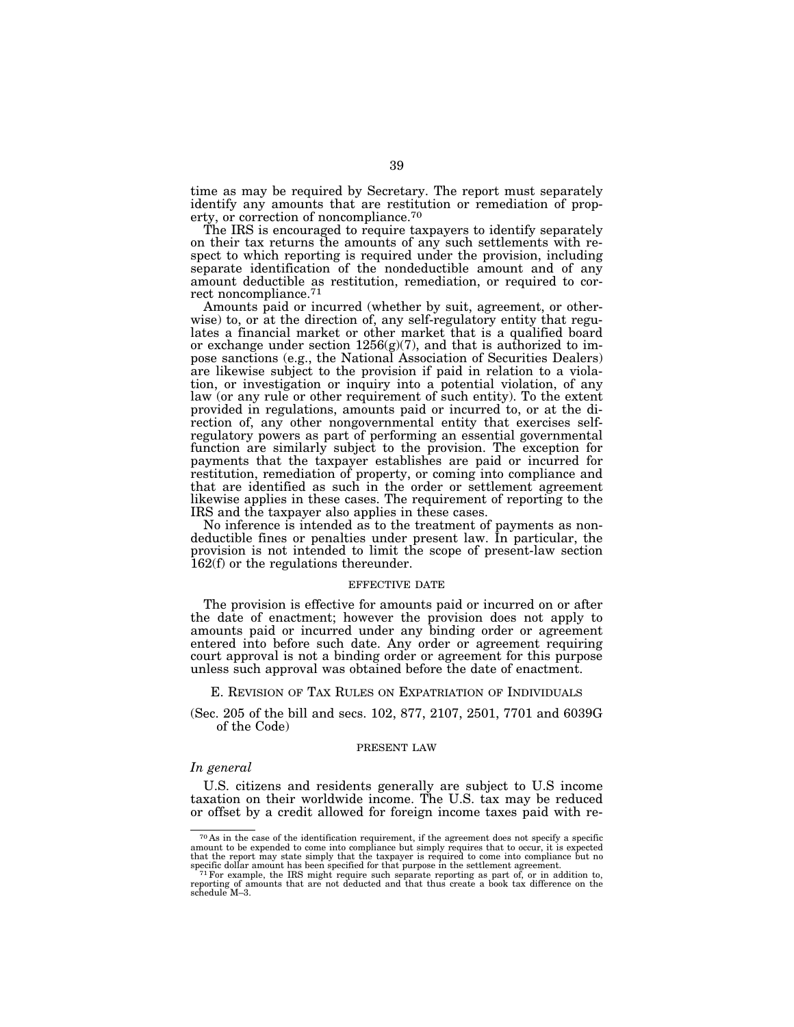time as may be required by Secretary. The report must separately identify any amounts that are restitution or remediation of property, or correction of noncompliance.70

The IRS is encouraged to require taxpayers to identify separately on their tax returns the amounts of any such settlements with respect to which reporting is required under the provision, including separate identification of the nondeductible amount and of any amount deductible as restitution, remediation, or required to correct noncompliance.71

Amounts paid or incurred (whether by suit, agreement, or otherwise) to, or at the direction of, any self-regulatory entity that regulates a financial market or other market that is a qualified board or exchange under section 1256(g)(7), and that is authorized to impose sanctions (e.g., the National Association of Securities Dealers) are likewise subject to the provision if paid in relation to a violation, or investigation or inquiry into a potential violation, of any law (or any rule or other requirement of such entity). To the extent provided in regulations, amounts paid or incurred to, or at the direction of, any other nongovernmental entity that exercises selfregulatory powers as part of performing an essential governmental function are similarly subject to the provision. The exception for payments that the taxpayer establishes are paid or incurred for restitution, remediation of property, or coming into compliance and that are identified as such in the order or settlement agreement likewise applies in these cases. The requirement of reporting to the IRS and the taxpayer also applies in these cases.

No inference is intended as to the treatment of payments as nondeductible fines or penalties under present law. In particular, the provision is not intended to limit the scope of present-law section 162(f) or the regulations thereunder.

#### EFFECTIVE DATE

The provision is effective for amounts paid or incurred on or after the date of enactment; however the provision does not apply to amounts paid or incurred under any binding order or agreement entered into before such date. Any order or agreement requiring court approval is not a binding order or agreement for this purpose unless such approval was obtained before the date of enactment.

E. REVISION OF TAX RULES ON EXPATRIATION OF INDIVIDUALS

(Sec. 205 of the bill and secs. 102, 877, 2107, 2501, 7701 and 6039G of the Code)

#### PRESENT LAW

# *In general*

U.S. citizens and residents generally are subject to U.S income taxation on their worldwide income. The U.S. tax may be reduced or offset by a credit allowed for foreign income taxes paid with re-

<sup>70</sup> As in the case of the identification requirement, if the agreement does not specify a specific amount to be expended to come into compliance but simply requires that to occur, it is expected<br>that the report may state simply that the taxpayer is required to come into compliance but no<br>specific dollar amount has been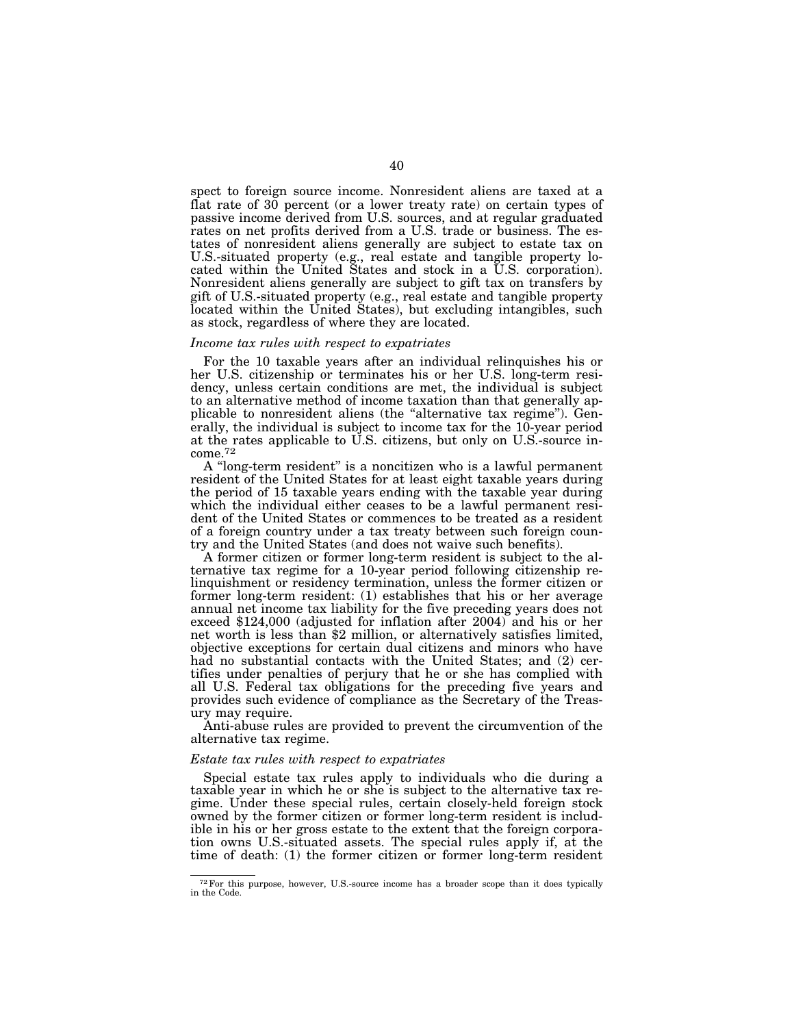spect to foreign source income. Nonresident aliens are taxed at a flat rate of 30 percent (or a lower treaty rate) on certain types of passive income derived from U.S. sources, and at regular graduated rates on net profits derived from a U.S. trade or business. The estates of nonresident aliens generally are subject to estate tax on U.S.-situated property (e.g., real estate and tangible property located within the United States and stock in a U.S. corporation). Nonresident aliens generally are subject to gift tax on transfers by gift of U.S.-situated property (e.g., real estate and tangible property located within the United States), but excluding intangibles, such as stock, regardless of where they are located.

# *Income tax rules with respect to expatriates*

For the 10 taxable years after an individual relinquishes his or her U.S. citizenship or terminates his or her U.S. long-term residency, unless certain conditions are met, the individual is subject to an alternative method of income taxation than that generally applicable to nonresident aliens (the "alternative tax regime"). Generally, the individual is subject to income tax for the 10-year period at the rates applicable to U.S. citizens, but only on U.S.-source in- $\rm{come.}^{72}$ 

A ''long-term resident'' is a noncitizen who is a lawful permanent resident of the United States for at least eight taxable years during the period of 15 taxable years ending with the taxable year during which the individual either ceases to be a lawful permanent resident of the United States or commences to be treated as a resident of a foreign country under a tax treaty between such foreign country and the United States (and does not waive such benefits).

A former citizen or former long-term resident is subject to the alternative tax regime for a 10-year period following citizenship relinquishment or residency termination, unless the former citizen or former long-term resident: (1) establishes that his or her average annual net income tax liability for the five preceding years does not exceed \$124,000 (adjusted for inflation after 2004) and his or her net worth is less than \$2 million, or alternatively satisfies limited, objective exceptions for certain dual citizens and minors who have had no substantial contacts with the United States; and (2) certifies under penalties of perjury that he or she has complied with all U.S. Federal tax obligations for the preceding five years and provides such evidence of compliance as the Secretary of the Treasury may require.

Anti-abuse rules are provided to prevent the circumvention of the alternative tax regime.

#### *Estate tax rules with respect to expatriates*

Special estate tax rules apply to individuals who die during a taxable year in which he or she is subject to the alternative tax regime. Under these special rules, certain closely-held foreign stock owned by the former citizen or former long-term resident is includible in his or her gross estate to the extent that the foreign corporation owns U.S.-situated assets. The special rules apply if, at the time of death: (1) the former citizen or former long-term resident

<sup>72</sup>For this purpose, however, U.S.-source income has a broader scope than it does typically in the Code.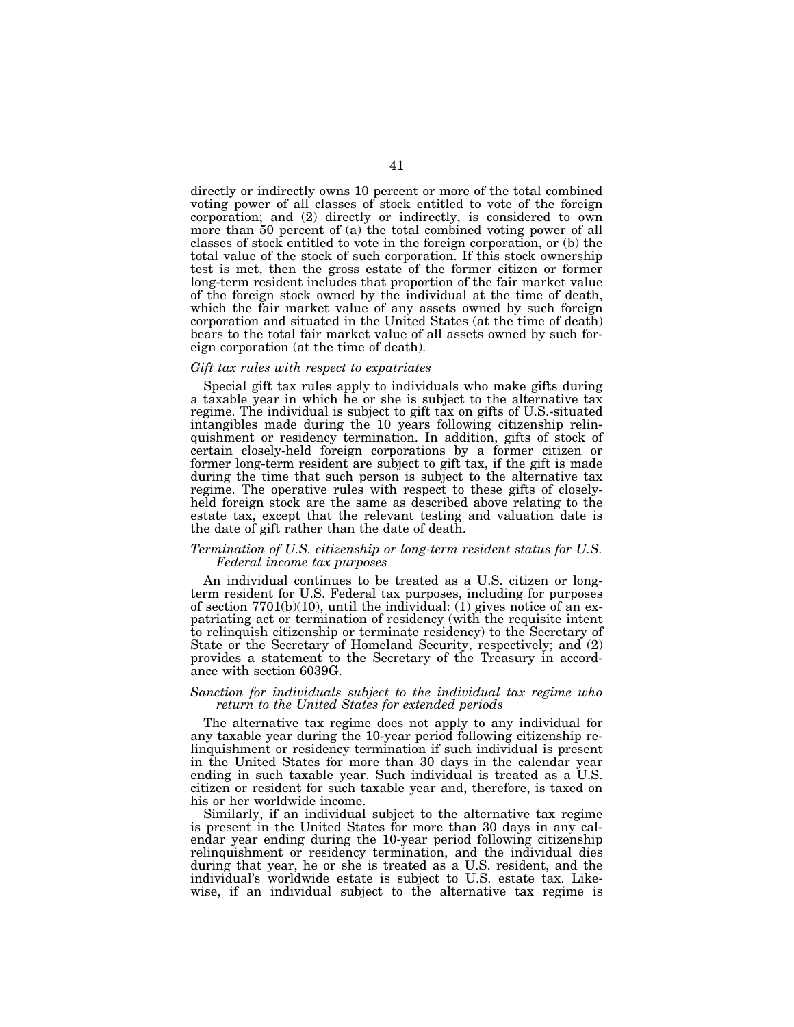directly or indirectly owns 10 percent or more of the total combined voting power of all classes of stock entitled to vote of the foreign corporation; and (2) directly or indirectly, is considered to own more than 50 percent of (a) the total combined voting power of all classes of stock entitled to vote in the foreign corporation, or (b) the total value of the stock of such corporation. If this stock ownership test is met, then the gross estate of the former citizen or former long-term resident includes that proportion of the fair market value of the foreign stock owned by the individual at the time of death, which the fair market value of any assets owned by such foreign corporation and situated in the United States (at the time of death) bears to the total fair market value of all assets owned by such foreign corporation (at the time of death).

#### *Gift tax rules with respect to expatriates*

Special gift tax rules apply to individuals who make gifts during a taxable year in which he or she is subject to the alternative tax regime. The individual is subject to gift tax on gifts of U.S.-situated intangibles made during the 10 years following citizenship relinquishment or residency termination. In addition, gifts of stock of certain closely-held foreign corporations by a former citizen or former long-term resident are subject to gift tax, if the gift is made during the time that such person is subject to the alternative tax regime. The operative rules with respect to these gifts of closelyheld foreign stock are the same as described above relating to the estate tax, except that the relevant testing and valuation date is the date of gift rather than the date of death.

# *Termination of U.S. citizenship or long-term resident status for U.S. Federal income tax purposes*

An individual continues to be treated as a U.S. citizen or longterm resident for U.S. Federal tax purposes, including for purposes of section  $7701(b)(10)$ , until the individual: (1) gives notice of an expatriating act or termination of residency (with the requisite intent to relinquish citizenship or terminate residency) to the Secretary of State or the Secretary of Homeland Security, respectively; and (2) provides a statement to the Secretary of the Treasury in accordance with section 6039G.

#### *Sanction for individuals subject to the individual tax regime who return to the United States for extended periods*

The alternative tax regime does not apply to any individual for any taxable year during the 10-year period following citizenship relinquishment or residency termination if such individual is present in the United States for more than 30 days in the calendar year ending in such taxable year. Such individual is treated as a U.S. citizen or resident for such taxable year and, therefore, is taxed on his or her worldwide income.

Similarly, if an individual subject to the alternative tax regime is present in the United States for more than 30 days in any calendar year ending during the 10-year period following citizenship relinquishment or residency termination, and the individual dies during that year, he or she is treated as a U.S. resident, and the individual's worldwide estate is subject to U.S. estate tax. Likewise, if an individual subject to the alternative tax regime is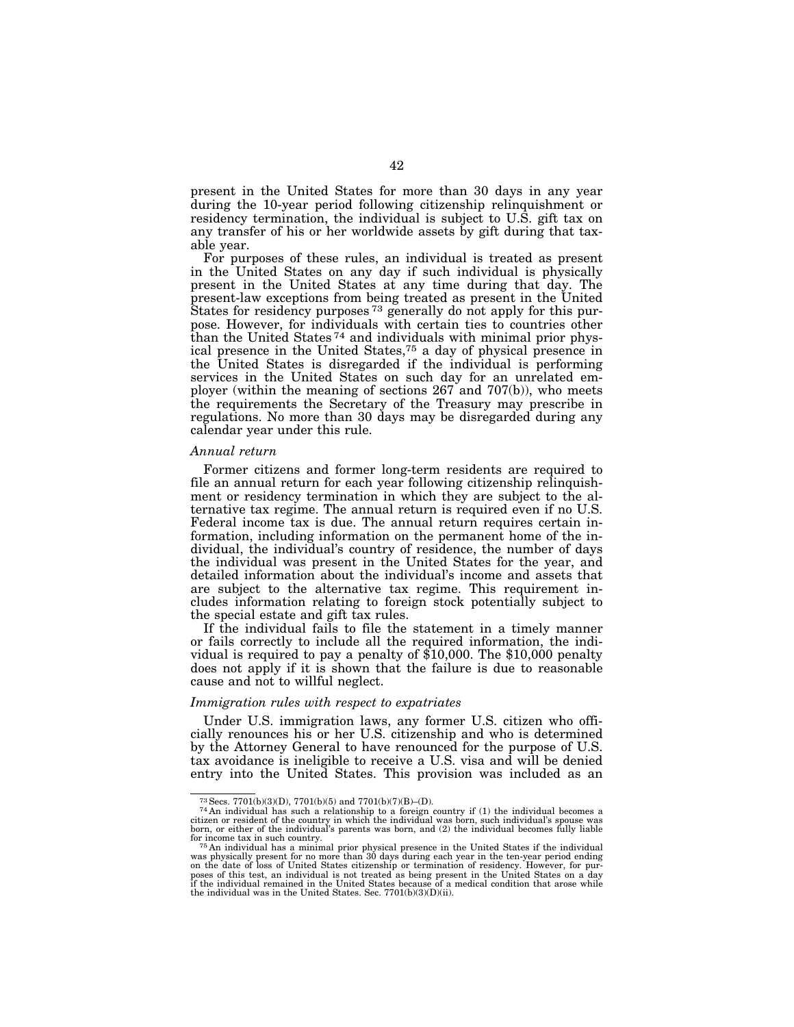present in the United States for more than 30 days in any year during the 10-year period following citizenship relinquishment or residency termination, the individual is subject to U.S. gift tax on any transfer of his or her worldwide assets by gift during that taxable year.

For purposes of these rules, an individual is treated as present in the United States on any day if such individual is physically present in the United States at any time during that day. The present-law exceptions from being treated as present in the United States for residency purposes 73 generally do not apply for this purpose. However, for individuals with certain ties to countries other than the United States 74 and individuals with minimal prior physical presence in the United States,75 a day of physical presence in the United States is disregarded if the individual is performing services in the United States on such day for an unrelated employer (within the meaning of sections 267 and 707(b)), who meets the requirements the Secretary of the Treasury may prescribe in regulations. No more than 30 days may be disregarded during any calendar year under this rule.

#### *Annual return*

Former citizens and former long-term residents are required to file an annual return for each year following citizenship relinquishment or residency termination in which they are subject to the alternative tax regime. The annual return is required even if no U.S. Federal income tax is due. The annual return requires certain information, including information on the permanent home of the individual, the individual's country of residence, the number of days the individual was present in the United States for the year, and detailed information about the individual's income and assets that are subject to the alternative tax regime. This requirement includes information relating to foreign stock potentially subject to the special estate and gift tax rules.

If the individual fails to file the statement in a timely manner or fails correctly to include all the required information, the individual is required to pay a penalty of \$10,000. The \$10,000 penalty does not apply if it is shown that the failure is due to reasonable cause and not to willful neglect.

#### *Immigration rules with respect to expatriates*

Under U.S. immigration laws, any former U.S. citizen who officially renounces his or her U.S. citizenship and who is determined by the Attorney General to have renounced for the purpose of U.S. tax avoidance is ineligible to receive a U.S. visa and will be denied entry into the United States. This provision was included as an

<sup>&</sup>lt;sup>73</sup> Secs. 7701(b)(3)(D), 7701(b)(5) and 7701(b)(7)(B)–(D).  $\frac{74 \text{ An individual has such a relationship to a foreign country if (1) the individual becomes a}}{74 \text{ An individual becomes a significant amount of the original.}}$ citizen or resident of the country in which the individual was born, such individual's spouse was born, or either of the individual's parents was born, and (2) the individual becomes fully liable

for income tax in such country.<br><sup>75</sup> An individual has a minimal prior physical presence in the United States if the individual<br>was physically present for no more than 30 days during each year in the ten-year period endin poses of this test, an individual is not treated as being present in the United States on a day if the individual remained in the United States because of a medical condition that arose while the individual was in the United States. Sec. 7701(b)(3)(D)(ii).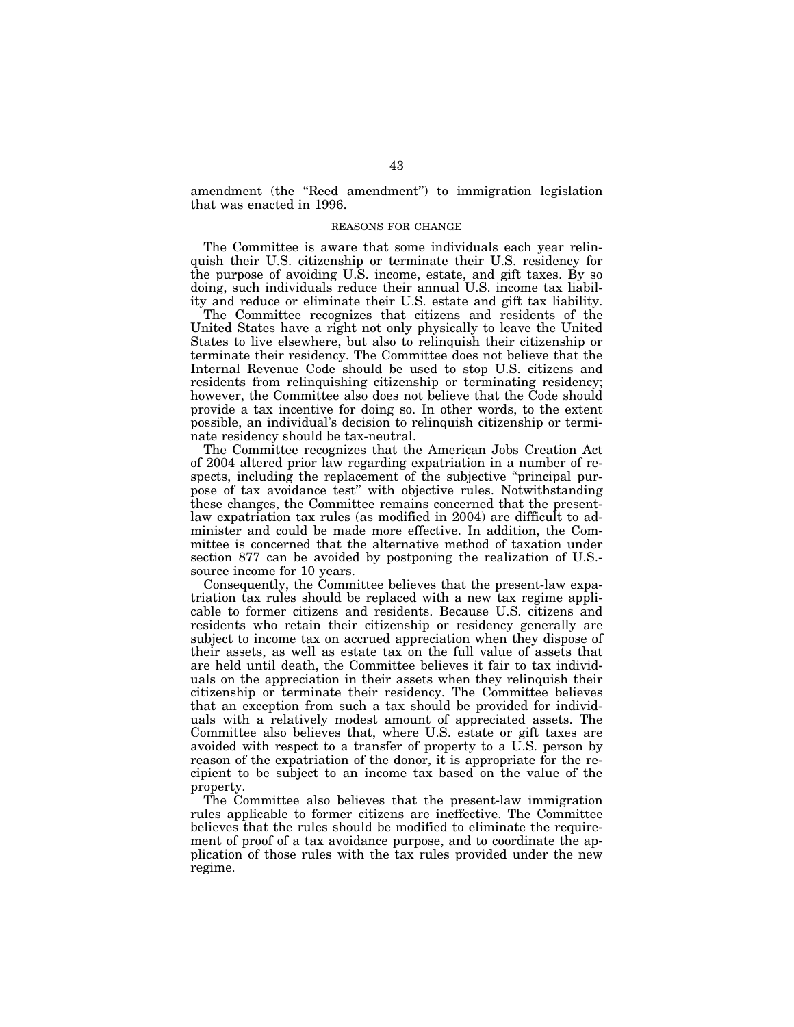amendment (the ''Reed amendment'') to immigration legislation that was enacted in 1996.

# REASONS FOR CHANGE

The Committee is aware that some individuals each year relinquish their U.S. citizenship or terminate their U.S. residency for the purpose of avoiding U.S. income, estate, and gift taxes. By so doing, such individuals reduce their annual U.S. income tax liability and reduce or eliminate their U.S. estate and gift tax liability.

The Committee recognizes that citizens and residents of the United States have a right not only physically to leave the United States to live elsewhere, but also to relinquish their citizenship or terminate their residency. The Committee does not believe that the Internal Revenue Code should be used to stop U.S. citizens and residents from relinquishing citizenship or terminating residency; however, the Committee also does not believe that the Code should provide a tax incentive for doing so. In other words, to the extent possible, an individual's decision to relinquish citizenship or terminate residency should be tax-neutral.

The Committee recognizes that the American Jobs Creation Act of 2004 altered prior law regarding expatriation in a number of respects, including the replacement of the subjective "principal purpose of tax avoidance test'' with objective rules. Notwithstanding these changes, the Committee remains concerned that the presentlaw expatriation tax rules (as modified in 2004) are difficult to administer and could be made more effective. In addition, the Committee is concerned that the alternative method of taxation under section 877 can be avoided by postponing the realization of U.S. source income for 10 years.

Consequently, the Committee believes that the present-law expatriation tax rules should be replaced with a new tax regime applicable to former citizens and residents. Because U.S. citizens and residents who retain their citizenship or residency generally are subject to income tax on accrued appreciation when they dispose of their assets, as well as estate tax on the full value of assets that are held until death, the Committee believes it fair to tax individuals on the appreciation in their assets when they relinquish their citizenship or terminate their residency. The Committee believes that an exception from such a tax should be provided for individuals with a relatively modest amount of appreciated assets. The Committee also believes that, where U.S. estate or gift taxes are avoided with respect to a transfer of property to a U.S. person by reason of the expatriation of the donor, it is appropriate for the recipient to be subject to an income tax based on the value of the property.

The Committee also believes that the present-law immigration rules applicable to former citizens are ineffective. The Committee believes that the rules should be modified to eliminate the requirement of proof of a tax avoidance purpose, and to coordinate the application of those rules with the tax rules provided under the new regime.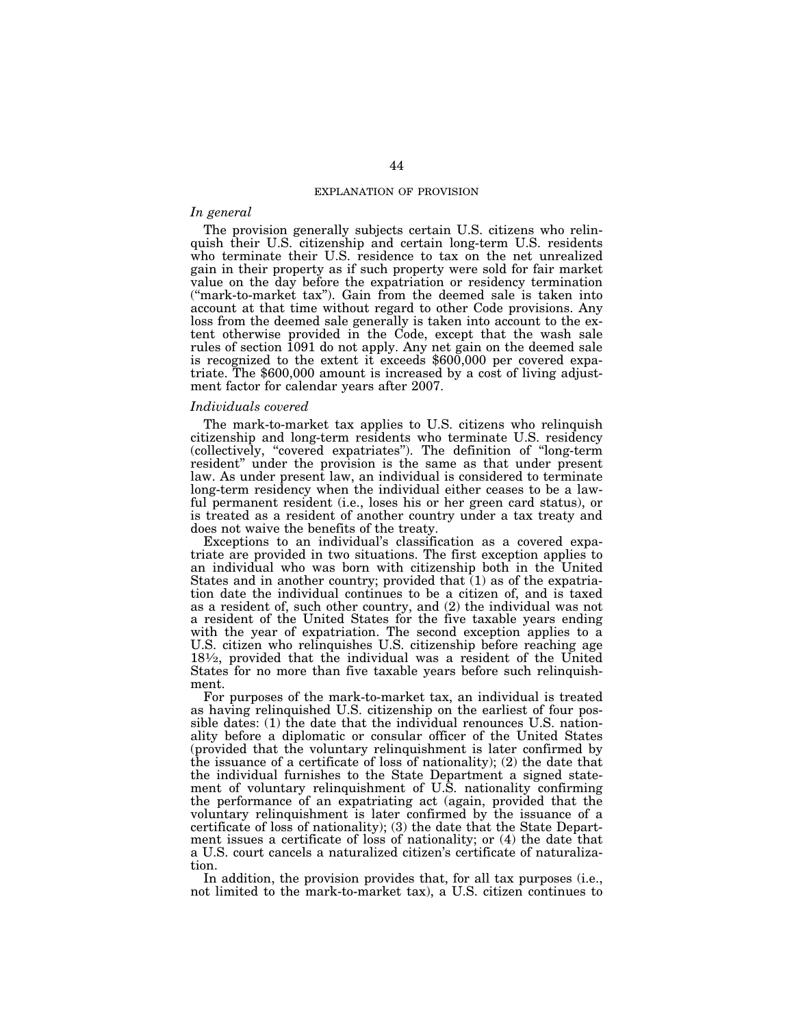#### EXPLANATION OF PROVISION

# *In general*

The provision generally subjects certain U.S. citizens who relinquish their U.S. citizenship and certain long-term U.S. residents who terminate their U.S. residence to tax on the net unrealized gain in their property as if such property were sold for fair market value on the day before the expatriation or residency termination (''mark-to-market tax''). Gain from the deemed sale is taken into account at that time without regard to other Code provisions. Any loss from the deemed sale generally is taken into account to the extent otherwise provided in the Code, except that the wash sale rules of section 1091 do not apply. Any net gain on the deemed sale is recognized to the extent it exceeds \$600,000 per covered expatriate. The \$600,000 amount is increased by a cost of living adjustment factor for calendar years after 2007.

#### *Individuals covered*

The mark-to-market tax applies to U.S. citizens who relinquish citizenship and long-term residents who terminate U.S. residency (collectively, ''covered expatriates''). The definition of ''long-term resident'' under the provision is the same as that under present law. As under present law, an individual is considered to terminate long-term residency when the individual either ceases to be a lawful permanent resident (i.e., loses his or her green card status), or is treated as a resident of another country under a tax treaty and does not waive the benefits of the treaty.

Exceptions to an individual's classification as a covered expatriate are provided in two situations. The first exception applies to an individual who was born with citizenship both in the United States and in another country; provided that  $(1)$  as of the expatriation date the individual continues to be a citizen of, and is taxed as a resident of, such other country, and (2) the individual was not a resident of the United States for the five taxable years ending with the year of expatriation. The second exception applies to a U.S. citizen who relinquishes U.S. citizenship before reaching age 181⁄2, provided that the individual was a resident of the United States for no more than five taxable years before such relinquishment.

For purposes of the mark-to-market tax, an individual is treated as having relinquished U.S. citizenship on the earliest of four possible dates: (1) the date that the individual renounces U.S. nationality before a diplomatic or consular officer of the United States (provided that the voluntary relinquishment is later confirmed by the issuance of a certificate of loss of nationality); (2) the date that the individual furnishes to the State Department a signed statement of voluntary relinquishment of U.S. nationality confirming the performance of an expatriating act (again, provided that the voluntary relinquishment is later confirmed by the issuance of a certificate of loss of nationality); (3) the date that the State Department issues a certificate of loss of nationality; or (4) the date that a U.S. court cancels a naturalized citizen's certificate of naturalization.

In addition, the provision provides that, for all tax purposes (i.e., not limited to the mark-to-market tax), a U.S. citizen continues to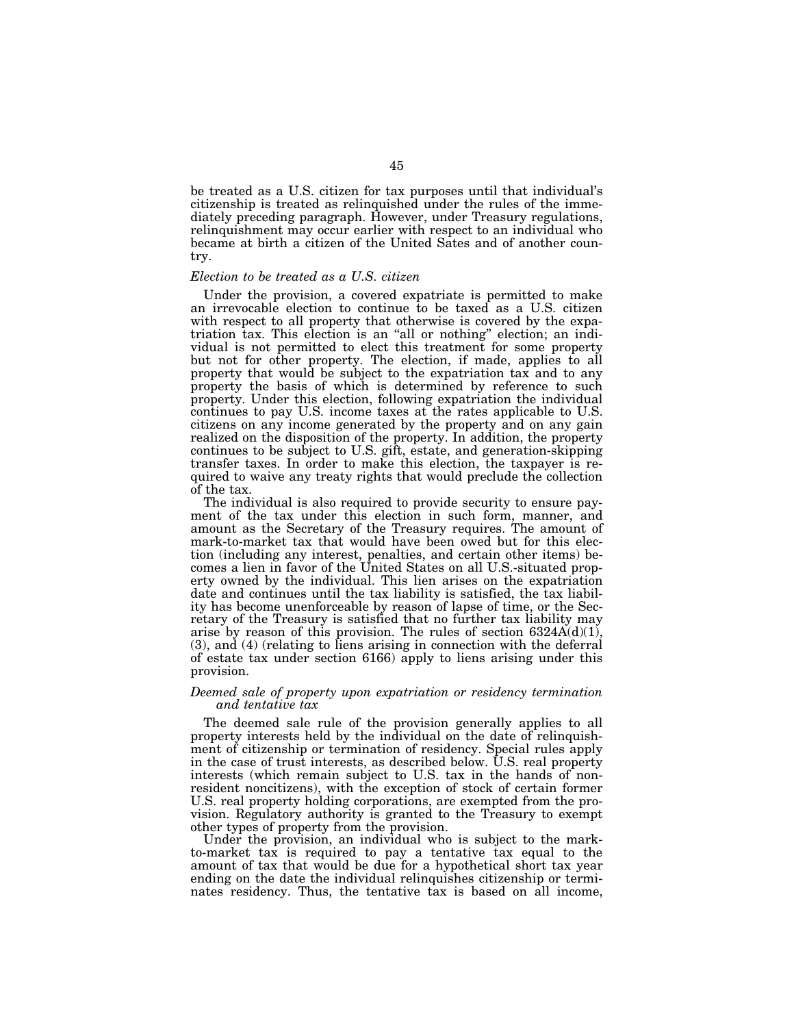be treated as a U.S. citizen for tax purposes until that individual's citizenship is treated as relinquished under the rules of the immediately preceding paragraph. However, under Treasury regulations, relinquishment may occur earlier with respect to an individual who became at birth a citizen of the United Sates and of another country.

# *Election to be treated as a U.S. citizen*

Under the provision, a covered expatriate is permitted to make an irrevocable election to continue to be taxed as a U.S. citizen with respect to all property that otherwise is covered by the expatriation tax. This election is an ''all or nothing'' election; an individual is not permitted to elect this treatment for some property but not for other property. The election, if made, applies to all property that would be subject to the expatriation tax and to any property the basis of which is determined by reference to such property. Under this election, following expatriation the individual continues to pay U.S. income taxes at the rates applicable to U.S. citizens on any income generated by the property and on any gain realized on the disposition of the property. In addition, the property continues to be subject to U.S. gift, estate, and generation-skipping transfer taxes. In order to make this election, the taxpayer is required to waive any treaty rights that would preclude the collection of the tax.

The individual is also required to provide security to ensure payment of the tax under this election in such form, manner, and amount as the Secretary of the Treasury requires. The amount of mark-to-market tax that would have been owed but for this election (including any interest, penalties, and certain other items) becomes a lien in favor of the United States on all U.S.-situated property owned by the individual. This lien arises on the expatriation date and continues until the tax liability is satisfied, the tax liability has become unenforceable by reason of lapse of time, or the Secretary of the Treasury is satisfied that no further tax liability may arise by reason of this provision. The rules of section  $6324A(d)(1)$ , (3), and (4) (relating to liens arising in connection with the deferral of estate tax under section 6166) apply to liens arising under this provision.

# *Deemed sale of property upon expatriation or residency termination and tentative tax*

The deemed sale rule of the provision generally applies to all property interests held by the individual on the date of relinquishment of citizenship or termination of residency. Special rules apply in the case of trust interests, as described below. U.S. real property interests (which remain subject to U.S. tax in the hands of nonresident noncitizens), with the exception of stock of certain former U.S. real property holding corporations, are exempted from the provision. Regulatory authority is granted to the Treasury to exempt other types of property from the provision.

Under the provision, an individual who is subject to the markto-market tax is required to pay a tentative tax equal to the amount of tax that would be due for a hypothetical short tax year ending on the date the individual relinquishes citizenship or terminates residency. Thus, the tentative tax is based on all income,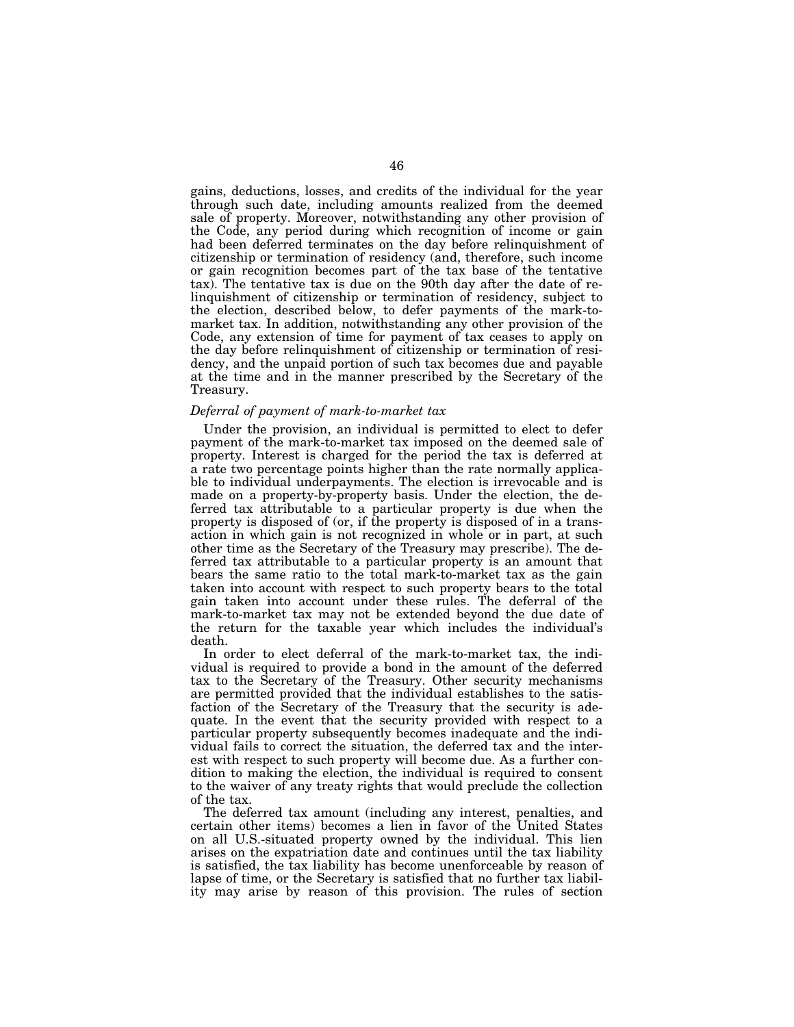gains, deductions, losses, and credits of the individual for the year through such date, including amounts realized from the deemed sale of property. Moreover, notwithstanding any other provision of the Code, any period during which recognition of income or gain had been deferred terminates on the day before relinquishment of citizenship or termination of residency (and, therefore, such income or gain recognition becomes part of the tax base of the tentative tax). The tentative tax is due on the 90th day after the date of relinquishment of citizenship or termination of residency, subject to the election, described below, to defer payments of the mark-tomarket tax. In addition, notwithstanding any other provision of the Code, any extension of time for payment of tax ceases to apply on the day before relinquishment of citizenship or termination of residency, and the unpaid portion of such tax becomes due and payable at the time and in the manner prescribed by the Secretary of the Treasury.

# *Deferral of payment of mark-to-market tax*

Under the provision, an individual is permitted to elect to defer payment of the mark-to-market tax imposed on the deemed sale of property. Interest is charged for the period the tax is deferred at a rate two percentage points higher than the rate normally applicable to individual underpayments. The election is irrevocable and is made on a property-by-property basis. Under the election, the deferred tax attributable to a particular property is due when the property is disposed of (or, if the property is disposed of in a transaction in which gain is not recognized in whole or in part, at such other time as the Secretary of the Treasury may prescribe). The deferred tax attributable to a particular property is an amount that bears the same ratio to the total mark-to-market tax as the gain taken into account with respect to such property bears to the total gain taken into account under these rules. The deferral of the mark-to-market tax may not be extended beyond the due date of the return for the taxable year which includes the individual's death.

In order to elect deferral of the mark-to-market tax, the individual is required to provide a bond in the amount of the deferred tax to the Secretary of the Treasury. Other security mechanisms are permitted provided that the individual establishes to the satisfaction of the Secretary of the Treasury that the security is adequate. In the event that the security provided with respect to a particular property subsequently becomes inadequate and the individual fails to correct the situation, the deferred tax and the interest with respect to such property will become due. As a further condition to making the election, the individual is required to consent to the waiver of any treaty rights that would preclude the collection of the tax.

The deferred tax amount (including any interest, penalties, and certain other items) becomes a lien in favor of the United States on all U.S.-situated property owned by the individual. This lien arises on the expatriation date and continues until the tax liability is satisfied, the tax liability has become unenforceable by reason of lapse of time, or the Secretary is satisfied that no further tax liability may arise by reason of this provision. The rules of section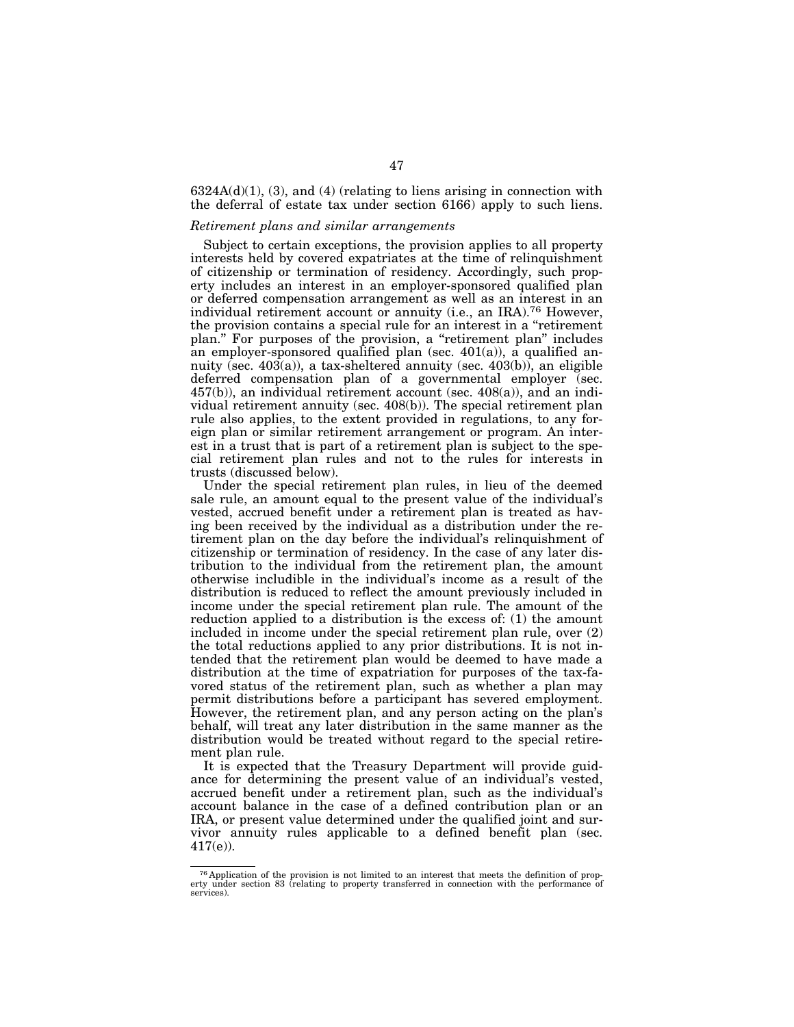$6324A(d)(1)$ ,  $(3)$ , and  $(4)$  (relating to liens arising in connection with the deferral of estate tax under section 6166) apply to such liens.

# *Retirement plans and similar arrangements*

Subject to certain exceptions, the provision applies to all property interests held by covered expatriates at the time of relinquishment of citizenship or termination of residency. Accordingly, such property includes an interest in an employer-sponsored qualified plan or deferred compensation arrangement as well as an interest in an individual retirement account or annuity (i.e., an IRA).76 However, the provision contains a special rule for an interest in a ''retirement plan.'' For purposes of the provision, a ''retirement plan'' includes an employer-sponsored qualified plan (sec.  $401(a)$ ), a qualified annuity (sec. 403(a)), a tax-sheltered annuity (sec. 403(b)), an eligible deferred compensation plan of a governmental employer (sec.  $457(b)$ , an individual retirement account (sec.  $408(a)$ ), and an individual retirement annuity (sec. 408(b)). The special retirement plan rule also applies, to the extent provided in regulations, to any foreign plan or similar retirement arrangement or program. An interest in a trust that is part of a retirement plan is subject to the special retirement plan rules and not to the rules for interests in trusts (discussed below).

Under the special retirement plan rules, in lieu of the deemed sale rule, an amount equal to the present value of the individual's vested, accrued benefit under a retirement plan is treated as having been received by the individual as a distribution under the retirement plan on the day before the individual's relinquishment of citizenship or termination of residency. In the case of any later distribution to the individual from the retirement plan, the amount otherwise includible in the individual's income as a result of the distribution is reduced to reflect the amount previously included in income under the special retirement plan rule. The amount of the reduction applied to a distribution is the excess of: (1) the amount included in income under the special retirement plan rule, over (2) the total reductions applied to any prior distributions. It is not intended that the retirement plan would be deemed to have made a distribution at the time of expatriation for purposes of the tax-favored status of the retirement plan, such as whether a plan may permit distributions before a participant has severed employment. However, the retirement plan, and any person acting on the plan's behalf, will treat any later distribution in the same manner as the distribution would be treated without regard to the special retirement plan rule.

It is expected that the Treasury Department will provide guidance for determining the present value of an individual's vested, accrued benefit under a retirement plan, such as the individual's account balance in the case of a defined contribution plan or an IRA, or present value determined under the qualified joint and survivor annuity rules applicable to a defined benefit plan (sec. 417(e)).

<sup>76</sup> Application of the provision is not limited to an interest that meets the definition of prop-erty under section 83 (relating to property transferred in connection with the performance of services).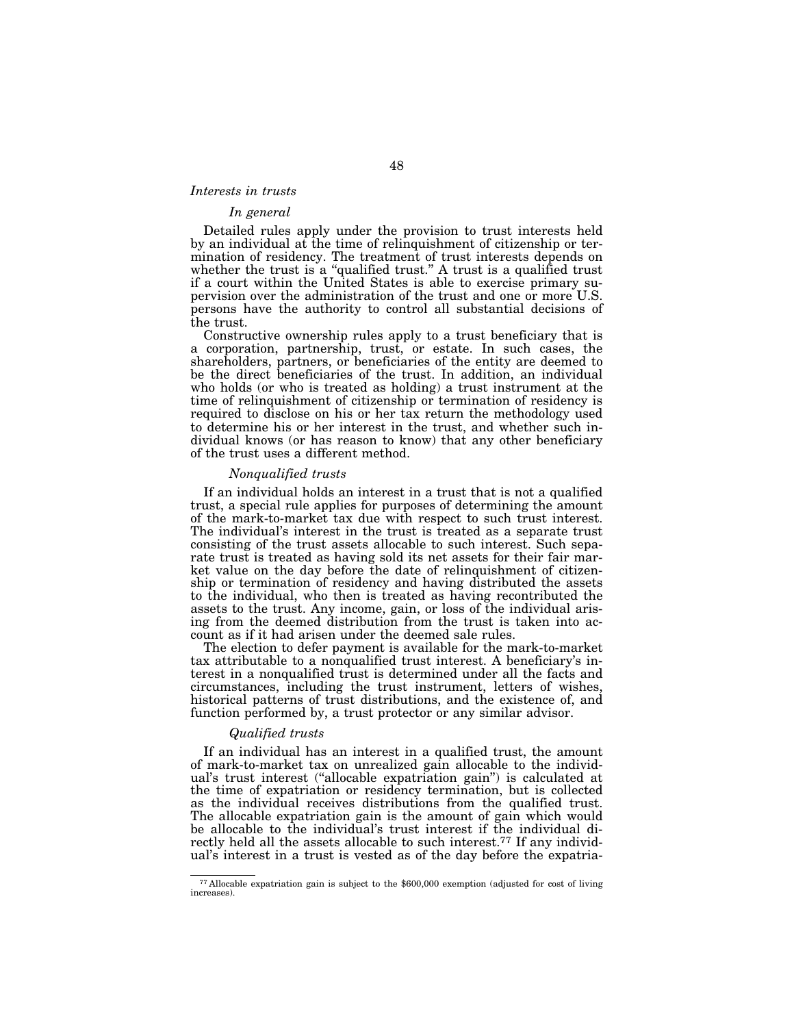# *Interests in trusts*

# *In general*

Detailed rules apply under the provision to trust interests held by an individual at the time of relinquishment of citizenship or termination of residency. The treatment of trust interests depends on whether the trust is a "qualified trust." A trust is a qualified trust if a court within the United States is able to exercise primary supervision over the administration of the trust and one or more U.S. persons have the authority to control all substantial decisions of the trust.

Constructive ownership rules apply to a trust beneficiary that is a corporation, partnership, trust, or estate. In such cases, the shareholders, partners, or beneficiaries of the entity are deemed to be the direct beneficiaries of the trust. In addition, an individual who holds (or who is treated as holding) a trust instrument at the time of relinquishment of citizenship or termination of residency is required to disclose on his or her tax return the methodology used to determine his or her interest in the trust, and whether such individual knows (or has reason to know) that any other beneficiary of the trust uses a different method.

# *Nonqualified trusts*

If an individual holds an interest in a trust that is not a qualified trust, a special rule applies for purposes of determining the amount of the mark-to-market tax due with respect to such trust interest. The individual's interest in the trust is treated as a separate trust consisting of the trust assets allocable to such interest. Such separate trust is treated as having sold its net assets for their fair market value on the day before the date of relinquishment of citizenship or termination of residency and having distributed the assets to the individual, who then is treated as having recontributed the assets to the trust. Any income, gain, or loss of the individual arising from the deemed distribution from the trust is taken into account as if it had arisen under the deemed sale rules.

The election to defer payment is available for the mark-to-market tax attributable to a nonqualified trust interest. A beneficiary's interest in a nonqualified trust is determined under all the facts and circumstances, including the trust instrument, letters of wishes, historical patterns of trust distributions, and the existence of, and function performed by, a trust protector or any similar advisor.

# *Qualified trusts*

If an individual has an interest in a qualified trust, the amount of mark-to-market tax on unrealized gain allocable to the individual's trust interest (''allocable expatriation gain'') is calculated at the time of expatriation or residency termination, but is collected as the individual receives distributions from the qualified trust. The allocable expatriation gain is the amount of gain which would be allocable to the individual's trust interest if the individual directly held all the assets allocable to such interest.77 If any individual's interest in a trust is vested as of the day before the expatria-

<sup>77</sup> Allocable expatriation gain is subject to the \$600,000 exemption (adjusted for cost of living increases).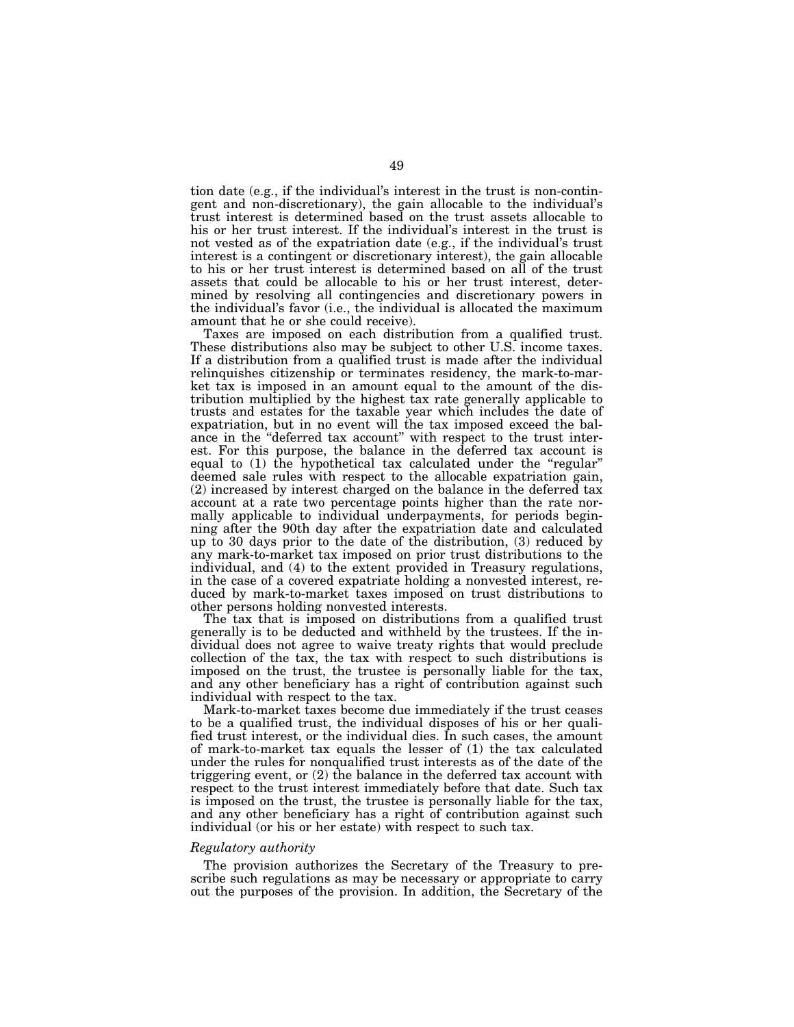tion date (e.g., if the individual's interest in the trust is non-contingent and non-discretionary), the gain allocable to the individual's trust interest is determined based on the trust assets allocable to his or her trust interest. If the individual's interest in the trust is not vested as of the expatriation date (e.g., if the individual's trust interest is a contingent or discretionary interest), the gain allocable to his or her trust interest is determined based on all of the trust assets that could be allocable to his or her trust interest, determined by resolving all contingencies and discretionary powers in the individual's favor (i.e., the individual is allocated the maximum amount that he or she could receive).

Taxes are imposed on each distribution from a qualified trust. These distributions also may be subject to other U.S. income taxes. If a distribution from a qualified trust is made after the individual relinquishes citizenship or terminates residency, the mark-to-market tax is imposed in an amount equal to the amount of the distribution multiplied by the highest tax rate generally applicable to trusts and estates for the taxable year which includes the date of expatriation, but in no event will the tax imposed exceed the balance in the ''deferred tax account'' with respect to the trust interest. For this purpose, the balance in the deferred tax account is equal to (1) the hypothetical tax calculated under the ''regular'' deemed sale rules with respect to the allocable expatriation gain, (2) increased by interest charged on the balance in the deferred tax account at a rate two percentage points higher than the rate normally applicable to individual underpayments, for periods beginning after the 90th day after the expatriation date and calculated up to 30 days prior to the date of the distribution, (3) reduced by any mark-to-market tax imposed on prior trust distributions to the individual, and (4) to the extent provided in Treasury regulations, in the case of a covered expatriate holding a nonvested interest, reduced by mark-to-market taxes imposed on trust distributions to other persons holding nonvested interests.

The tax that is imposed on distributions from a qualified trust generally is to be deducted and withheld by the trustees. If the individual does not agree to waive treaty rights that would preclude collection of the tax, the tax with respect to such distributions is imposed on the trust, the trustee is personally liable for the tax, and any other beneficiary has a right of contribution against such individual with respect to the tax.

Mark-to-market taxes become due immediately if the trust ceases to be a qualified trust, the individual disposes of his or her qualified trust interest, or the individual dies. In such cases, the amount of mark-to-market tax equals the lesser of (1) the tax calculated under the rules for nonqualified trust interests as of the date of the triggering event, or (2) the balance in the deferred tax account with respect to the trust interest immediately before that date. Such tax is imposed on the trust, the trustee is personally liable for the tax, and any other beneficiary has a right of contribution against such individual (or his or her estate) with respect to such tax.

# *Regulatory authority*

The provision authorizes the Secretary of the Treasury to prescribe such regulations as may be necessary or appropriate to carry out the purposes of the provision. In addition, the Secretary of the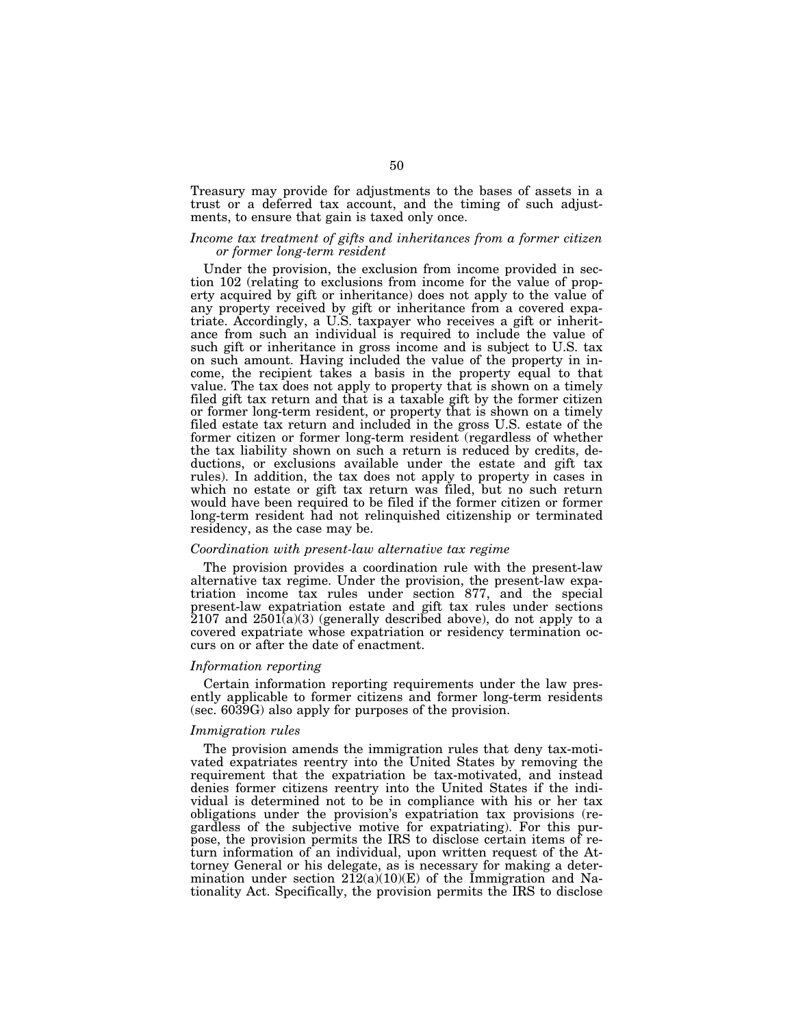Treasury may provide for adjustments to the bases of assets in a trust or a deferred tax account, and the timing of such adjustments, to ensure that gain is taxed only once.

# *Income tax treatment of gifts and inheritances from a former citizen or former long-term resident*

Under the provision, the exclusion from income provided in section 102 (relating to exclusions from income for the value of property acquired by gift or inheritance) does not apply to the value of any property received by gift or inheritance from a covered expatriate. Accordingly, a U.S. taxpayer who receives a gift or inheritance from such an individual is required to include the value of such gift or inheritance in gross income and is subject to U.S. tax on such amount. Having included the value of the property in income, the recipient takes a basis in the property equal to that value. The tax does not apply to property that is shown on a timely filed gift tax return and that is a taxable gift by the former citizen or former long-term resident, or property that is shown on a timely filed estate tax return and included in the gross U.S. estate of the former citizen or former long-term resident (regardless of whether the tax liability shown on such a return is reduced by credits, deductions, or exclusions available under the estate and gift tax rules). In addition, the tax does not apply to property in cases in which no estate or gift tax return was filed, but no such return would have been required to be filed if the former citizen or former long-term resident had not relinquished citizenship or terminated residency, as the case may be.

# *Coordination with present-law alternative tax regime*

The provision provides a coordination rule with the present-law alternative tax regime. Under the provision, the present-law expatriation income tax rules under section 877, and the special present-law expatriation estate and gift tax rules under sections  $2107$  and  $2501(a)(3)$  (generally described above), do not apply to a covered expatriate whose expatriation or residency termination occurs on or after the date of enactment.

#### *Information reporting*

Certain information reporting requirements under the law presently applicable to former citizens and former long-term residents (sec. 6039G) also apply for purposes of the provision.

#### *Immigration rules*

The provision amends the immigration rules that deny tax-motivated expatriates reentry into the United States by removing the requirement that the expatriation be tax-motivated, and instead denies former citizens reentry into the United States if the individual is determined not to be in compliance with his or her tax obligations under the provision's expatriation tax provisions (regardless of the subjective motive for expatriating). For this purpose, the provision permits the IRS to disclose certain items of return information of an individual, upon written request of the Attorney General or his delegate, as is necessary for making a determination under section  $212(a)(10)(E)$  of the Immigration and Nationality Act. Specifically, the provision permits the IRS to disclose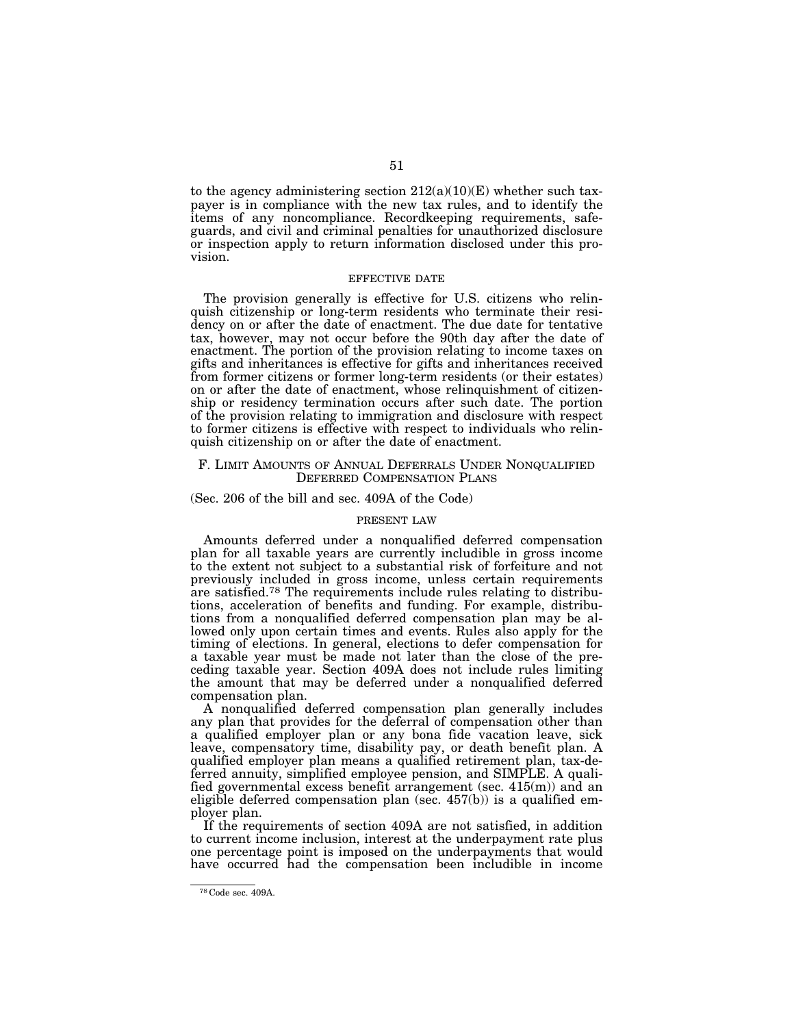to the agency administering section  $212(a)(10)(E)$  whether such taxpayer is in compliance with the new tax rules, and to identify the items of any noncompliance. Recordkeeping requirements, safeguards, and civil and criminal penalties for unauthorized disclosure or inspection apply to return information disclosed under this provision.

# EFFECTIVE DATE

The provision generally is effective for U.S. citizens who relinquish citizenship or long-term residents who terminate their residency on or after the date of enactment. The due date for tentative tax, however, may not occur before the 90th day after the date of enactment. The portion of the provision relating to income taxes on gifts and inheritances is effective for gifts and inheritances received from former citizens or former long-term residents (or their estates) on or after the date of enactment, whose relinquishment of citizenship or residency termination occurs after such date. The portion of the provision relating to immigration and disclosure with respect to former citizens is effective with respect to individuals who relinquish citizenship on or after the date of enactment.

# F. LIMIT AMOUNTS OF ANNUAL DEFERRALS UNDER NONQUALIFIED DEFERRED COMPENSATION PLANS

# (Sec. 206 of the bill and sec. 409A of the Code)

## PRESENT LAW

Amounts deferred under a nonqualified deferred compensation plan for all taxable years are currently includible in gross income to the extent not subject to a substantial risk of forfeiture and not previously included in gross income, unless certain requirements are satisfied.78 The requirements include rules relating to distributions, acceleration of benefits and funding. For example, distributions from a nonqualified deferred compensation plan may be allowed only upon certain times and events. Rules also apply for the timing of elections. In general, elections to defer compensation for a taxable year must be made not later than the close of the preceding taxable year. Section 409A does not include rules limiting the amount that may be deferred under a nonqualified deferred compensation plan.

A nonqualified deferred compensation plan generally includes any plan that provides for the deferral of compensation other than a qualified employer plan or any bona fide vacation leave, sick leave, compensatory time, disability pay, or death benefit plan. A qualified employer plan means a qualified retirement plan, tax-deferred annuity, simplified employee pension, and SIMPLE. A qualified governmental excess benefit arrangement (sec. 415(m)) and an eligible deferred compensation plan (sec. 457(b)) is a qualified employer plan.

If the requirements of section 409A are not satisfied, in addition to current income inclusion, interest at the underpayment rate plus one percentage point is imposed on the underpayments that would have occurred had the compensation been includible in income

<sup>78</sup> Code sec. 409A.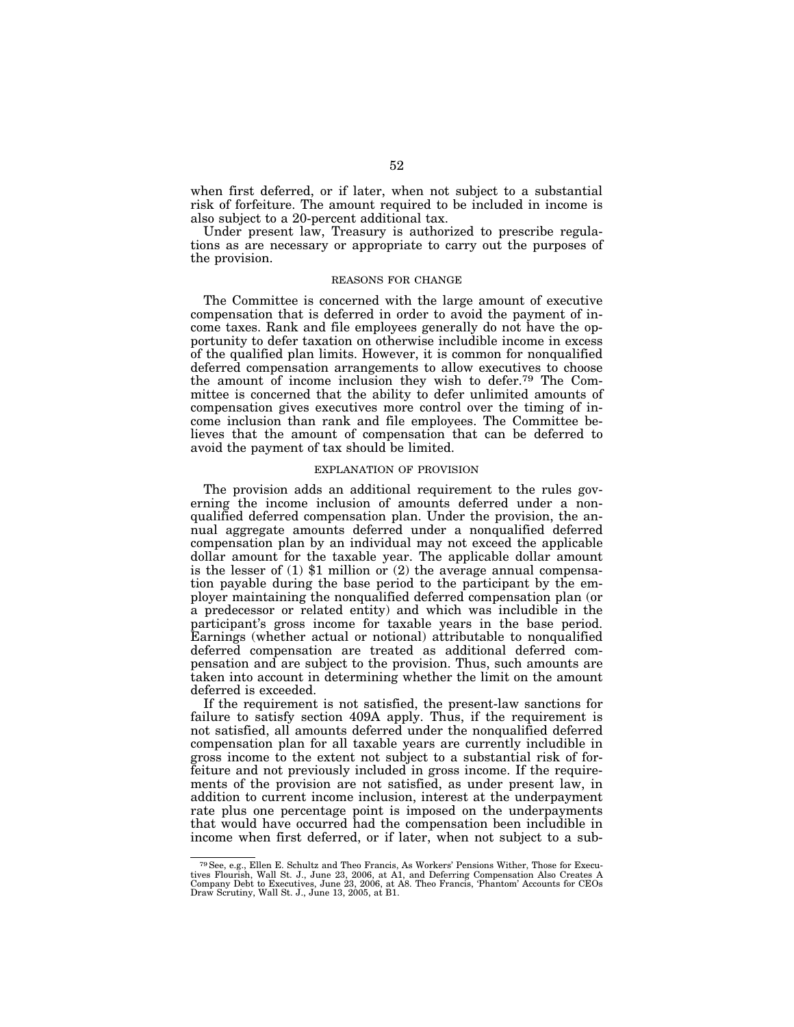when first deferred, or if later, when not subject to a substantial risk of forfeiture. The amount required to be included in income is also subject to a 20-percent additional tax.

Under present law, Treasury is authorized to prescribe regulations as are necessary or appropriate to carry out the purposes of the provision.

#### REASONS FOR CHANGE

The Committee is concerned with the large amount of executive compensation that is deferred in order to avoid the payment of income taxes. Rank and file employees generally do not have the opportunity to defer taxation on otherwise includible income in excess of the qualified plan limits. However, it is common for nonqualified deferred compensation arrangements to allow executives to choose the amount of income inclusion they wish to defer.79 The Committee is concerned that the ability to defer unlimited amounts of compensation gives executives more control over the timing of income inclusion than rank and file employees. The Committee believes that the amount of compensation that can be deferred to avoid the payment of tax should be limited.

# EXPLANATION OF PROVISION

The provision adds an additional requirement to the rules governing the income inclusion of amounts deferred under a nonqualified deferred compensation plan. Under the provision, the annual aggregate amounts deferred under a nonqualified deferred compensation plan by an individual may not exceed the applicable dollar amount for the taxable year. The applicable dollar amount is the lesser of (1) \$1 million or (2) the average annual compensation payable during the base period to the participant by the employer maintaining the nonqualified deferred compensation plan (or a predecessor or related entity) and which was includible in the participant's gross income for taxable years in the base period. Earnings (whether actual or notional) attributable to nonqualified deferred compensation are treated as additional deferred compensation and are subject to the provision. Thus, such amounts are taken into account in determining whether the limit on the amount deferred is exceeded.

If the requirement is not satisfied, the present-law sanctions for failure to satisfy section 409A apply. Thus, if the requirement is not satisfied, all amounts deferred under the nonqualified deferred compensation plan for all taxable years are currently includible in gross income to the extent not subject to a substantial risk of forfeiture and not previously included in gross income. If the requirements of the provision are not satisfied, as under present law, in addition to current income inclusion, interest at the underpayment rate plus one percentage point is imposed on the underpayments that would have occurred had the compensation been includible in income when first deferred, or if later, when not subject to a sub-

<sup>79</sup>See, e.g., Ellen E. Schultz and Theo Francis, As Workers' Pensions Wither, Those for Executives Flourish, Wall St. J., June 23, 2006, at A1, and Deferring Compensation Also Creates A<br>Company Debt to Executives, June 23, 2006, at A8. Theo Francis, 'Phantom' Accounts for CEOs<br>Draw Scrutiny, Wall St. J., June 13,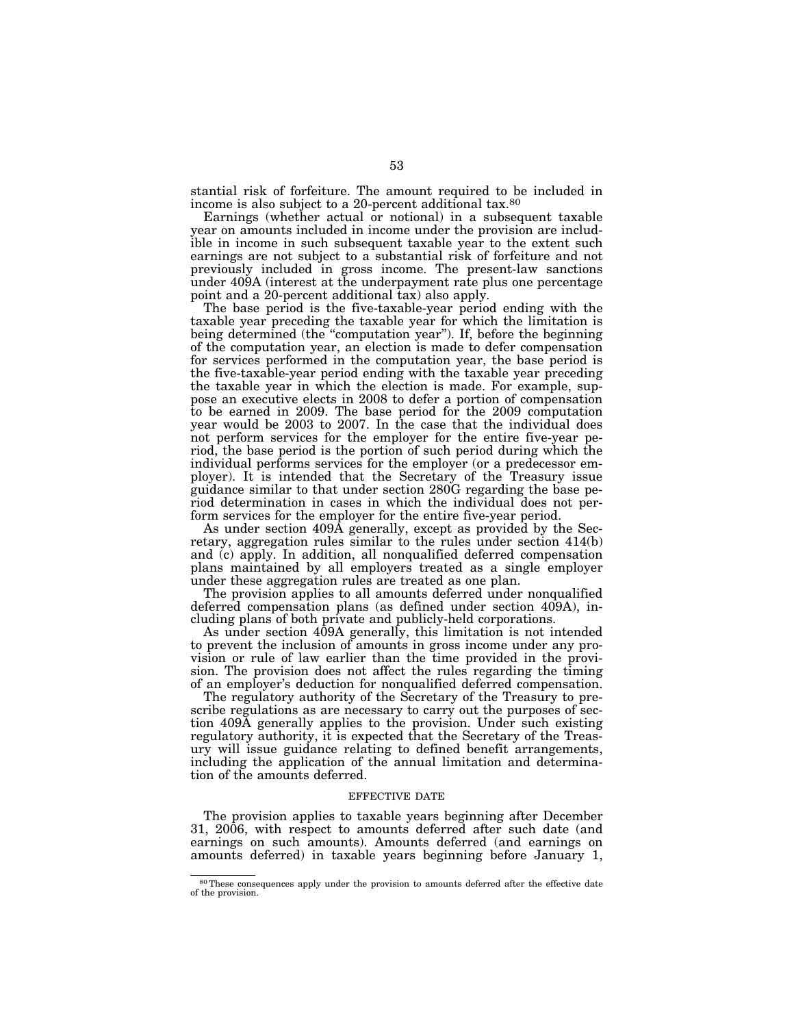stantial risk of forfeiture. The amount required to be included in income is also subject to a 20-percent additional tax.80

Earnings (whether actual or notional) in a subsequent taxable year on amounts included in income under the provision are includible in income in such subsequent taxable year to the extent such earnings are not subject to a substantial risk of forfeiture and not previously included in gross income. The present-law sanctions under 409A (interest at the underpayment rate plus one percentage point and a 20-percent additional tax) also apply.

The base period is the five-taxable-year period ending with the taxable year preceding the taxable year for which the limitation is being determined (the "computation year"). If, before the beginning of the computation year, an election is made to defer compensation for services performed in the computation year, the base period is the five-taxable-year period ending with the taxable year preceding the taxable year in which the election is made. For example, suppose an executive elects in 2008 to defer a portion of compensation to be earned in 2009. The base period for the 2009 computation year would be 2003 to 2007. In the case that the individual does not perform services for the employer for the entire five-year period, the base period is the portion of such period during which the individual performs services for the employer (or a predecessor employer). It is intended that the Secretary of the Treasury issue guidance similar to that under section 280G regarding the base period determination in cases in which the individual does not perform services for the employer for the entire five-year period.

As under section 409A generally, except as provided by the Secretary, aggregation rules similar to the rules under section 414(b) and (c) apply. In addition, all nonqualified deferred compensation plans maintained by all employers treated as a single employer under these aggregation rules are treated as one plan.

The provision applies to all amounts deferred under nonqualified deferred compensation plans (as defined under section 409A), including plans of both private and publicly-held corporations.

As under section 409A generally, this limitation is not intended to prevent the inclusion of amounts in gross income under any provision or rule of law earlier than the time provided in the provision. The provision does not affect the rules regarding the timing of an employer's deduction for nonqualified deferred compensation.

The regulatory authority of the Secretary of the Treasury to prescribe regulations as are necessary to carry out the purposes of section 409A generally applies to the provision. Under such existing regulatory authority, it is expected that the Secretary of the Treasury will issue guidance relating to defined benefit arrangements, including the application of the annual limitation and determination of the amounts deferred.

#### EFFECTIVE DATE

The provision applies to taxable years beginning after December 31, 2006, with respect to amounts deferred after such date (and earnings on such amounts). Amounts deferred (and earnings on amounts deferred) in taxable years beginning before January 1,

<sup>80</sup>These consequences apply under the provision to amounts deferred after the effective date of the provision.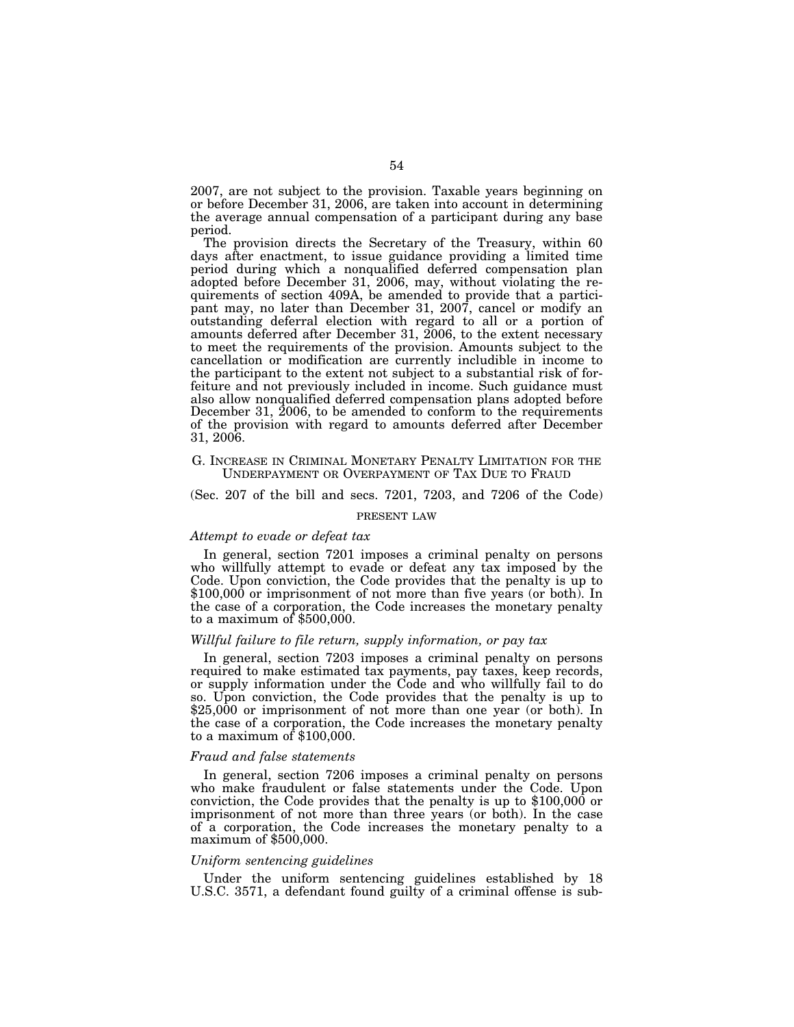2007, are not subject to the provision. Taxable years beginning on or before December 31, 2006, are taken into account in determining the average annual compensation of a participant during any base period.

The provision directs the Secretary of the Treasury, within 60 days after enactment, to issue guidance providing a limited time period during which a nonqualified deferred compensation plan adopted before December 31, 2006, may, without violating the requirements of section 409A, be amended to provide that a participant may, no later than December 31, 2007, cancel or modify an outstanding deferral election with regard to all or a portion of amounts deferred after December 31, 2006, to the extent necessary to meet the requirements of the provision. Amounts subject to the cancellation or modification are currently includible in income to the participant to the extent not subject to a substantial risk of forfeiture and not previously included in income. Such guidance must also allow nonqualified deferred compensation plans adopted before December 31, 2006, to be amended to conform to the requirements of the provision with regard to amounts deferred after December 31, 2006.

# G. INCREASE IN CRIMINAL MONETARY PENALTY LIMITATION FOR THE UNDERPAYMENT OR OVERPAYMENT OF TAX DUE TO FRAUD

(Sec. 207 of the bill and secs. 7201, 7203, and 7206 of the Code)

#### PRESENT LAW

#### *Attempt to evade or defeat tax*

In general, section 7201 imposes a criminal penalty on persons who willfully attempt to evade or defeat any tax imposed by the Code. Upon conviction, the Code provides that the penalty is up to \$100,000 or imprisonment of not more than five years (or both). In the case of a corporation, the Code increases the monetary penalty to a maximum of \$500,000.

# *Willful failure to file return, supply information, or pay tax*

In general, section 7203 imposes a criminal penalty on persons required to make estimated tax payments, pay taxes, keep records, or supply information under the Code and who willfully fail to do so. Upon conviction, the Code provides that the penalty is up to \$25,000 or imprisonment of not more than one year (or both). In the case of a corporation, the Code increases the monetary penalty to a maximum of \$100,000.

#### *Fraud and false statements*

In general, section 7206 imposes a criminal penalty on persons who make fraudulent or false statements under the Code. Upon conviction, the Code provides that the penalty is up to \$100,000 or imprisonment of not more than three years (or both). In the case of a corporation, the Code increases the monetary penalty to a maximum of \$500,000.

#### *Uniform sentencing guidelines*

Under the uniform sentencing guidelines established by 18 U.S.C. 3571, a defendant found guilty of a criminal offense is sub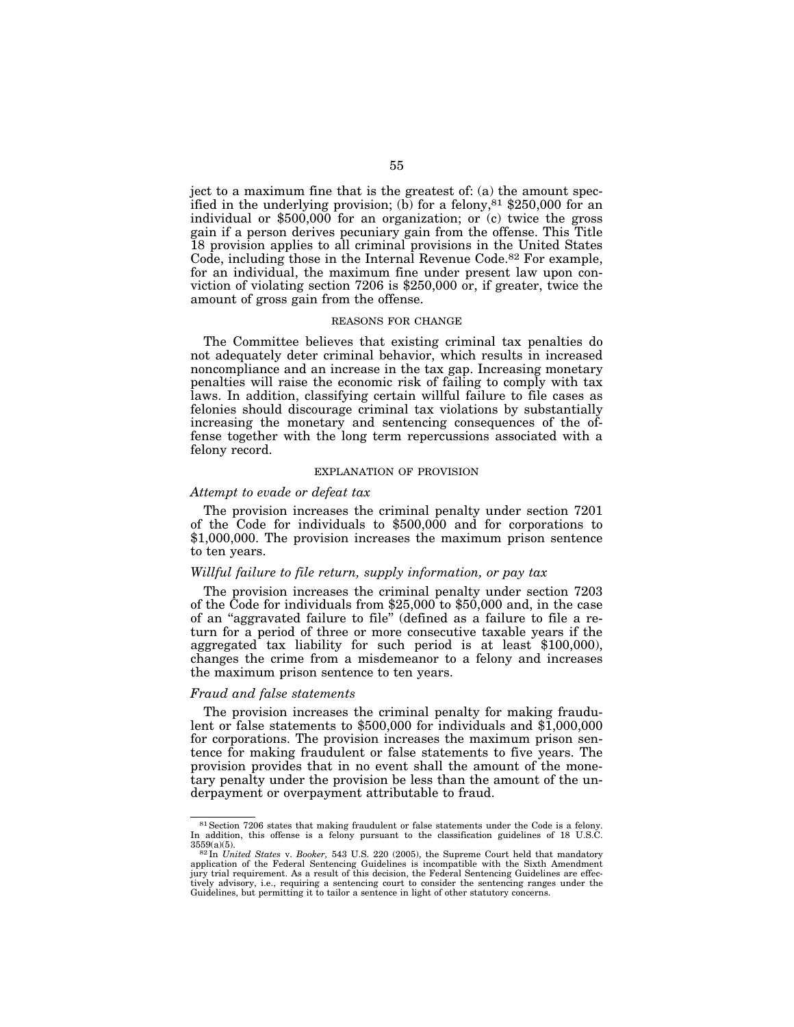ject to a maximum fine that is the greatest of: (a) the amount specified in the underlying provision; (b) for a felony,  $81 \text{ } $250,000$  for an individual or \$500,000 for an organization; or (c) twice the gross gain if a person derives pecuniary gain from the offense. This Title 18 provision applies to all criminal provisions in the United States Code, including those in the Internal Revenue Code.<sup>82</sup> For example, for an individual, the maximum fine under present law upon conviction of violating section 7206 is \$250,000 or, if greater, twice the amount of gross gain from the offense.

#### REASONS FOR CHANGE

The Committee believes that existing criminal tax penalties do not adequately deter criminal behavior, which results in increased noncompliance and an increase in the tax gap. Increasing monetary penalties will raise the economic risk of failing to comply with tax laws. In addition, classifying certain willful failure to file cases as felonies should discourage criminal tax violations by substantially increasing the monetary and sentencing consequences of the offense together with the long term repercussions associated with a felony record.

#### EXPLANATION OF PROVISION

# *Attempt to evade or defeat tax*

The provision increases the criminal penalty under section 7201 of the Code for individuals to \$500,000 and for corporations to \$1,000,000. The provision increases the maximum prison sentence to ten years.

# *Willful failure to file return, supply information, or pay tax*

The provision increases the criminal penalty under section 7203 of the Code for individuals from \$25,000 to \$50,000 and, in the case of an ''aggravated failure to file'' (defined as a failure to file a return for a period of three or more consecutive taxable years if the aggregated tax liability for such period is at least \$100,000), changes the crime from a misdemeanor to a felony and increases the maximum prison sentence to ten years.

#### *Fraud and false statements*

The provision increases the criminal penalty for making fraudulent or false statements to \$500,000 for individuals and \$1,000,000 for corporations. The provision increases the maximum prison sentence for making fraudulent or false statements to five years. The provision provides that in no event shall the amount of the monetary penalty under the provision be less than the amount of the underpayment or overpayment attributable to fraud.

<sup>81</sup>Section 7206 states that making fraudulent or false statements under the Code is a felony. In addition, this offense is a felony pursuant to the classification guidelines of 18 U.S.C.

<sup>3559(</sup>a)(5).<br><sup>82</sup> In *United States v. Booker*, 543 U.S. 220 (2005), the Supreme Court held that mandatory<br>contractive contractive with the Sixth Amendment application of the Federal Sentencing Guidelines is incompatible with the Sixth Amendment jury trial requirement. As a result of this decision, the Federal Sentencing Guidelines are effectively advisory, i.e., requiring a sentencing court to consider the sentencing ranges under the Guidelines, but permitting it to tailor a sentence in light of other statutory concerns.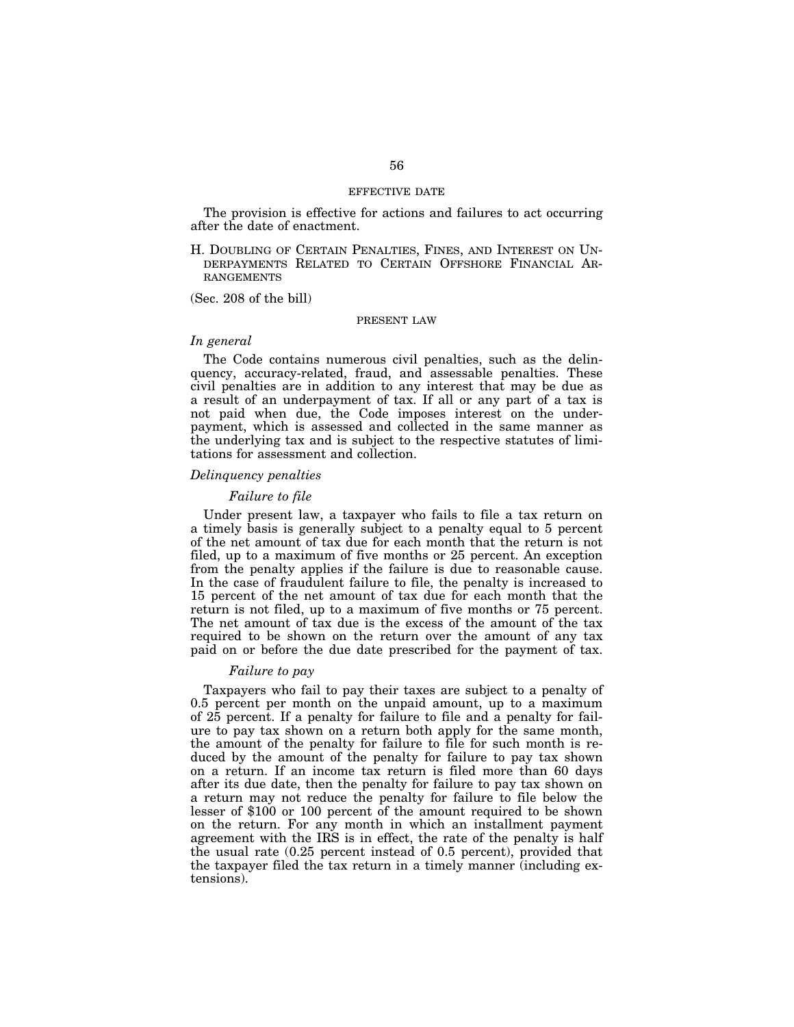#### EFFECTIVE DATE

The provision is effective for actions and failures to act occurring after the date of enactment.

H. DOUBLING OF CERTAIN PENALTIES, FINES, AND INTEREST ON UN-DERPAYMENTS RELATED TO CERTAIN OFFSHORE FINANCIAL AR-RANGEMENTS

(Sec. 208 of the bill)

# PRESENT LAW

# *In general*

The Code contains numerous civil penalties, such as the delinquency, accuracy-related, fraud, and assessable penalties. These civil penalties are in addition to any interest that may be due as a result of an underpayment of tax. If all or any part of a tax is not paid when due, the Code imposes interest on the underpayment, which is assessed and collected in the same manner as the underlying tax and is subject to the respective statutes of limitations for assessment and collection.

#### *Delinquency penalties*

# *Failure to file*

Under present law, a taxpayer who fails to file a tax return on a timely basis is generally subject to a penalty equal to 5 percent of the net amount of tax due for each month that the return is not filed, up to a maximum of five months or 25 percent. An exception from the penalty applies if the failure is due to reasonable cause. In the case of fraudulent failure to file, the penalty is increased to 15 percent of the net amount of tax due for each month that the return is not filed, up to a maximum of five months or 75 percent. The net amount of tax due is the excess of the amount of the tax required to be shown on the return over the amount of any tax paid on or before the due date prescribed for the payment of tax.

#### *Failure to pay*

Taxpayers who fail to pay their taxes are subject to a penalty of 0.5 percent per month on the unpaid amount, up to a maximum of 25 percent. If a penalty for failure to file and a penalty for failure to pay tax shown on a return both apply for the same month, the amount of the penalty for failure to file for such month is reduced by the amount of the penalty for failure to pay tax shown on a return. If an income tax return is filed more than 60 days after its due date, then the penalty for failure to pay tax shown on a return may not reduce the penalty for failure to file below the lesser of \$100 or 100 percent of the amount required to be shown on the return. For any month in which an installment payment agreement with the IRS is in effect, the rate of the penalty is half the usual rate (0.25 percent instead of 0.5 percent), provided that the taxpayer filed the tax return in a timely manner (including extensions).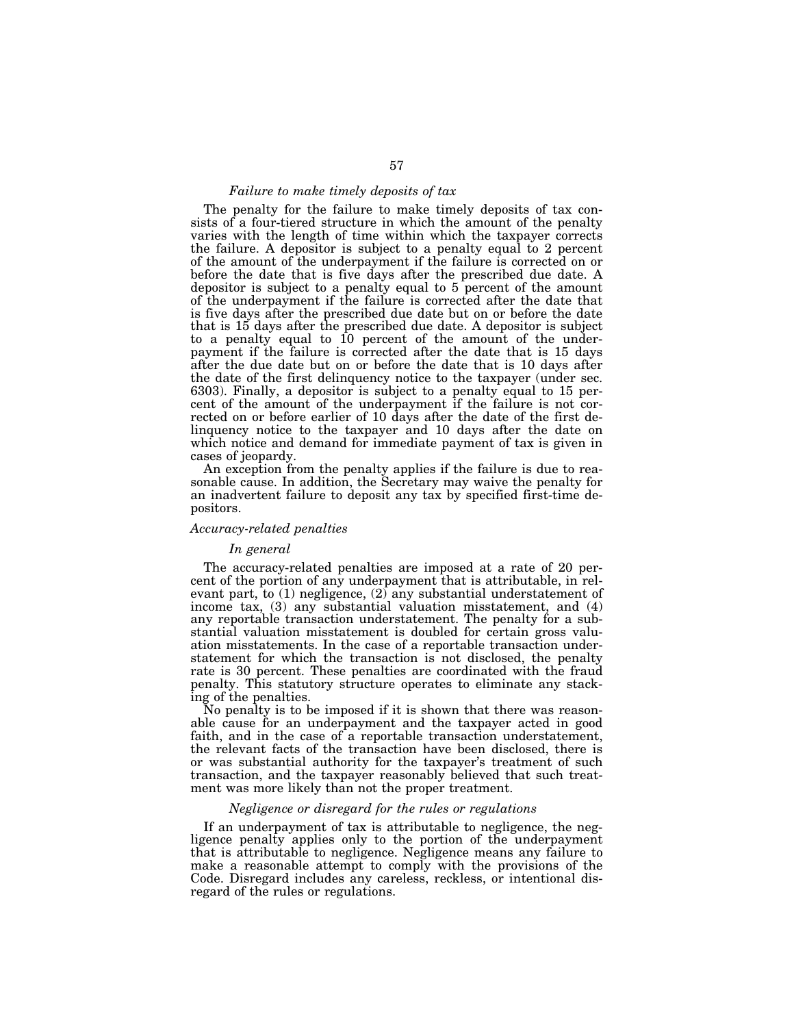# *Failure to make timely deposits of tax*

The penalty for the failure to make timely deposits of tax consists of a four-tiered structure in which the amount of the penalty varies with the length of time within which the taxpayer corrects the failure. A depositor is subject to a penalty equal to 2 percent of the amount of the underpayment if the failure is corrected on or before the date that is five days after the prescribed due date. A depositor is subject to a penalty equal to 5 percent of the amount of the underpayment if the failure is corrected after the date that is five days after the prescribed due date but on or before the date that is 15 days after the prescribed due date. A depositor is subject to a penalty equal to 10 percent of the amount of the underpayment if the failure is corrected after the date that is 15 days after the due date but on or before the date that is 10 days after the date of the first delinquency notice to the taxpayer (under sec. 6303). Finally, a depositor is subject to a penalty equal to 15 percent of the amount of the underpayment if the failure is not corrected on or before earlier of 10 days after the date of the first delinquency notice to the taxpayer and 10 days after the date on which notice and demand for immediate payment of tax is given in cases of jeopardy.

An exception from the penalty applies if the failure is due to reasonable cause. In addition, the Secretary may waive the penalty for an inadvertent failure to deposit any tax by specified first-time depositors.

# *Accuracy-related penalties*

#### *In general*

The accuracy-related penalties are imposed at a rate of 20 percent of the portion of any underpayment that is attributable, in relevant part, to (1) negligence, (2) any substantial understatement of income tax, (3) any substantial valuation misstatement, and (4) any reportable transaction understatement. The penalty for a substantial valuation misstatement is doubled for certain gross valuation misstatements. In the case of a reportable transaction understatement for which the transaction is not disclosed, the penalty rate is 30 percent. These penalties are coordinated with the fraud penalty. This statutory structure operates to eliminate any stacking of the penalties.

No penalty is to be imposed if it is shown that there was reasonable cause for an underpayment and the taxpayer acted in good faith, and in the case of a reportable transaction understatement, the relevant facts of the transaction have been disclosed, there is or was substantial authority for the taxpayer's treatment of such transaction, and the taxpayer reasonably believed that such treatment was more likely than not the proper treatment.

# *Negligence or disregard for the rules or regulations*

If an underpayment of tax is attributable to negligence, the negligence penalty applies only to the portion of the underpayment that is attributable to negligence. Negligence means any failure to make a reasonable attempt to comply with the provisions of the Code. Disregard includes any careless, reckless, or intentional disregard of the rules or regulations.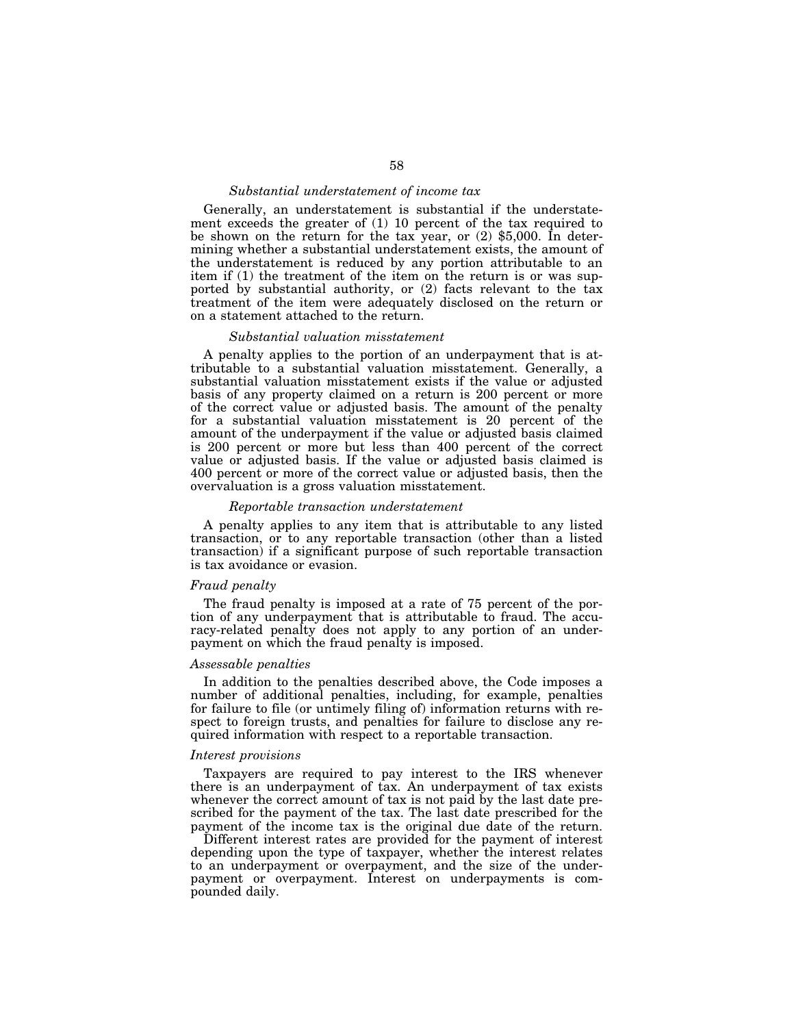## *Substantial understatement of income tax*

Generally, an understatement is substantial if the understatement exceeds the greater of (1) 10 percent of the tax required to be shown on the return for the tax year, or (2) \$5,000. In determining whether a substantial understatement exists, the amount of the understatement is reduced by any portion attributable to an item if (1) the treatment of the item on the return is or was supported by substantial authority, or (2) facts relevant to the tax treatment of the item were adequately disclosed on the return or on a statement attached to the return.

#### *Substantial valuation misstatement*

A penalty applies to the portion of an underpayment that is attributable to a substantial valuation misstatement. Generally, a substantial valuation misstatement exists if the value or adjusted basis of any property claimed on a return is 200 percent or more of the correct value or adjusted basis. The amount of the penalty for a substantial valuation misstatement is 20 percent of the amount of the underpayment if the value or adjusted basis claimed is 200 percent or more but less than 400 percent of the correct value or adjusted basis. If the value or adjusted basis claimed is 400 percent or more of the correct value or adjusted basis, then the overvaluation is a gross valuation misstatement.

# *Reportable transaction understatement*

A penalty applies to any item that is attributable to any listed transaction, or to any reportable transaction (other than a listed transaction) if a significant purpose of such reportable transaction is tax avoidance or evasion.

# *Fraud penalty*

The fraud penalty is imposed at a rate of 75 percent of the portion of any underpayment that is attributable to fraud. The accuracy-related penalty does not apply to any portion of an underpayment on which the fraud penalty is imposed.

#### *Assessable penalties*

In addition to the penalties described above, the Code imposes a number of additional penalties, including, for example, penalties for failure to file (or untimely filing of) information returns with respect to foreign trusts, and penalties for failure to disclose any required information with respect to a reportable transaction.

#### *Interest provisions*

Taxpayers are required to pay interest to the IRS whenever there is an underpayment of tax. An underpayment of tax exists whenever the correct amount of tax is not paid by the last date prescribed for the payment of the tax. The last date prescribed for the payment of the income tax is the original due date of the return.

Different interest rates are provided for the payment of interest depending upon the type of taxpayer, whether the interest relates to an underpayment or overpayment, and the size of the underpayment or overpayment. Interest on underpayments is compounded daily.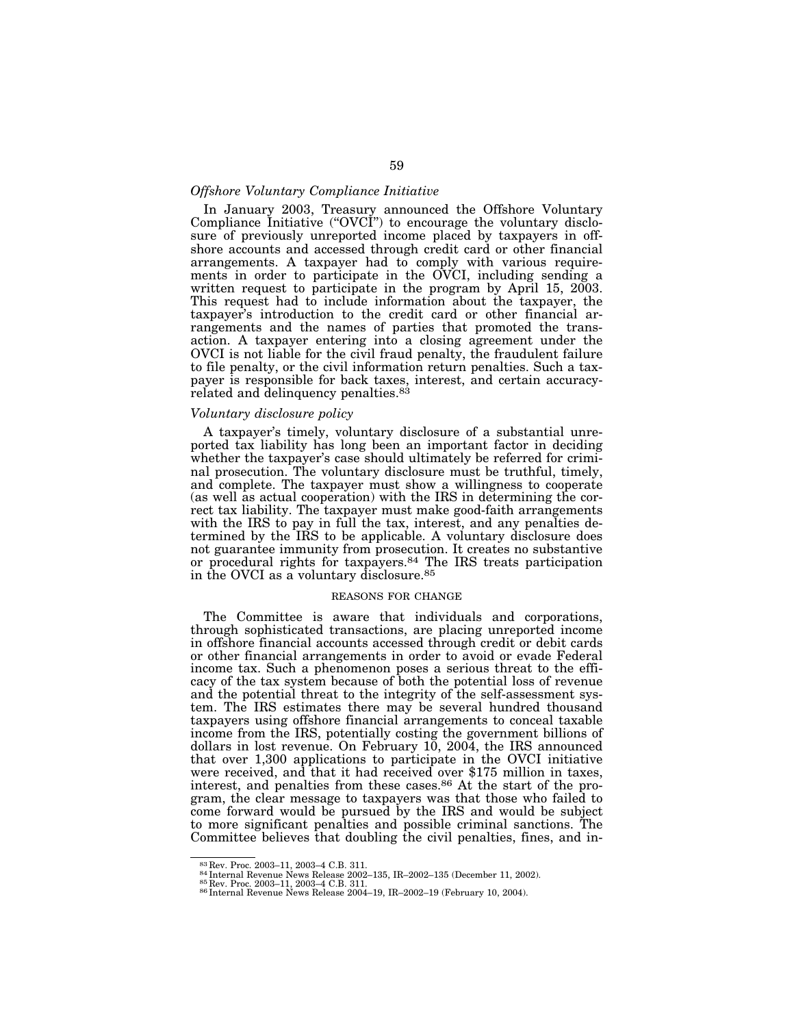# *Offshore Voluntary Compliance Initiative*

In January 2003, Treasury announced the Offshore Voluntary Compliance Initiative ("OVCI") to encourage the voluntary disclosure of previously unreported income placed by taxpayers in offshore accounts and accessed through credit card or other financial arrangements. A taxpayer had to comply with various requirements in order to participate in the OVCI, including sending a written request to participate in the program by April 15, 2003. This request had to include information about the taxpayer, the taxpayer's introduction to the credit card or other financial arrangements and the names of parties that promoted the transaction. A taxpayer entering into a closing agreement under the OVCI is not liable for the civil fraud penalty, the fraudulent failure to file penalty, or the civil information return penalties. Such a taxpayer is responsible for back taxes, interest, and certain accuracyrelated and delinquency penalties.83

# *Voluntary disclosure policy*

A taxpayer's timely, voluntary disclosure of a substantial unreported tax liability has long been an important factor in deciding whether the taxpayer's case should ultimately be referred for criminal prosecution. The voluntary disclosure must be truthful, timely, and complete. The taxpayer must show a willingness to cooperate (as well as actual cooperation) with the IRS in determining the correct tax liability. The taxpayer must make good-faith arrangements with the IRS to pay in full the tax, interest, and any penalties determined by the IRS to be applicable. A voluntary disclosure does not guarantee immunity from prosecution. It creates no substantive or procedural rights for taxpayers.84 The IRS treats participation in the OVCI as a voluntary disclosure.85

#### REASONS FOR CHANGE

The Committee is aware that individuals and corporations, through sophisticated transactions, are placing unreported income in offshore financial accounts accessed through credit or debit cards or other financial arrangements in order to avoid or evade Federal income tax. Such a phenomenon poses a serious threat to the efficacy of the tax system because of both the potential loss of revenue and the potential threat to the integrity of the self-assessment system. The IRS estimates there may be several hundred thousand taxpayers using offshore financial arrangements to conceal taxable income from the IRS, potentially costing the government billions of dollars in lost revenue. On February 10, 2004, the IRS announced that over 1,300 applications to participate in the OVCI initiative were received, and that it had received over \$175 million in taxes, interest, and penalties from these cases.86 At the start of the program, the clear message to taxpayers was that those who failed to come forward would be pursued by the IRS and would be subject to more significant penalties and possible criminal sanctions. The Committee believes that doubling the civil penalties, fines, and in-

 $^{83}\,$  Rev. Proc. 2003–11, 2003–4 C.B. 311.<br> $^{84}\,$ Internal Revenue News Release 2002–135, IR–2002–135 (December 11, 2002).<br> $^{85}\,$  Rev. Proc. 2003–11, 2003–4 C.B. 311.<br> $^{11}\,$ E.B. 2014–19, IR–2002–19 (February 10, 2004)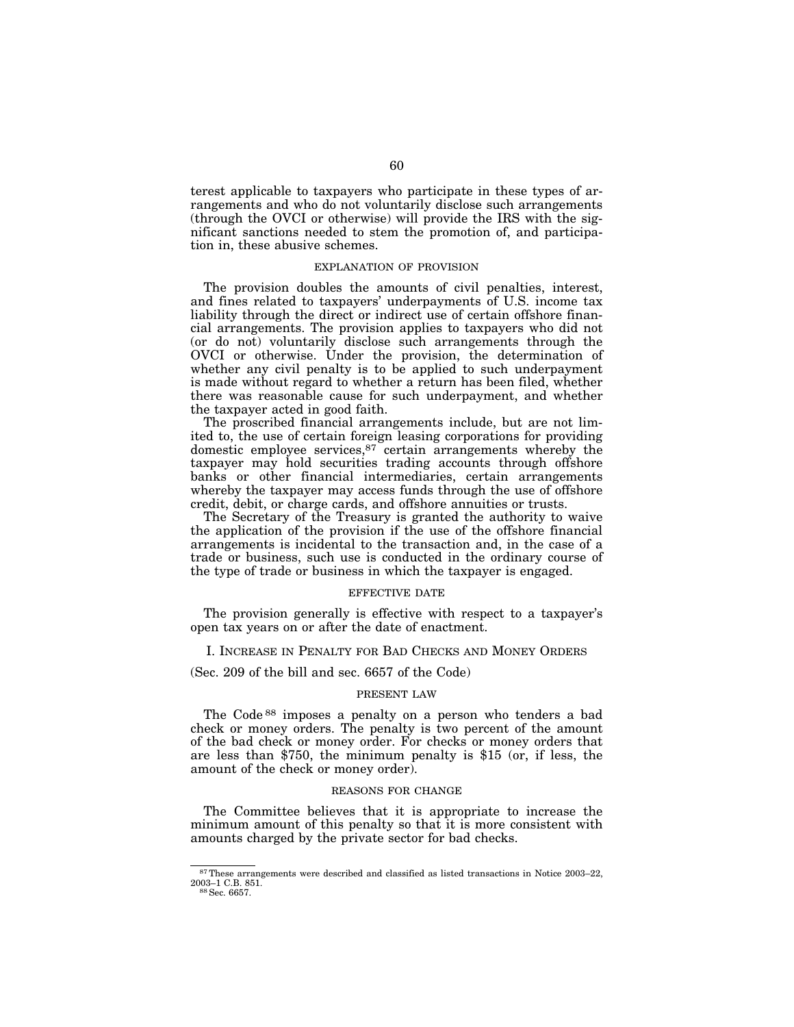terest applicable to taxpayers who participate in these types of arrangements and who do not voluntarily disclose such arrangements (through the OVCI or otherwise) will provide the IRS with the significant sanctions needed to stem the promotion of, and participation in, these abusive schemes.

#### EXPLANATION OF PROVISION

The provision doubles the amounts of civil penalties, interest, and fines related to taxpayers' underpayments of U.S. income tax liability through the direct or indirect use of certain offshore financial arrangements. The provision applies to taxpayers who did not (or do not) voluntarily disclose such arrangements through the OVCI or otherwise. Under the provision, the determination of whether any civil penalty is to be applied to such underpayment is made without regard to whether a return has been filed, whether there was reasonable cause for such underpayment, and whether the taxpayer acted in good faith.

The proscribed financial arrangements include, but are not limited to, the use of certain foreign leasing corporations for providing domestic employee services, $87$  certain arrangements whereby the taxpayer may hold securities trading accounts through offshore banks or other financial intermediaries, certain arrangements whereby the taxpayer may access funds through the use of offshore credit, debit, or charge cards, and offshore annuities or trusts.

The Secretary of the Treasury is granted the authority to waive the application of the provision if the use of the offshore financial arrangements is incidental to the transaction and, in the case of a trade or business, such use is conducted in the ordinary course of the type of trade or business in which the taxpayer is engaged.

# EFFECTIVE DATE

The provision generally is effective with respect to a taxpayer's open tax years on or after the date of enactment.

# I. INCREASE IN PENALTY FOR BAD CHECKS AND MONEY ORDERS

(Sec. 209 of the bill and sec. 6657 of the Code)

#### PRESENT LAW

The Code 88 imposes a penalty on a person who tenders a bad check or money orders. The penalty is two percent of the amount of the bad check or money order. For checks or money orders that are less than \$750, the minimum penalty is \$15 (or, if less, the amount of the check or money order).

#### REASONS FOR CHANGE

The Committee believes that it is appropriate to increase the minimum amount of this penalty so that it is more consistent with amounts charged by the private sector for bad checks.

<sup>87</sup>These arrangements were described and classified as listed transactions in Notice 2003–22, 2003–1 C.B. 851.<br><sup>88</sup> Sec. 6657.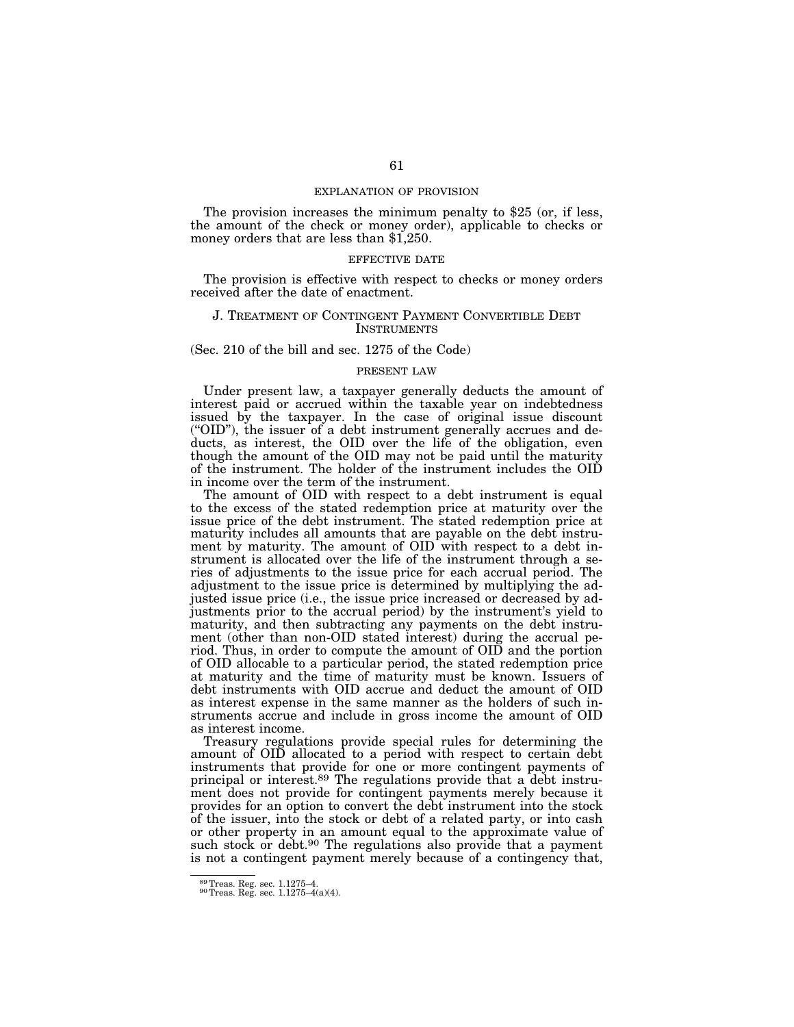#### EXPLANATION OF PROVISION

The provision increases the minimum penalty to \$25 (or, if less, the amount of the check or money order), applicable to checks or money orders that are less than \$1,250.

#### EFFECTIVE DATE

The provision is effective with respect to checks or money orders received after the date of enactment.

# J. TREATMENT OF CONTINGENT PAYMENT CONVERTIBLE DEBT **INSTRUMENTS**

#### (Sec. 210 of the bill and sec. 1275 of the Code)

# PRESENT LAW

Under present law, a taxpayer generally deducts the amount of interest paid or accrued within the taxable year on indebtedness issued by the taxpayer. In the case of original issue discount (''OID''), the issuer of a debt instrument generally accrues and deducts, as interest, the OID over the life of the obligation, even though the amount of the OID may not be paid until the maturity of the instrument. The holder of the instrument includes the OID in income over the term of the instrument.

The amount of OID with respect to a debt instrument is equal to the excess of the stated redemption price at maturity over the issue price of the debt instrument. The stated redemption price at maturity includes all amounts that are payable on the debt instrument by maturity. The amount of OID with respect to a debt instrument is allocated over the life of the instrument through a series of adjustments to the issue price for each accrual period. The adjustment to the issue price is determined by multiplying the adjusted issue price (i.e., the issue price increased or decreased by adjustments prior to the accrual period) by the instrument's yield to maturity, and then subtracting any payments on the debt instrument (other than non-OID stated interest) during the accrual period. Thus, in order to compute the amount of OID and the portion of OID allocable to a particular period, the stated redemption price at maturity and the time of maturity must be known. Issuers of debt instruments with OID accrue and deduct the amount of OID as interest expense in the same manner as the holders of such instruments accrue and include in gross income the amount of OID as interest income.

Treasury regulations provide special rules for determining the amount of OID allocated to a period with respect to certain debt instruments that provide for one or more contingent payments of principal or interest.89 The regulations provide that a debt instrument does not provide for contingent payments merely because it provides for an option to convert the debt instrument into the stock of the issuer, into the stock or debt of a related party, or into cash or other property in an amount equal to the approximate value of such stock or debt.<sup>90</sup> The regulations also provide that a payment is not a contingent payment merely because of a contingency that,

 $89$ Treas. Reg. sec. 1.1275–4.<br> $90$ Treas. Reg. sec. 1.1275–4(a)(4).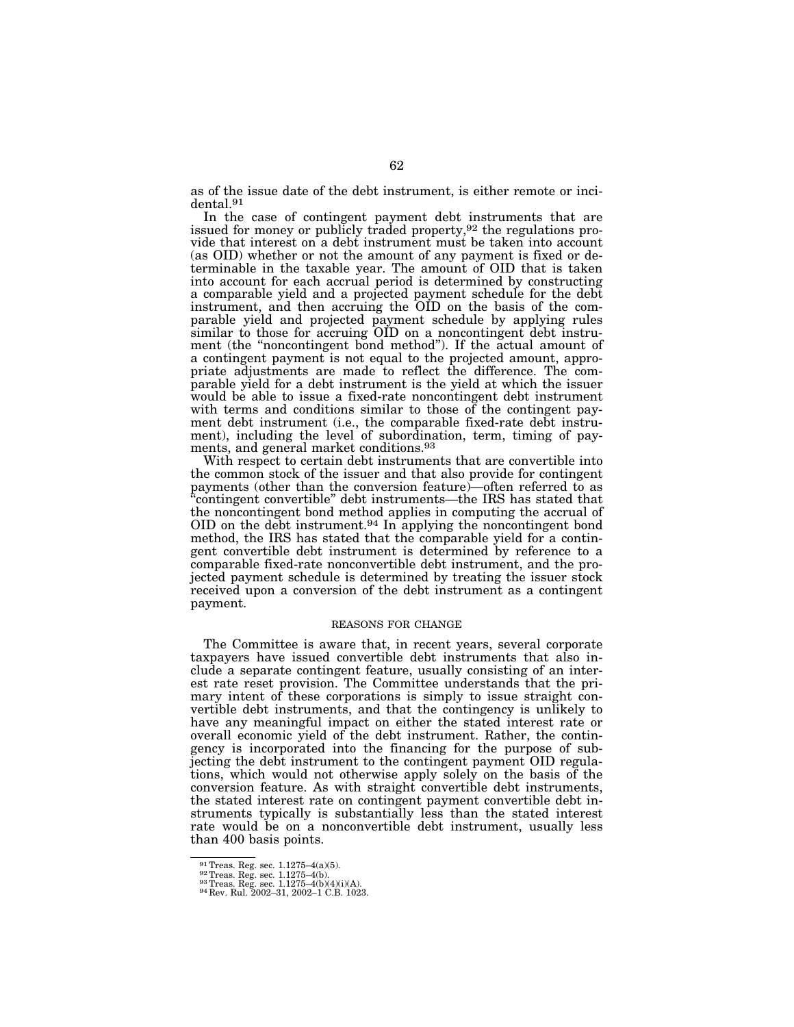as of the issue date of the debt instrument, is either remote or incidental.91

In the case of contingent payment debt instruments that are issued for money or publicly traded property,<sup>92</sup> the regulations provide that interest on a debt instrument must be taken into account (as OID) whether or not the amount of any payment is fixed or determinable in the taxable year. The amount of OID that is taken into account for each accrual period is determined by constructing a comparable yield and a projected payment schedule for the debt instrument, and then accruing the OID on the basis of the comparable yield and projected payment schedule by applying rules similar to those for accruing OID on a noncontingent debt instrument (the "noncontingent bond method"). If the actual amount of a contingent payment is not equal to the projected amount, appropriate adjustments are made to reflect the difference. The comparable yield for a debt instrument is the yield at which the issuer would be able to issue a fixed-rate noncontingent debt instrument with terms and conditions similar to those of the contingent payment debt instrument (i.e., the comparable fixed-rate debt instrument), including the level of subordination, term, timing of payments, and general market conditions.93

With respect to certain debt instruments that are convertible into the common stock of the issuer and that also provide for contingent payments (other than the conversion feature)—often referred to as ''contingent convertible'' debt instruments—the IRS has stated that the noncontingent bond method applies in computing the accrual of OID on the debt instrument.94 In applying the noncontingent bond method, the IRS has stated that the comparable yield for a contingent convertible debt instrument is determined by reference to a comparable fixed-rate nonconvertible debt instrument, and the projected payment schedule is determined by treating the issuer stock received upon a conversion of the debt instrument as a contingent payment.

#### REASONS FOR CHANGE

The Committee is aware that, in recent years, several corporate taxpayers have issued convertible debt instruments that also include a separate contingent feature, usually consisting of an interest rate reset provision. The Committee understands that the primary intent of these corporations is simply to issue straight convertible debt instruments, and that the contingency is unlikely to have any meaningful impact on either the stated interest rate or overall economic yield of the debt instrument. Rather, the contingency is incorporated into the financing for the purpose of subjecting the debt instrument to the contingent payment OID regulations, which would not otherwise apply solely on the basis of the conversion feature. As with straight convertible debt instruments, the stated interest rate on contingent payment convertible debt instruments typically is substantially less than the stated interest rate would be on a nonconvertible debt instrument, usually less than 400 basis points.

<sup>%91&</sup>lt;br/>Treas. Reg. sec. 1.1275–4(a)(5). 92 Treas. Reg. sec. 1.1275–4(b)<br/>(A). 93 Treas. Reg. sec. 1.1275–4(b)(4)(i)(A). 94 Rev. Rul. 2002–31, 2002–1 C.B. 1023.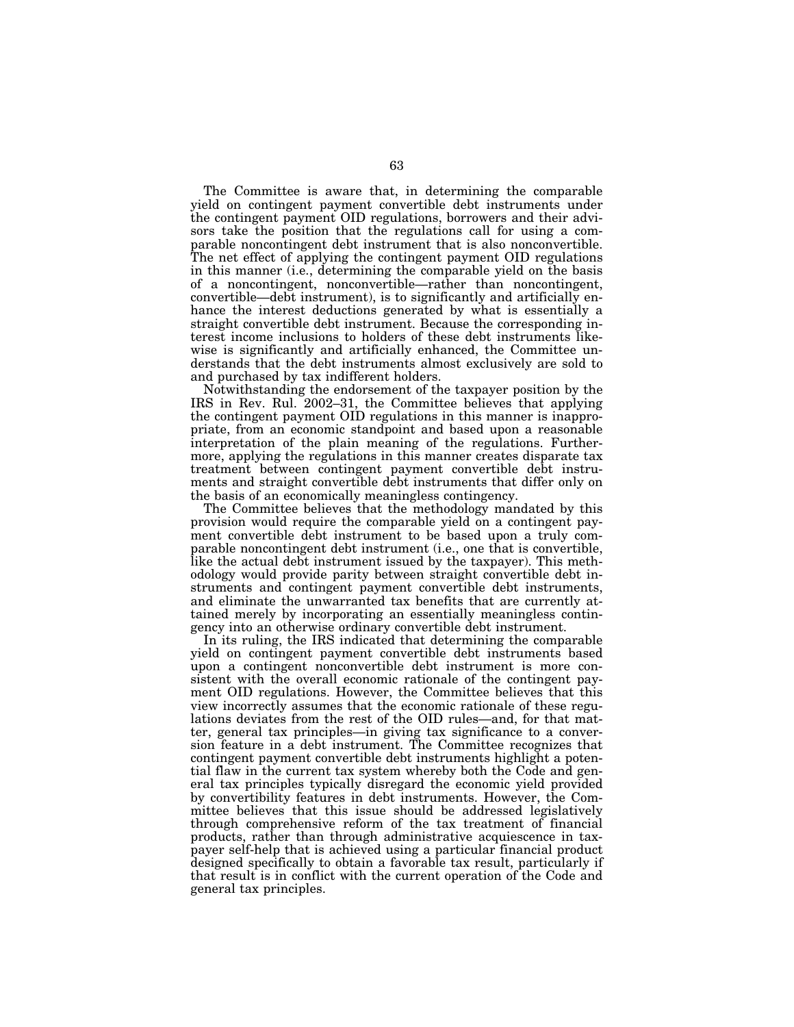The Committee is aware that, in determining the comparable yield on contingent payment convertible debt instruments under the contingent payment OID regulations, borrowers and their advisors take the position that the regulations call for using a comparable noncontingent debt instrument that is also nonconvertible. The net effect of applying the contingent payment OID regulations in this manner (i.e., determining the comparable yield on the basis of a noncontingent, nonconvertible—rather than noncontingent, convertible—debt instrument), is to significantly and artificially enhance the interest deductions generated by what is essentially a straight convertible debt instrument. Because the corresponding interest income inclusions to holders of these debt instruments likewise is significantly and artificially enhanced, the Committee understands that the debt instruments almost exclusively are sold to and purchased by tax indifferent holders.

Notwithstanding the endorsement of the taxpayer position by the IRS in Rev. Rul. 2002–31, the Committee believes that applying the contingent payment OID regulations in this manner is inappropriate, from an economic standpoint and based upon a reasonable interpretation of the plain meaning of the regulations. Furthermore, applying the regulations in this manner creates disparate tax treatment between contingent payment convertible debt instruments and straight convertible debt instruments that differ only on the basis of an economically meaningless contingency.

The Committee believes that the methodology mandated by this provision would require the comparable yield on a contingent payment convertible debt instrument to be based upon a truly comparable noncontingent debt instrument (i.e., one that is convertible, like the actual debt instrument issued by the taxpayer). This methodology would provide parity between straight convertible debt instruments and contingent payment convertible debt instruments, and eliminate the unwarranted tax benefits that are currently attained merely by incorporating an essentially meaningless contingency into an otherwise ordinary convertible debt instrument.

In its ruling, the IRS indicated that determining the comparable yield on contingent payment convertible debt instruments based upon a contingent nonconvertible debt instrument is more consistent with the overall economic rationale of the contingent payment OID regulations. However, the Committee believes that this view incorrectly assumes that the economic rationale of these regulations deviates from the rest of the OID rules—and, for that matter, general tax principles—in giving tax significance to a conversion feature in a debt instrument. The Committee recognizes that contingent payment convertible debt instruments highlight a potential flaw in the current tax system whereby both the Code and general tax principles typically disregard the economic yield provided by convertibility features in debt instruments. However, the Committee believes that this issue should be addressed legislatively through comprehensive reform of the tax treatment of financial products, rather than through administrative acquiescence in taxpayer self-help that is achieved using a particular financial product designed specifically to obtain a favorable tax result, particularly if that result is in conflict with the current operation of the Code and general tax principles.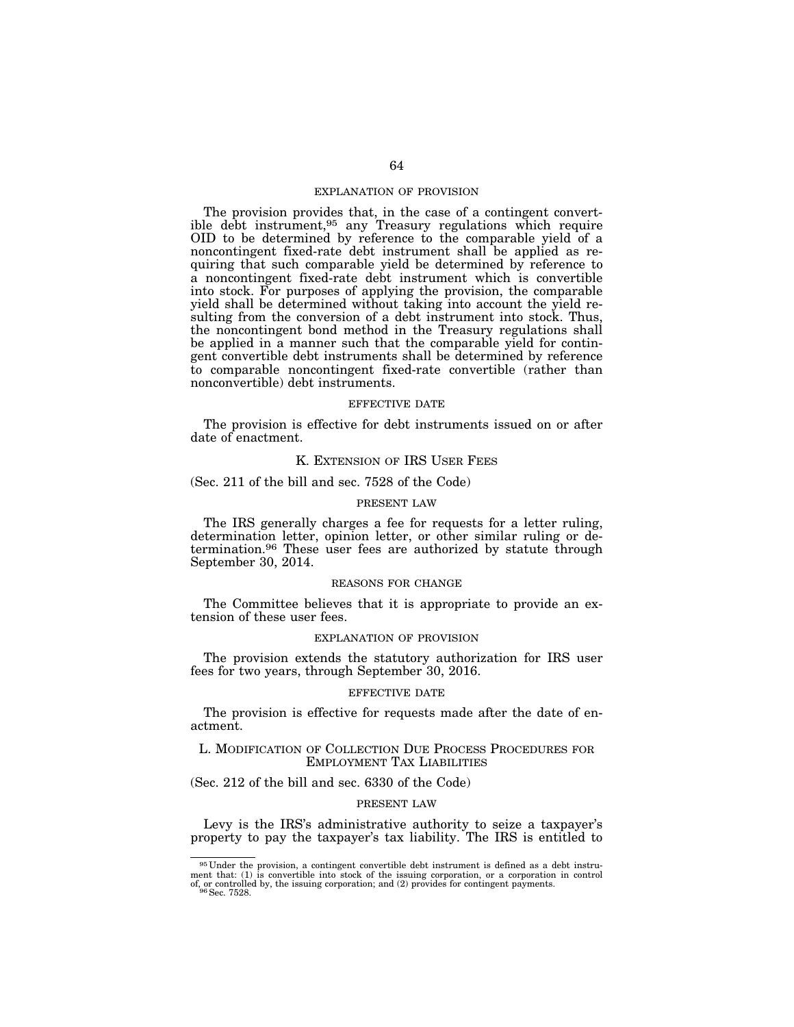## EXPLANATION OF PROVISION

The provision provides that, in the case of a contingent convertible debt instrument,95 any Treasury regulations which require OID to be determined by reference to the comparable yield of a noncontingent fixed-rate debt instrument shall be applied as requiring that such comparable yield be determined by reference to a noncontingent fixed-rate debt instrument which is convertible into stock. For purposes of applying the provision, the comparable yield shall be determined without taking into account the yield resulting from the conversion of a debt instrument into stock. Thus, the noncontingent bond method in the Treasury regulations shall be applied in a manner such that the comparable yield for contingent convertible debt instruments shall be determined by reference to comparable noncontingent fixed-rate convertible (rather than nonconvertible) debt instruments.

#### EFFECTIVE DATE

The provision is effective for debt instruments issued on or after date of enactment.

#### K. EXTENSION OF IRS USER FEES

(Sec. 211 of the bill and sec. 7528 of the Code)

#### PRESENT LAW

The IRS generally charges a fee for requests for a letter ruling, determination letter, opinion letter, or other similar ruling or determination.<sup>96</sup> These user fees are authorized by statute through September 30, 2014.

#### REASONS FOR CHANGE

The Committee believes that it is appropriate to provide an extension of these user fees.

#### EXPLANATION OF PROVISION

The provision extends the statutory authorization for IRS user fees for two years, through September 30, 2016.

#### EFFECTIVE DATE

The provision is effective for requests made after the date of enactment.

#### L. MODIFICATION OF COLLECTION DUE PROCESS PROCEDURES FOR EMPLOYMENT TAX LIABILITIES

(Sec. 212 of the bill and sec. 6330 of the Code)

#### PRESENT LAW

Levy is the IRS's administrative authority to seize a taxpayer's property to pay the taxpayer's tax liability. The IRS is entitled to

<sup>95</sup> Under the provision, a contingent convertible debt instrument is defined as a debt instrument that: (1) is convertible into stock of the issuing corporation, or a corporation in control of, or controlled by, the issuing corporation; and (2) provides for contingent payments. 96 Sec. 7528.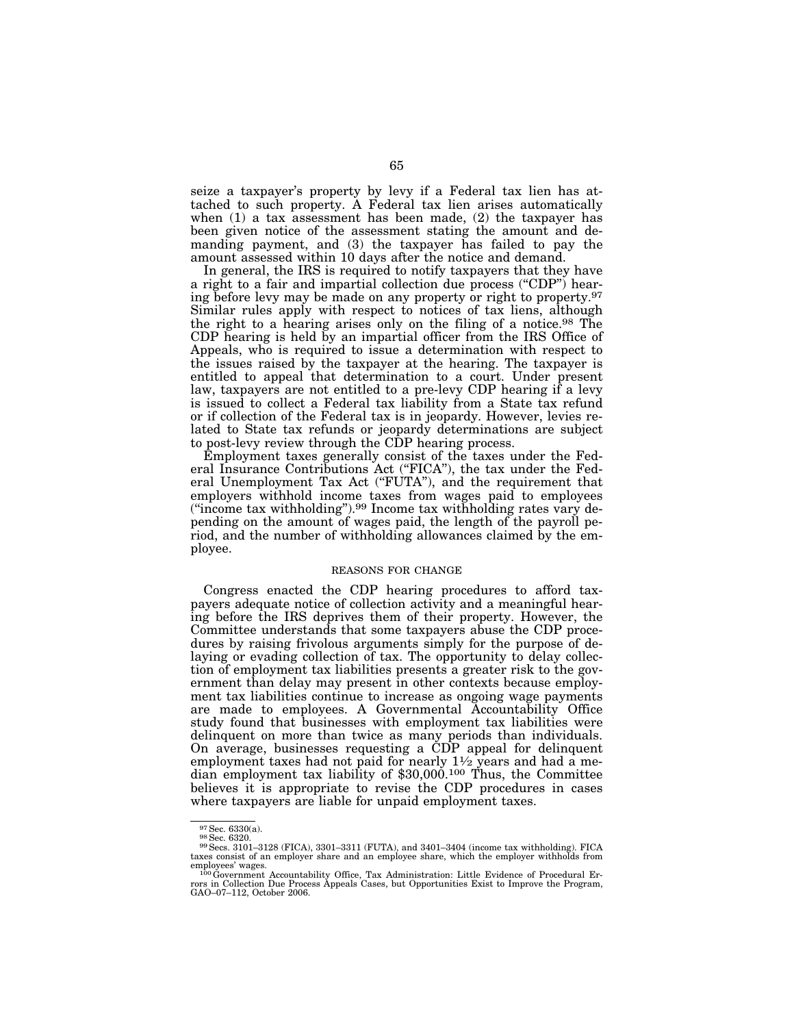seize a taxpayer's property by levy if a Federal tax lien has attached to such property. A Federal tax lien arises automatically when (1) a tax assessment has been made, (2) the taxpayer has been given notice of the assessment stating the amount and demanding payment, and (3) the taxpayer has failed to pay the amount assessed within 10 days after the notice and demand.

In general, the IRS is required to notify taxpayers that they have a right to a fair and impartial collection due process (''CDP'') hearing before levy may be made on any property or right to property.97 Similar rules apply with respect to notices of tax liens, although the right to a hearing arises only on the filing of a notice.98 The CDP hearing is held by an impartial officer from the IRS Office of Appeals, who is required to issue a determination with respect to the issues raised by the taxpayer at the hearing. The taxpayer is entitled to appeal that determination to a court. Under present law, taxpayers are not entitled to a pre-levy CDP hearing if a levy is issued to collect a Federal tax liability from a State tax refund or if collection of the Federal tax is in jeopardy. However, levies related to State tax refunds or jeopardy determinations are subject to post-levy review through the CDP hearing process.

Employment taxes generally consist of the taxes under the Federal Insurance Contributions Act ("FICA"), the tax under the Federal Unemployment Tax Act ("FUTA"), and the requirement that employers withhold income taxes from wages paid to employees (''income tax withholding'').99 Income tax withholding rates vary depending on the amount of wages paid, the length of the payroll period, and the number of withholding allowances claimed by the employee.

## REASONS FOR CHANGE

Congress enacted the CDP hearing procedures to afford taxpayers adequate notice of collection activity and a meaningful hearing before the IRS deprives them of their property. However, the Committee understands that some taxpayers abuse the CDP procedures by raising frivolous arguments simply for the purpose of delaying or evading collection of tax. The opportunity to delay collection of employment tax liabilities presents a greater risk to the government than delay may present in other contexts because employment tax liabilities continue to increase as ongoing wage payments are made to employees. A Governmental Accountability Office study found that businesses with employment tax liabilities were delinquent on more than twice as many periods than individuals. On average, businesses requesting a CDP appeal for delinquent employment taxes had not paid for nearly  $1\frac{1}{2}$  years and had a median employment tax liability of \$30,000.100 Thus, the Committee believes it is appropriate to revise the CDP procedures in cases where taxpayers are liable for unpaid employment taxes.

<sup>&</sup>lt;sup>97</sup> Sec. 6330(a).<br><sup>98</sup> Sec. 6320.<br><sup>99</sup> Secs. 3101–3128 (FICA), 3301–3311 (FUTA), and 3401–3404 (income tax withholding). FICA<br>taxes consist of an employer share and an employee share, which the employer withholds from

employees' wages.<br><sup>100</sup> Government Accountability Office, Tax Administration: Little Evidence of Procedural Errors in Collection Due Process Appeals Cases, but Opportunities Exist to Improve the Program,<br>GAO-07-112, Octobe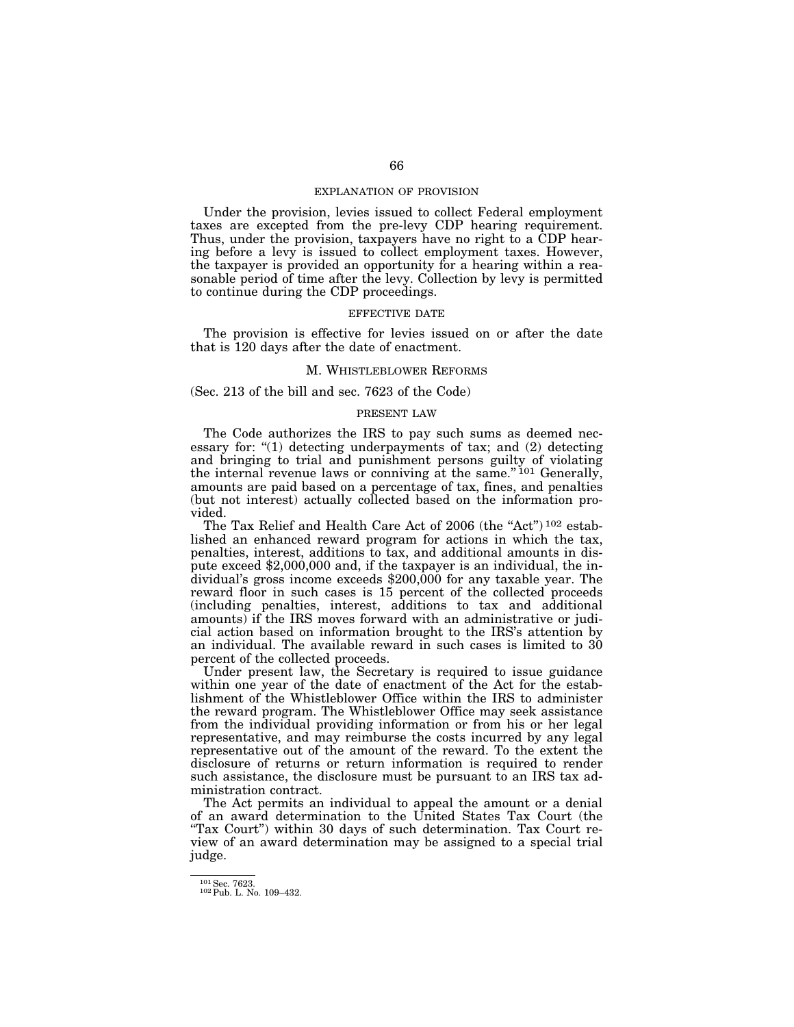# EXPLANATION OF PROVISION

Under the provision, levies issued to collect Federal employment taxes are excepted from the pre-levy CDP hearing requirement. Thus, under the provision, taxpayers have no right to a CDP hearing before a levy is issued to collect employment taxes. However, the taxpayer is provided an opportunity for a hearing within a reasonable period of time after the levy. Collection by levy is permitted to continue during the CDP proceedings.

#### EFFECTIVE DATE

The provision is effective for levies issued on or after the date that is 120 days after the date of enactment.

# M. WHISTLEBLOWER REFORMS

(Sec. 213 of the bill and sec. 7623 of the Code)

#### PRESENT LAW

The Code authorizes the IRS to pay such sums as deemed necessary for:  $(1)$  detecting underpayments of tax; and  $(2)$  detecting and bringing to trial and punishment persons guilty of violating the internal revenue laws or conniving at the same."<sup>101</sup> Generally, amounts are paid based on a percentage of tax, fines, and penalties (but not interest) actually collected based on the information provided.

The Tax Relief and Health Care Act of 2006 (the "Act")<sup>102</sup> established an enhanced reward program for actions in which the tax, penalties, interest, additions to tax, and additional amounts in dispute exceed \$2,000,000 and, if the taxpayer is an individual, the individual's gross income exceeds \$200,000 for any taxable year. The reward floor in such cases is 15 percent of the collected proceeds (including penalties, interest, additions to tax and additional amounts) if the IRS moves forward with an administrative or judicial action based on information brought to the IRS's attention by an individual. The available reward in such cases is limited to 30 percent of the collected proceeds.

Under present law, the Secretary is required to issue guidance within one year of the date of enactment of the Act for the establishment of the Whistleblower Office within the IRS to administer the reward program. The Whistleblower Office may seek assistance from the individual providing information or from his or her legal representative, and may reimburse the costs incurred by any legal representative out of the amount of the reward. To the extent the disclosure of returns or return information is required to render such assistance, the disclosure must be pursuant to an IRS tax administration contract.

The Act permits an individual to appeal the amount or a denial of an award determination to the United States Tax Court (the "Tax Court") within 30 days of such determination. Tax Court review of an award determination may be assigned to a special trial judge.

 $\frac{101}{102}$  Sec. 7623.<br>
102 Pub. L. No. 109–432.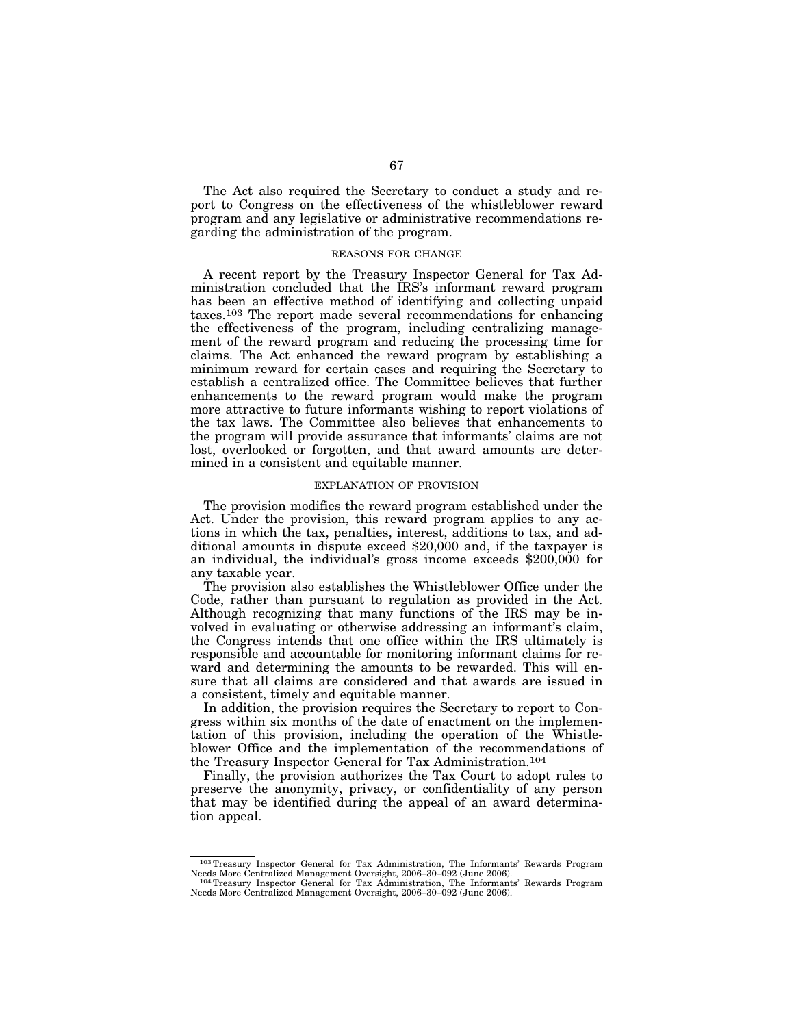The Act also required the Secretary to conduct a study and report to Congress on the effectiveness of the whistleblower reward program and any legislative or administrative recommendations regarding the administration of the program.

#### REASONS FOR CHANGE

A recent report by the Treasury Inspector General for Tax Administration concluded that the IRS's informant reward program has been an effective method of identifying and collecting unpaid taxes.103 The report made several recommendations for enhancing the effectiveness of the program, including centralizing management of the reward program and reducing the processing time for claims. The Act enhanced the reward program by establishing a minimum reward for certain cases and requiring the Secretary to establish a centralized office. The Committee believes that further enhancements to the reward program would make the program more attractive to future informants wishing to report violations of the tax laws. The Committee also believes that enhancements to the program will provide assurance that informants' claims are not lost, overlooked or forgotten, and that award amounts are determined in a consistent and equitable manner.

# EXPLANATION OF PROVISION

The provision modifies the reward program established under the Act. Under the provision, this reward program applies to any actions in which the tax, penalties, interest, additions to tax, and additional amounts in dispute exceed \$20,000 and, if the taxpayer is an individual, the individual's gross income exceeds \$200,000 for any taxable year.

The provision also establishes the Whistleblower Office under the Code, rather than pursuant to regulation as provided in the Act. Although recognizing that many functions of the IRS may be involved in evaluating or otherwise addressing an informant's claim, the Congress intends that one office within the IRS ultimately is responsible and accountable for monitoring informant claims for reward and determining the amounts to be rewarded. This will ensure that all claims are considered and that awards are issued in a consistent, timely and equitable manner.

In addition, the provision requires the Secretary to report to Congress within six months of the date of enactment on the implementation of this provision, including the operation of the Whistleblower Office and the implementation of the recommendations of the Treasury Inspector General for Tax Administration.104

Finally, the provision authorizes the Tax Court to adopt rules to preserve the anonymity, privacy, or confidentiality of any person that may be identified during the appeal of an award determination appeal.

<sup>&</sup>lt;sup>103</sup> Treasury Inspector General for Tax Administration, The Informants' Rewards Program<br>Needs More Centralized Management Oversight, 2006–30–092 (June 2006).

<sup>&</sup>lt;sup>104</sup> Treasury Inspector General for Tax Administration, The Informants' Rewards Program Needs More Centralized Management Oversight, 2006–30–092 (June 2006).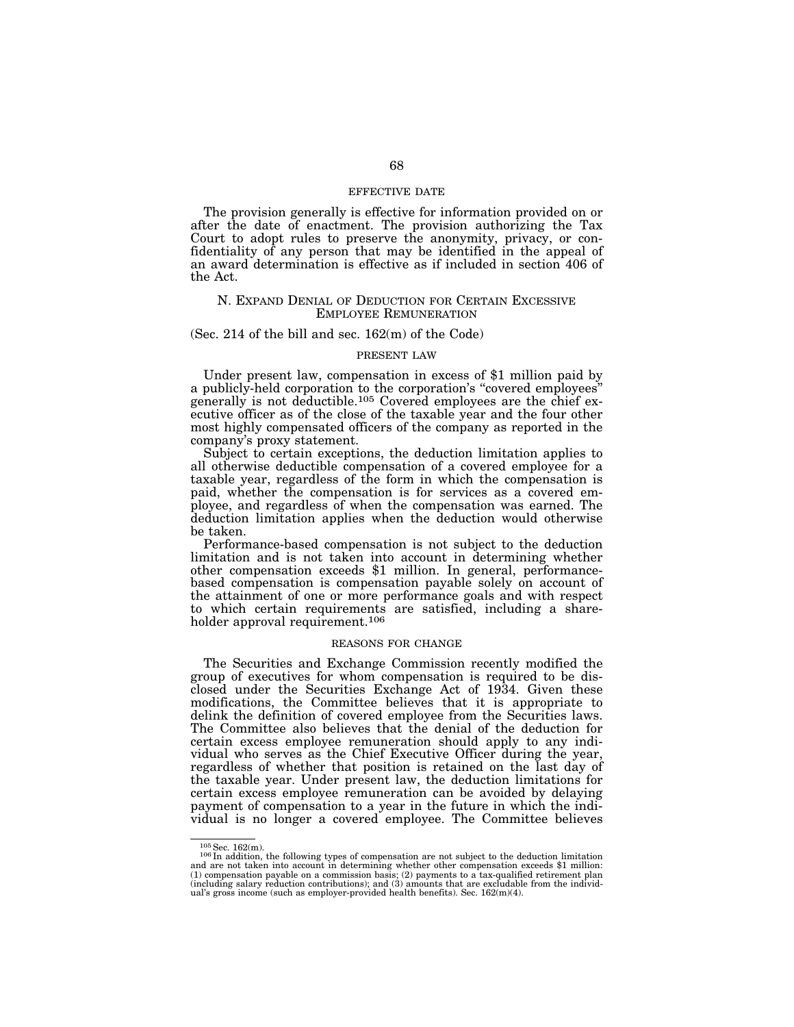# EFFECTIVE DATE

The provision generally is effective for information provided on or after the date of enactment. The provision authorizing the Tax Court to adopt rules to preserve the anonymity, privacy, or confidentiality of any person that may be identified in the appeal of an award determination is effective as if included in section 406 of the Act.

# N. EXPAND DENIAL OF DEDUCTION FOR CERTAIN EXCESSIVE EMPLOYEE REMUNERATION

#### (Sec. 214 of the bill and sec.  $162(m)$  of the Code)

#### PRESENT LAW

Under present law, compensation in excess of \$1 million paid by a publicly-held corporation to the corporation's ''covered employees'' generally is not deductible.105 Covered employees are the chief executive officer as of the close of the taxable year and the four other most highly compensated officers of the company as reported in the company's proxy statement.

Subject to certain exceptions, the deduction limitation applies to all otherwise deductible compensation of a covered employee for a taxable year, regardless of the form in which the compensation is paid, whether the compensation is for services as a covered employee, and regardless of when the compensation was earned. The deduction limitation applies when the deduction would otherwise be taken.

Performance-based compensation is not subject to the deduction limitation and is not taken into account in determining whether other compensation exceeds \$1 million. In general, performancebased compensation is compensation payable solely on account of the attainment of one or more performance goals and with respect to which certain requirements are satisfied, including a shareholder approval requirement.<sup>106</sup>

#### REASONS FOR CHANGE

The Securities and Exchange Commission recently modified the group of executives for whom compensation is required to be disclosed under the Securities Exchange Act of 1934. Given these modifications, the Committee believes that it is appropriate to delink the definition of covered employee from the Securities laws. The Committee also believes that the denial of the deduction for certain excess employee remuneration should apply to any individual who serves as the Chief Executive Officer during the year, regardless of whether that position is retained on the last day of the taxable year. Under present law, the deduction limitations for certain excess employee remuneration can be avoided by delaying payment of compensation to a year in the future in which the individual is no longer a covered employee. The Committee believes

<sup>&</sup>lt;sup>105</sup>Sec. 162(m). 10<sup>5</sup> In addition, the following types of compensation are not subject to the deduction limitation and are not taken into account in determining whether other compensation exceeds \$1 million: (1) compensation payable on a commission basis; (2) payments to a tax-qualified retirement plan (including salary reduction contributions); and (3) amounts that are excludable from the individual's gross income (such as employer-provided health benefits). Sec. 162(m)(4).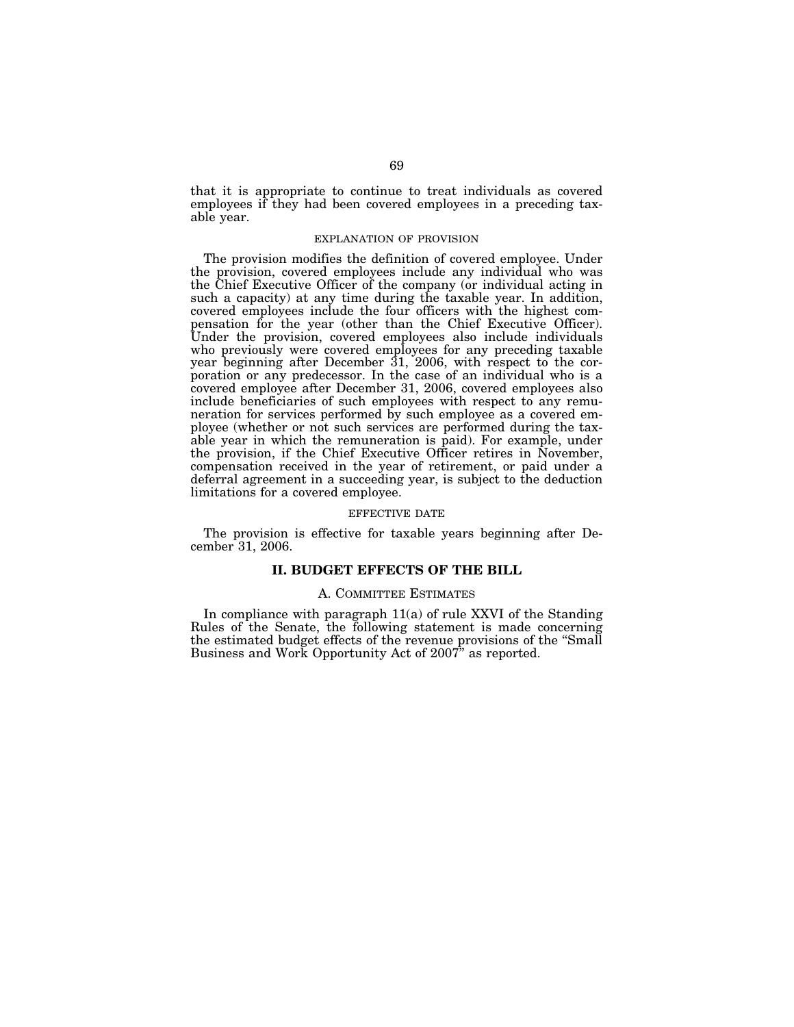that it is appropriate to continue to treat individuals as covered employees if they had been covered employees in a preceding taxable year.

# EXPLANATION OF PROVISION

The provision modifies the definition of covered employee. Under the provision, covered employees include any individual who was the Chief Executive Officer of the company (or individual acting in such a capacity) at any time during the taxable year. In addition, covered employees include the four officers with the highest compensation for the year (other than the Chief Executive Officer). Under the provision, covered employees also include individuals who previously were covered employees for any preceding taxable year beginning after December 31, 2006, with respect to the corporation or any predecessor. In the case of an individual who is a covered employee after December 31, 2006, covered employees also include beneficiaries of such employees with respect to any remuneration for services performed by such employee as a covered employee (whether or not such services are performed during the taxable year in which the remuneration is paid). For example, under the provision, if the Chief Executive Officer retires in November, compensation received in the year of retirement, or paid under a deferral agreement in a succeeding year, is subject to the deduction limitations for a covered employee.

#### EFFECTIVE DATE

The provision is effective for taxable years beginning after December 31, 2006.

# **II. BUDGET EFFECTS OF THE BILL**

#### A. COMMITTEE ESTIMATES

In compliance with paragraph 11(a) of rule XXVI of the Standing Rules of the Senate, the following statement is made concerning the estimated budget effects of the revenue provisions of the ''Small Business and Work Opportunity Act of 2007'' as reported.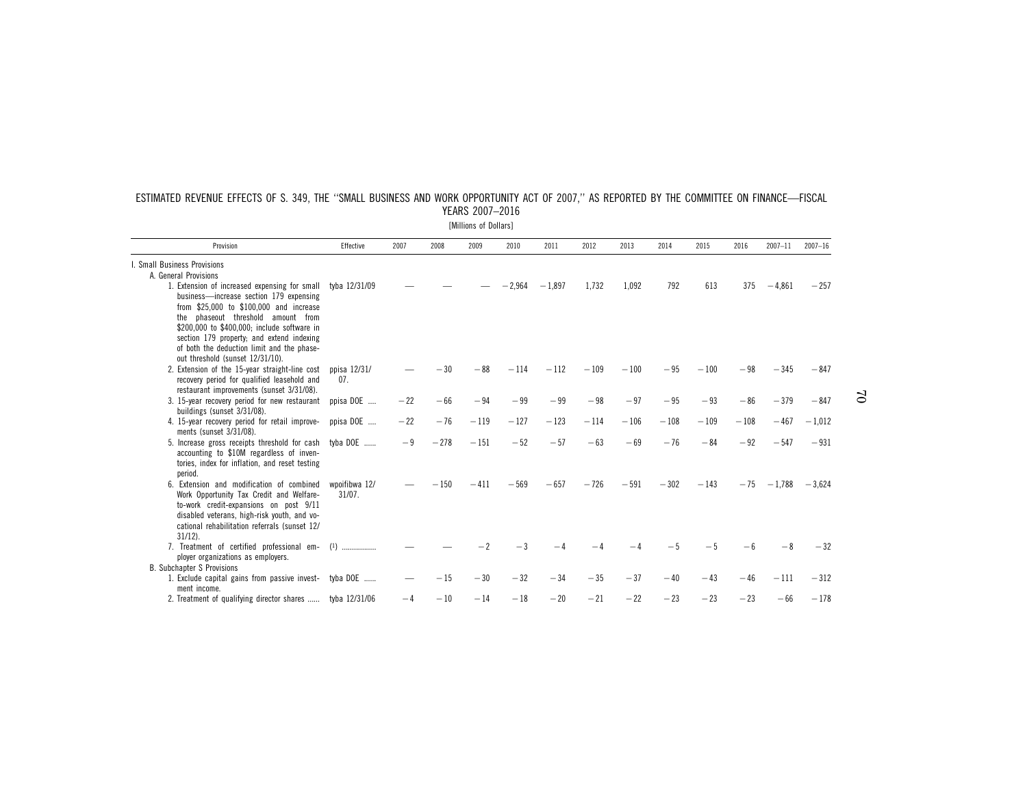| Provision                                                                                                                                                                                                                                                                                                                         | <b>Effective</b>           | 2007  | 2008   | 2009   | 2010     | 2011     | 2012   | 2013   | 2014   | 2015   | 2016   | 2007-11       | $2007 - 16$ |
|-----------------------------------------------------------------------------------------------------------------------------------------------------------------------------------------------------------------------------------------------------------------------------------------------------------------------------------|----------------------------|-------|--------|--------|----------|----------|--------|--------|--------|--------|--------|---------------|-------------|
| I. Small Business Provisions                                                                                                                                                                                                                                                                                                      |                            |       |        |        |          |          |        |        |        |        |        |               |             |
| A. General Provisions                                                                                                                                                                                                                                                                                                             |                            |       |        |        |          |          |        |        |        |        |        |               |             |
| 1. Extension of increased expensing for small tyba 12/31/09<br>business-increase section 179 expensing<br>from \$25,000 to \$100,000 and increase<br>the phaseout threshold amount from<br>\$200,000 to \$400,000; include software in<br>section 179 property; and extend indexing<br>of both the deduction limit and the phase- |                            |       |        |        | $-2,964$ | $-1.897$ | 1.732  | 1.092  | 792    | 613    | 375    | $-4,861$      | $-257$      |
| out threshold (sunset 12/31/10).                                                                                                                                                                                                                                                                                                  |                            |       |        |        |          |          |        |        |        |        |        |               |             |
| 2. Extension of the 15-year straight-line cost<br>recovery period for qualified leasehold and<br>restaurant improvements (sunset 3/31/08).                                                                                                                                                                                        | ppisa 12/31/<br>07.        |       | $-30$  | $-88$  | $-114$   | $-112$   | $-109$ | $-100$ | $-95$  | $-100$ | $-98$  | $-345$        | $-847$      |
| 3. 15-year recovery period for new restaurant<br>buildings (sunset 3/31/08).                                                                                                                                                                                                                                                      | ppisa DOE                  | $-22$ | $-66$  | $-94$  | $-99$    | $-99$    | $-98$  | $-97$  | $-95$  | $-93$  | $-86$  | $-379$        | $-847$      |
| 4. 15-year recovery period for retail improve-<br>ments (sunset 3/31/08).                                                                                                                                                                                                                                                         | ppisa DOE                  | $-22$ | $-76$  | $-119$ | $-127$   | $-123$   | $-114$ | $-106$ | $-108$ | $-109$ | $-108$ | $-467$        | $-1,012$    |
| 5. Increase gross receipts threshold for cash tyba DOE<br>accounting to \$10M regardless of inven-<br>tories, index for inflation, and reset testing<br>period.                                                                                                                                                                   |                            | $-9$  | $-278$ | $-151$ | $-52$    | $-57$    | $-63$  | $-69$  | $-76$  | $-84$  | $-92$  | $-547$        | $-931$      |
| 6. Extension and modification of combined<br>Work Opportunity Tax Credit and Welfare-<br>to-work credit-expansions on post 9/11<br>disabled veterans, high-risk youth, and vo-<br>cational rehabilitation referrals (sunset 12/<br>$31/12$ ).                                                                                     | wpoifibwa 12/<br>$31/07$ . |       | $-150$ | $-411$ | $-569$   | $-657$   | $-726$ | $-591$ | $-302$ | $-143$ |        | $-75 - 1.788$ | $-3.624$    |
| 7. Treatment of certified professional em- (1)<br>ployer organizations as employers.                                                                                                                                                                                                                                              |                            |       |        |        |          |          |        |        | $-5$   | $-5$   | — ჩ    | -8            | $-32$       |
| <b>B.</b> Subchapter S Provisions                                                                                                                                                                                                                                                                                                 |                            |       |        |        |          |          |        |        |        |        |        |               |             |
| 1. Exclude capital gains from passive invest- tyba DOE<br>ment income.                                                                                                                                                                                                                                                            |                            |       | $-15$  | $-30$  | $-32$    | $-34$    | $-35$  | $-37$  | $-40$  | $-43$  | $-46$  | $-111$        | $-312$      |
| 2. Treatment of qualifying director shares  tyba 12/31/06                                                                                                                                                                                                                                                                         |                            | -4    | $-10$  | $-14$  | $-18$    | $-20$    | $-21$  | $-22$  | $-23$  | $-23$  | $-23$  | $-66$         | $-178$      |

# ESTIMATED REVENUE EFFECTS OF S. 349, THE ''SMALL BUSINESS AND WORK OPPORTUNITY ACT OF 2007,'' AS REPORTED BY THE COMMITTEE ON FINANCE—FISCAL YEARS 2007–2016

[Millions of Dollars]

 $\mathfrak{S}$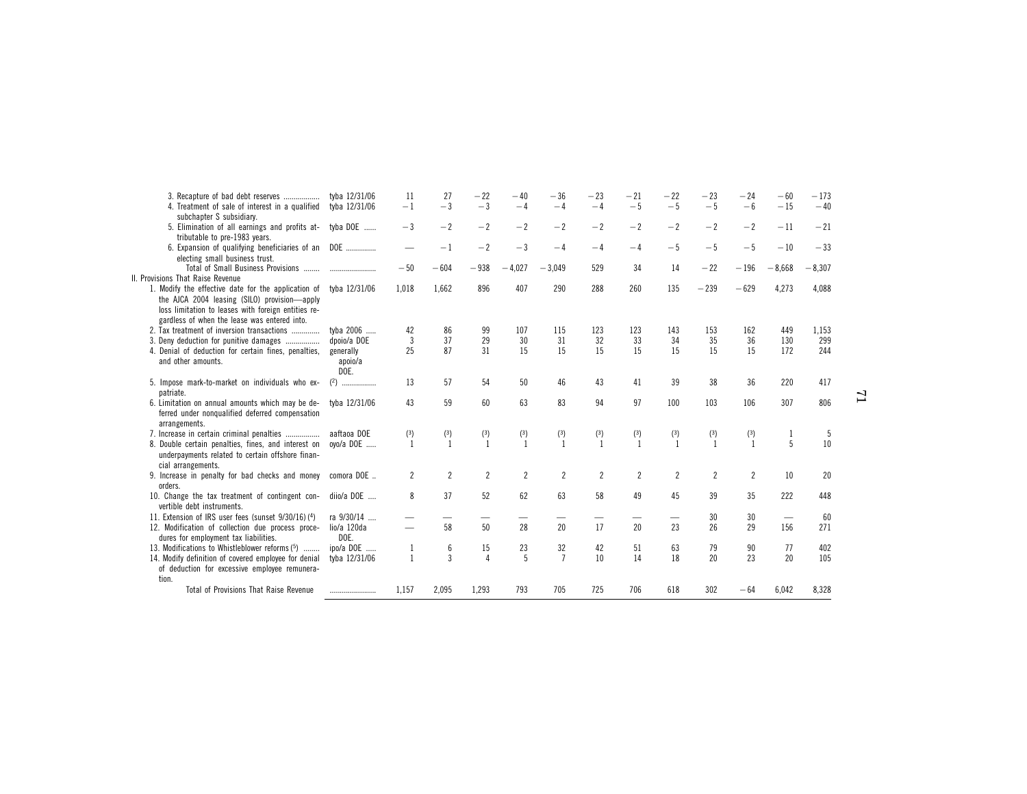| 3. Recapture of bad debt reserves<br>4. Treatment of sale of interest in a qualified                                                                             | tyba 12/31/06<br>tyba 12/31/06 | 11<br>$-1$               | 27<br>$-3$          | $-22$<br>$-3$        | $-40$<br>$-4$  | $-36$<br>$-4$        | $-23$<br>$-4$  | $-21$<br>$-5$  | $-22$<br>$-5$  | $-23$<br>$-5$  | $-24$<br>$-6$  | $-60$<br>$-15$ | $-173$<br>$-40$ |    |
|------------------------------------------------------------------------------------------------------------------------------------------------------------------|--------------------------------|--------------------------|---------------------|----------------------|----------------|----------------------|----------------|----------------|----------------|----------------|----------------|----------------|-----------------|----|
| subchapter S subsidiary.<br>5. Elimination of all earnings and profits at- tyba DOE                                                                              |                                | $-3$                     | $-2$                | $-2$                 | $-2$           | $-2$                 | $-2$           | $-2$           | $-2$           | $-2$           | $-2$           | $-11$          | $-21$           |    |
| tributable to pre-1983 years.<br>6. Expansion of qualifying beneficiaries of an DOE                                                                              |                                |                          | $-1$                | $-2$                 | $-3$           | $-4$                 | $-4$           | $-4$           | $-5$           | $-5$           | $-5$           | $-10$          | $-33$           |    |
| electing small business trust.                                                                                                                                   |                                | $-50$                    | $-604$              | $-938$               | $-4,027$       | $-3.049$             | 529            | 34             | 14             | $-22$          | $-196$         | $-8,668$       | $-8,307$        |    |
| <b>Provisions That Raise Revenue</b><br>1. Modify the effective date for the application of<br>the AJCA 2004 leasing (SILO) provision-apply                      | tyba 12/31/06                  | 1,018                    | 1,662               | 896                  | 407            | 290                  | 288            | 260            | 135            | $-239$         | $-629$         | 4,273          | 4,088           |    |
| loss limitation to leases with foreign entities re-<br>gardless of when the lease was entered into.                                                              |                                |                          |                     |                      |                |                      |                |                |                |                |                |                |                 |    |
| 2. Tax treatment of inversion transactions                                                                                                                       | tyba 2006<br>dpoio/a DOE       | 42<br>$\overline{3}$     | 86<br>37            | 99<br>29             | 107<br>30      | 115<br>31            | 123<br>32      | 123<br>33      | 143<br>34      | 153<br>35      | 162<br>36      | 449<br>130     | 1.153<br>299    |    |
| 3. Deny deduction for punitive damages                                                                                                                           |                                |                          |                     | 31                   |                | 15                   |                | 15             |                |                | 15             |                |                 |    |
| 4. Denial of deduction for certain fines, penalties,<br>and other amounts.                                                                                       | generally<br>apoio/a<br>DOE.   | 25                       | 87                  |                      | 15             |                      | 15             |                | 15             | 15             |                | 172            | 244             |    |
| 5. Impose mark-to-market on individuals who ex-<br>patriate.                                                                                                     |                                | 13                       | 57                  | 54                   | 50             | 46                   | 43             | 41             | 39             | 38             | 36             | 220            | 417             | 51 |
| 6. Limitation on annual amounts which may be de-<br>ferred under nonqualified deferred compensation<br>arrangements.                                             | tyba 12/31/06                  | 43                       | 59                  | 60                   | 63             | 83                   | 94             | 97             | 100            | 103            | 106            | 307            | 806             |    |
| 7. Increase in certain criminal penalties                                                                                                                        | aaftaoa DOE                    | (3)                      | (3)                 | (3)                  | (3)            | (3)                  | (3)            | (3)            | (3)            | (3)            | (3)            |                | 5               |    |
| 8. Double certain penalties, fines, and interest on<br>underpayments related to certain offshore finan-<br>cial arrangements.                                    | oyo/a DOE                      | $\mathbf{1}$             | $\overline{1}$      | $\overline{1}$       | $\overline{1}$ | $\mathbf{1}$         | $\mathbf{1}$   | $\overline{1}$ | $\mathbf{1}$   | $\overline{1}$ | $\overline{1}$ | 5              | 10              |    |
| 9. Increase in penalty for bad checks and money<br>orders.                                                                                                       | comora DOE                     | $\overline{2}$           | $\overline{2}$      | $\overline{2}$       | $\overline{c}$ | $\overline{c}$       | $\overline{c}$ | $\overline{c}$ | $\overline{c}$ | $\overline{2}$ | $\overline{2}$ | 10             | 20              |    |
| 10. Change the tax treatment of contingent con-<br>vertible debt instruments.                                                                                    | diio/a DOE                     | 8                        | 37                  | 52                   | 62             | 63                   | 58             | 49             | 45             | 39             | 35             | 222            | 448             |    |
| 11. Extension of IRS user fees (sunset 9/30/16) (4)                                                                                                              | ra 9/30/14                     |                          |                     |                      |                |                      |                |                |                | 30             | 30             |                | 60              |    |
| 12. Modification of collection due process proce-<br>dures for employment tax liabilities.                                                                       | lio/a 120da<br>DOE.            | $\overline{\phantom{0}}$ | 58                  | 50                   | 28             | 20                   | 17             | 20             | 23             | 26             | 29             | 156            | 271             |    |
| 13. Modifications to Whistleblower reforms (5)<br>14. Modify definition of covered employee for denial<br>of deduction for excessive employee remunera-<br>tion. | ipo/a DOE<br>tyba 12/31/06     | 1<br>$\mathbf{1}$        | 6<br>$\overline{3}$ | 15<br>$\overline{4}$ | 23<br>5        | 32<br>$\overline{7}$ | 42<br>10       | 51<br>14       | 63<br>18       | 79<br>20       | 90<br>23       | 77<br>20       | 402<br>105      |    |
| Total of Provisions That Raise Revenue                                                                                                                           |                                | 1,157                    | 2,095               | 1,293                | 793            | 705                  | 725            | 706            | 618            | 302            | $-64$          | 6,042          | 8,328           |    |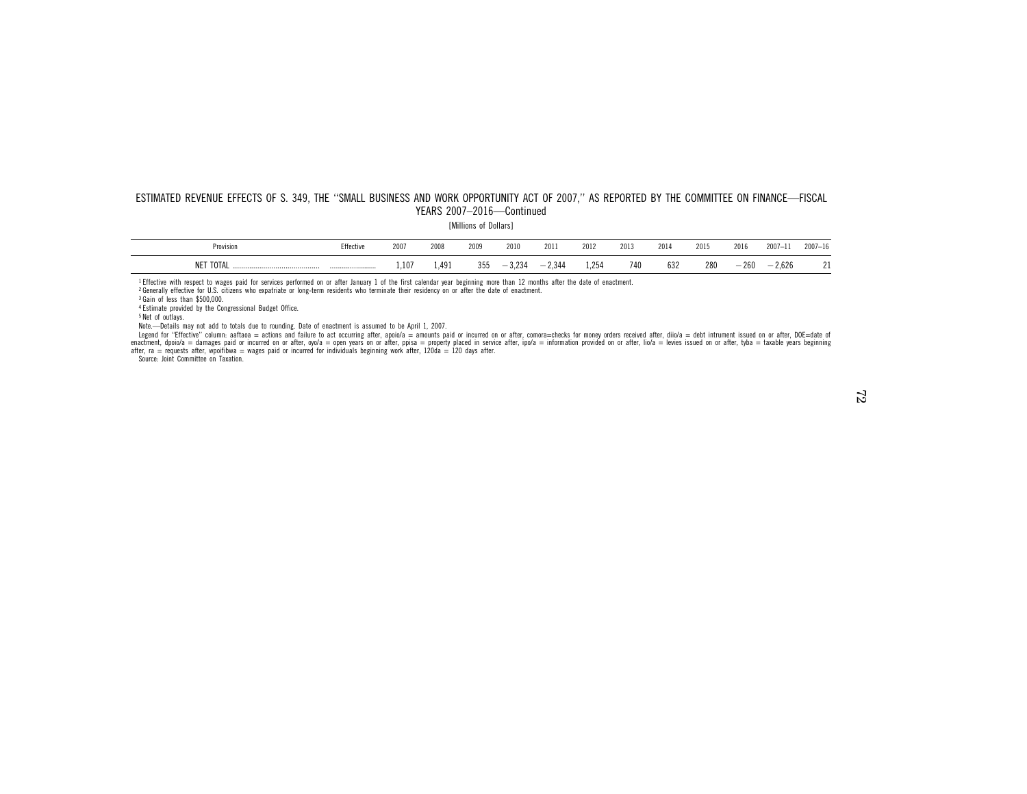#### ESTIMATED REVENUE EFFECTS OF S. 349, THE ''SMALL BUSINESS AND WORK OPPORTUNITY ACT OF 2007,'' AS REPORTED BY THE COMMITTEE ON FINANCE—FISCAL YEARS 2007–2016—Continued

[Millions of Dollars]

| 'rovision               | Effective<br>. | 000<br>ZUU '    | 2008<br>.       | 2009<br>.      | 2010          | 201<br>the contract of the contract of | 2012<br>the contract of the contract of | 201, | 2014<br>the contract of the contract of   | 2015                 | 2016 | $2007 - 1$<br>the contract of the contract of the | $2007 -$ |
|-------------------------|----------------|-----------------|-----------------|----------------|---------------|----------------------------------------|-----------------------------------------|------|-------------------------------------------|----------------------|------|---------------------------------------------------|----------|
| NE <sup>1</sup><br>TOT/ |                | 1.107<br>$\sim$ | 1,491<br>$\sim$ | コド<br>ບບບ<br>. | .<br>$\cdots$ | _<br>"ن.∟                              | $\mathbf{r}$<br><b>1.LV</b><br>$\sim$   | .    | $\mathbf{a} \mathbf{a} \mathbf{b}$<br>03Z | 280<br>$\sim$ $\sim$ | Zbl  | $\sim$<br>$-$<br>n/<br>د . مد<br>$\cdots$         |          |

<sup>1</sup> Effective with respect to wages paid for services performed on or after January 1 of the first calendar year beginning more than 12 months after the date of enactment.<br>2 Conceally offective for U.S. citizens who eventy

<sup>2</sup> Generally effective for U.S. citizens who expatriate or long-term residents who terminate their residency on or after the date of enactment.

<sup>3</sup> Gain of less than \$500,000.

4 Estimate provided by the Congressional Budget Office.

5 Net of outlays.

Note.—Details may not add to totals due to rounding. Date of enactment is assumed to be April 1, 2007.<br>Legend for "Effective" column: aaftaoa = actions and failure to act occurring after, apoio/a = amounts paid or incurred

Source: Joint Committee on Taxation.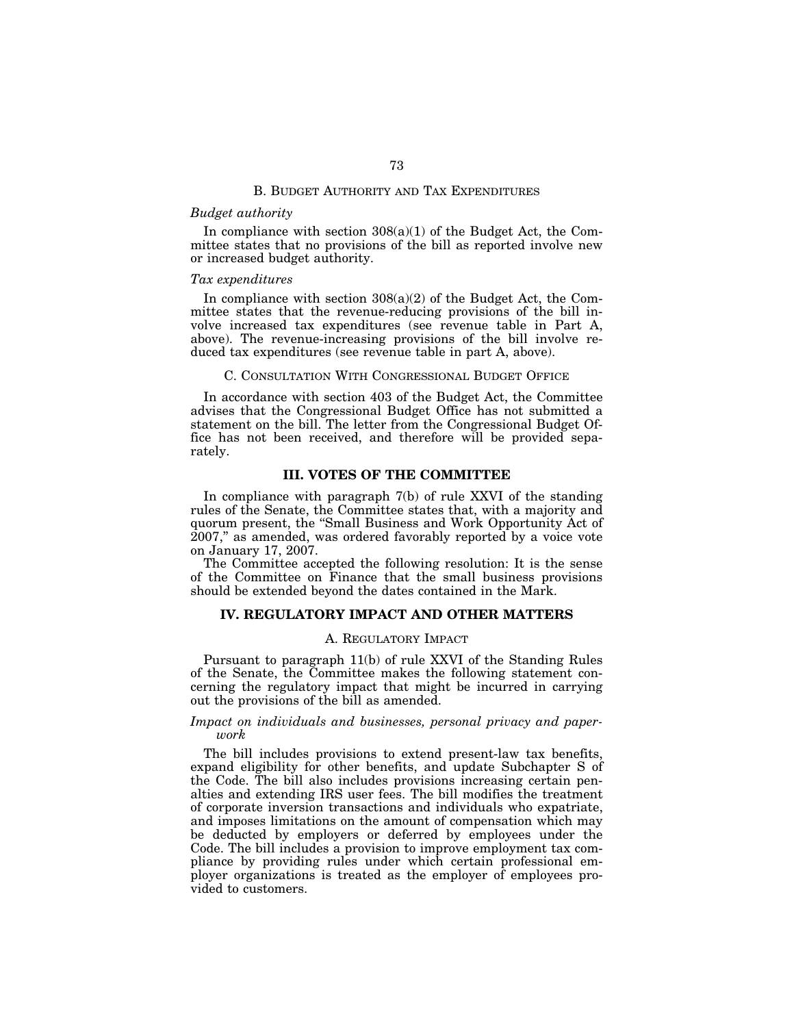#### B. BUDGET AUTHORITY AND TAX EXPENDITURES

# *Budget authority*

In compliance with section  $308(a)(1)$  of the Budget Act, the Committee states that no provisions of the bill as reported involve new or increased budget authority.

## *Tax expenditures*

In compliance with section  $308(a)(2)$  of the Budget Act, the Committee states that the revenue-reducing provisions of the bill involve increased tax expenditures (see revenue table in Part A, above). The revenue-increasing provisions of the bill involve reduced tax expenditures (see revenue table in part A, above).

#### C. CONSULTATION WITH CONGRESSIONAL BUDGET OFFICE

In accordance with section 403 of the Budget Act, the Committee advises that the Congressional Budget Office has not submitted a statement on the bill. The letter from the Congressional Budget Office has not been received, and therefore will be provided separately.

# **III. VOTES OF THE COMMITTEE**

In compliance with paragraph 7(b) of rule XXVI of the standing rules of the Senate, the Committee states that, with a majority and quorum present, the ''Small Business and Work Opportunity Act of 2007,'' as amended, was ordered favorably reported by a voice vote on January 17, 2007.

The Committee accepted the following resolution: It is the sense of the Committee on Finance that the small business provisions should be extended beyond the dates contained in the Mark.

# **IV. REGULATORY IMPACT AND OTHER MATTERS**

## A. REGULATORY IMPACT

Pursuant to paragraph 11(b) of rule XXVI of the Standing Rules of the Senate, the Committee makes the following statement concerning the regulatory impact that might be incurred in carrying out the provisions of the bill as amended.

# *Impact on individuals and businesses, personal privacy and paperwork*

The bill includes provisions to extend present-law tax benefits, expand eligibility for other benefits, and update Subchapter S of the Code. The bill also includes provisions increasing certain penalties and extending IRS user fees. The bill modifies the treatment of corporate inversion transactions and individuals who expatriate, and imposes limitations on the amount of compensation which may be deducted by employers or deferred by employees under the Code. The bill includes a provision to improve employment tax compliance by providing rules under which certain professional employer organizations is treated as the employer of employees provided to customers.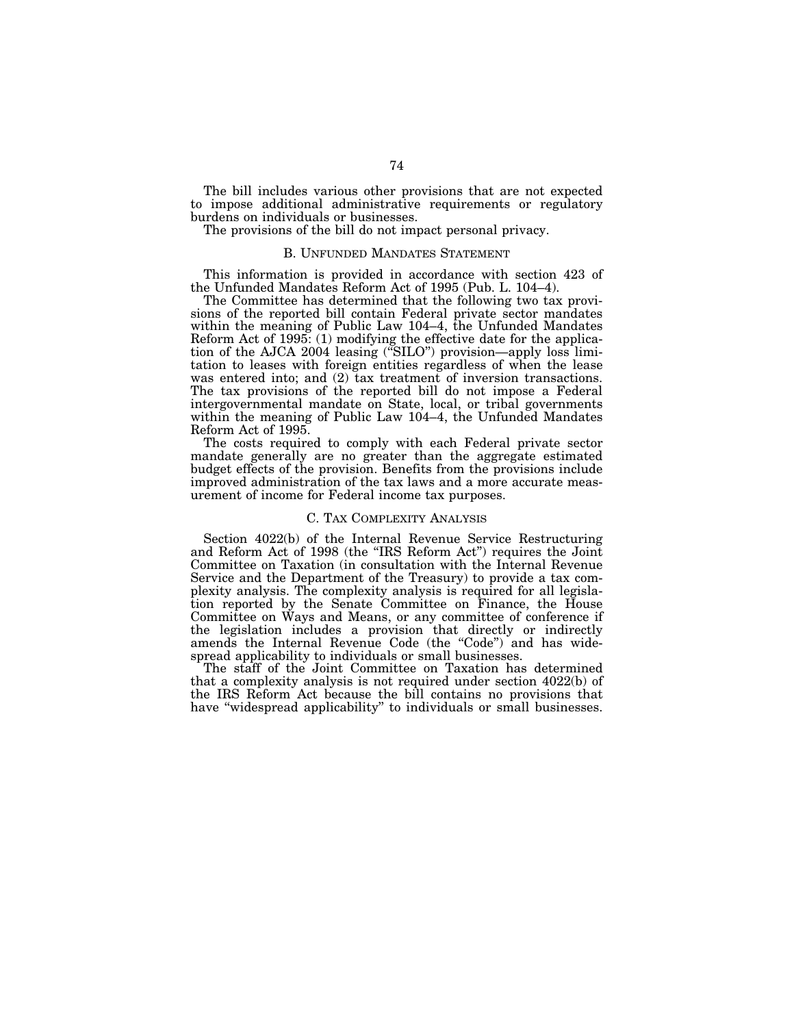The bill includes various other provisions that are not expected to impose additional administrative requirements or regulatory burdens on individuals or businesses.

The provisions of the bill do not impact personal privacy.

## B. UNFUNDED MANDATES STATEMENT

This information is provided in accordance with section 423 of the Unfunded Mandates Reform Act of 1995 (Pub. L. 104–4).

The Committee has determined that the following two tax provisions of the reported bill contain Federal private sector mandates within the meaning of Public Law 104–4, the Unfunded Mandates Reform Act of 1995: (1) modifying the effective date for the application of the AJCA 2004 leasing (''SILO'') provision—apply loss limitation to leases with foreign entities regardless of when the lease was entered into; and (2) tax treatment of inversion transactions. The tax provisions of the reported bill do not impose a Federal intergovernmental mandate on State, local, or tribal governments within the meaning of Public Law 104–4, the Unfunded Mandates Reform Act of 1995.

The costs required to comply with each Federal private sector mandate generally are no greater than the aggregate estimated budget effects of the provision. Benefits from the provisions include improved administration of the tax laws and a more accurate measurement of income for Federal income tax purposes.

#### C. TAX COMPLEXITY ANALYSIS

Section 4022(b) of the Internal Revenue Service Restructuring and Reform Act of 1998 (the ''IRS Reform Act'') requires the Joint Committee on Taxation (in consultation with the Internal Revenue Service and the Department of the Treasury) to provide a tax complexity analysis. The complexity analysis is required for all legislation reported by the Senate Committee on Finance, the House Committee on Ways and Means, or any committee of conference if the legislation includes a provision that directly or indirectly amends the Internal Revenue Code (the "Code") and has widespread applicability to individuals or small businesses.

The staff of the Joint Committee on Taxation has determined that a complexity analysis is not required under section 4022(b) of the IRS Reform Act because the bill contains no provisions that have ''widespread applicability'' to individuals or small businesses.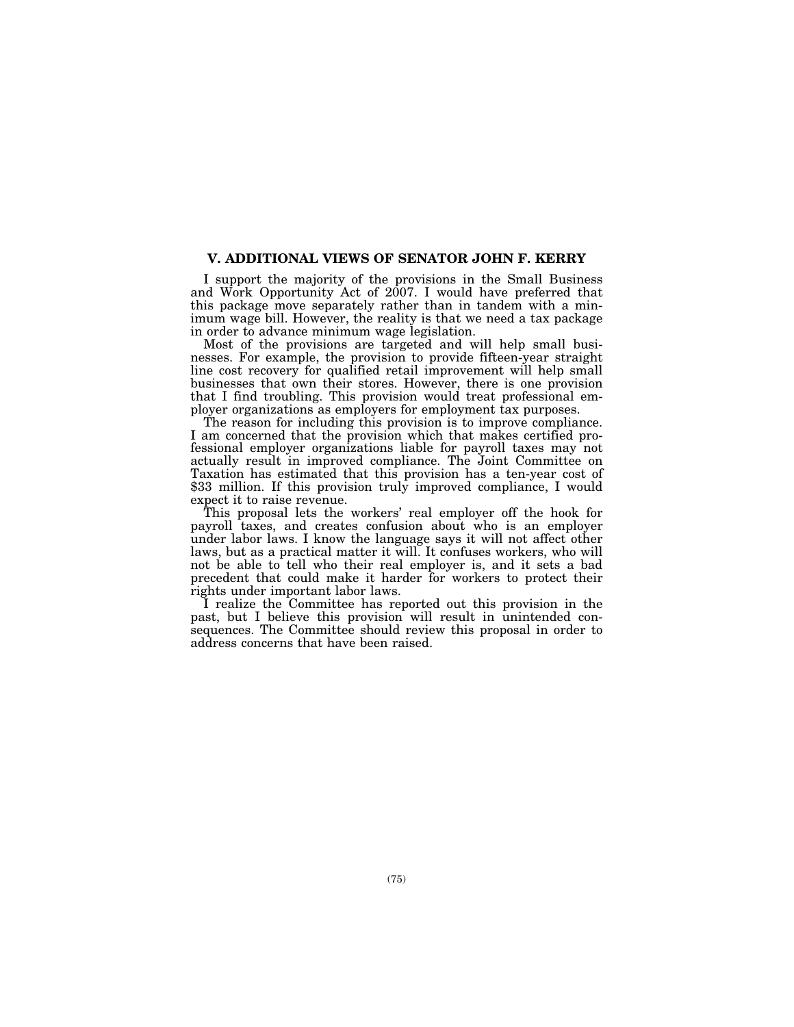# **V. ADDITIONAL VIEWS OF SENATOR JOHN F. KERRY**

I support the majority of the provisions in the Small Business and Work Opportunity Act of 2007. I would have preferred that this package move separately rather than in tandem with a minimum wage bill. However, the reality is that we need a tax package in order to advance minimum wage legislation.

Most of the provisions are targeted and will help small businesses. For example, the provision to provide fifteen-year straight line cost recovery for qualified retail improvement will help small businesses that own their stores. However, there is one provision that I find troubling. This provision would treat professional employer organizations as employers for employment tax purposes.

The reason for including this provision is to improve compliance. I am concerned that the provision which that makes certified professional employer organizations liable for payroll taxes may not actually result in improved compliance. The Joint Committee on Taxation has estimated that this provision has a ten-year cost of \$33 million. If this provision truly improved compliance, I would expect it to raise revenue.

This proposal lets the workers' real employer off the hook for payroll taxes, and creates confusion about who is an employer under labor laws. I know the language says it will not affect other laws, but as a practical matter it will. It confuses workers, who will not be able to tell who their real employer is, and it sets a bad precedent that could make it harder for workers to protect their rights under important labor laws.

I realize the Committee has reported out this provision in the past, but I believe this provision will result in unintended consequences. The Committee should review this proposal in order to address concerns that have been raised.